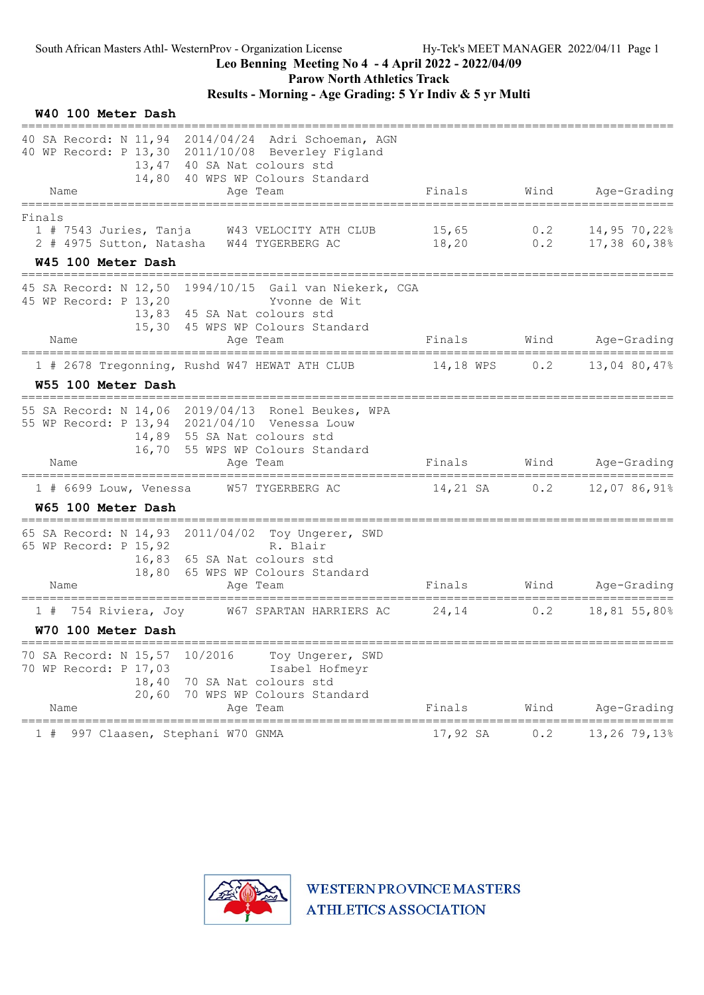Parow North Athletics Track

# Results - Morning - Age Grading: 5 Yr Indiv & 5 yr Multi

| W40 100 Meter Dash<br>----------------                                                                                                                                      |                                   |      |                                                   |
|-----------------------------------------------------------------------------------------------------------------------------------------------------------------------------|-----------------------------------|------|---------------------------------------------------|
| 40 SA Record: N 11,94 2014/04/24 Adri Schoeman, AGN<br>40 WP Record: P 13,30 2011/10/08 Beverley Figland<br>13,47 40 SA Nat colours std<br>14,80 40 WPS WP Colours Standard |                                   |      |                                                   |
| Name<br>Age Team                                                                                                                                                            | Finals                            |      | Wind Age-Grading                                  |
| Finals<br>1 # 7543 Juries, Tanja W43 VELOCITY ATH CLUB<br>2 # 4975 Sutton, Natasha W44 TYGERBERG AC                                                                         | 15,65<br>$18,20$ 0.2 17,38 60,38% |      | 0.2 $14,95,70,22$ <sup>8</sup>                    |
| W45 100 Meter Dash                                                                                                                                                          |                                   |      |                                                   |
| 45 SA Record: N 12,50 1994/10/15 Gail van Niekerk, CGA<br>45 WP Record: P 13,20<br>Yvonne de Wit<br>13,83 45 SA Nat colours std<br>15,30 45 WPS WP Colours Standard         |                                   |      |                                                   |
| Name<br>Age Team                                                                                                                                                            |                                   |      | Finals Wind Age-Grading                           |
| 1 # 2678 Tregonning, Rushd W47 HEWAT ATH CLUB 14,18 WPS 0.2 13,04 80,47%                                                                                                    |                                   |      |                                                   |
| W55 100 Meter Dash<br>======================================                                                                                                                |                                   |      |                                                   |
| 55 SA Record: N 14,06 2019/04/13 Ronel Beukes, WPA<br>55 WP Record: P 13,94 2021/04/10 Venessa Louw<br>14,89 55 SA Nat colours std<br>16,70 55 WPS WP Colours Standard      |                                   |      |                                                   |
| Name<br>Age Team                                                                                                                                                            |                                   |      | Finals Wind Age-Grading                           |
| 1 # 6699 Louw, Venessa M57 TYGERBERG AC 14,21 SA 0.2 12,07 86,91%<br>W65 100 Meter Dash                                                                                     |                                   |      |                                                   |
| 65 SA Record: N 14,93 2011/04/02 Toy Ungerer, SWD<br>65 WP Record: P 15,92<br>R. Blair<br>16,83 65 SA Nat colours std<br>18,80 65 WPS WP Colours Standard                   |                                   |      |                                                   |
| Name<br>Age Team                                                                                                                                                            | Finals                            | Wind | Age-Grading                                       |
| 754 Riviera, Joy 67 SPARTAN HARRIERS AC<br>1#<br>W70 100 Meter Dash                                                                                                         | 24,14                             | 0.2  | =================================<br>18,81 55,80% |
| 70 SA Record: N 15,57<br>10/2016<br>Toy Ungerer, SWD<br>70 WP Record: P 17,03<br>Isabel Hofmeyr<br>18,40 70 SA Nat colours std                                              |                                   |      |                                                   |
| 20,60 70 WPS WP Colours Standard<br>Age Team<br>Name                                                                                                                        | Finals                            | Wind | Age-Grading                                       |
| 997 Claasen, Stephani W70 GNMA                                                                                                                                              | 17,92 SA                          | 0.2  | =======<br>13,26 79,13%                           |

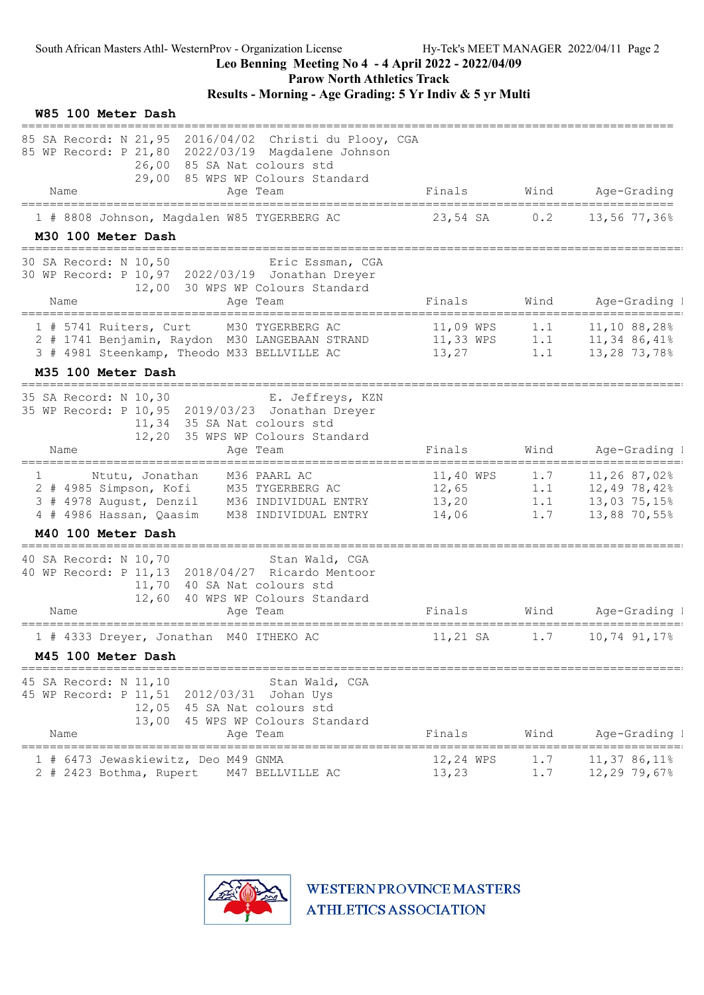Parow North Athletics Track

# Results - Morning - Age Grading: 5 Yr Indiv & 5 yr Multi

| W85 100 Meter Dash                                                                                                                                                                                        |                                               |            |                                                                                    |
|-----------------------------------------------------------------------------------------------------------------------------------------------------------------------------------------------------------|-----------------------------------------------|------------|------------------------------------------------------------------------------------|
| ======================<br>85 SA Record: N 21,95 2016/04/02 Christi du Plooy, CGA<br>85 WP Record: P 21,80 2022/03/19 Magdalene Johnson<br>26,00 85 SA Nat colours std<br>29,00 85 WPS WP Colours Standard |                                               |            |                                                                                    |
| Age Team<br>Name                                                                                                                                                                                          | Finals                                        | Wind       | Age-Grading                                                                        |
| 1 # 8808 Johnson, Magdalen W85 TYGERBERG AC<br>M30 100 Meter Dash                                                                                                                                         | 23,54 SA 0.2                                  |            | 13,56 77,36%                                                                       |
| 30 SA Record: N 10,50 Eric Essman, CGA<br>30 WP Record: P 10,97 2022/03/19 Jonathan Dreyer<br>12,00 30 WPS WP Colours Standard<br>Age Team<br>Name                                                        | Finals                                        | Wind       | Age-Grading 1                                                                      |
| 1 # 5741 Ruiters, Curt<br>M30 TYGERBERG AC<br>2 # 1741 Benjamin, Raydon M30 LANGEBAAN STRAND<br>3 # 4981 Steenkamp, Theodo M33 BELLVILLE AC                                                               | 11,09 WPS<br>11,33 WPS<br>13,27               | 1.1<br>1.1 | 11,10 88,28%<br>1.1 $11,3486,41%$<br>13,28 73,78%                                  |
| M35 100 Meter Dash<br>===============================                                                                                                                                                     |                                               |            |                                                                                    |
| 35 SA Record: N 10,30<br>E. Jeffreys, KZN<br>35 WP Record: P 10,95 2019/03/23 Jonathan Dreyer<br>11,34 35 SA Nat colours std<br>12,20 35 WPS WP Colours Standard<br>Name<br>Age Team                      | Finals                                        | Wind       | Age-Grading 1                                                                      |
|                                                                                                                                                                                                           |                                               |            |                                                                                    |
| M36 PAARL AC<br>Ntutu, Jonathan<br>$\mathbf{1}$<br>2 # 4985 Simpson, Kofi M35 TYGERBERG AC<br>3 # 4978 August, Denzil M36 INDIVIDUAL ENTRY<br>M38 INDIVIDUAL ENTRY<br>4 # 4986 Hassan, Qaasim             | 11,40 WPS<br>12,65<br>13,20<br>14,06          | 1.7<br>1.7 | 11,26 87,02%<br>$1.1$ $12,49$ $78,42\%$<br>$1.1$ $13,03$ $75,15\%$<br>13,88 70,55% |
| M40 100 Meter Dash<br>=================                                                                                                                                                                   |                                               |            |                                                                                    |
| 40 SA Record: N 10,70<br>Stan Wald, CGA<br>40 WP Record: P 11, 13 2018/04/27 Ricardo Mentoor<br>11,70<br>40 SA Nat colours std<br>12,60<br>40 WPS WP Colours Standard<br>Name<br>Age Team                 | Finals                                        | Wind       | Age-Grading 1                                                                      |
| 1 # 4333 Dreyer, Jonathan M40 ITHEKO AC                                                                                                                                                                   | 11,21 SA                                      | 1.7        | 10,74 91,17%                                                                       |
| M45 100 Meter Dash                                                                                                                                                                                        |                                               |            |                                                                                    |
| 45 SA Record: N 11,10<br>Stan Wald, CGA<br>45 WP Record: P 11,51<br>2012/03/31 Johan Uys<br>12,05 45 SA Nat colours std<br>13,00<br>45 WPS WP Colours Standard<br>Name<br>Age Team                        | Finals                                        | Wind       | Age-Grading 1                                                                      |
| =======<br>=================<br>6473 Jewaskiewitz, Deo M49 GNMA<br>2 # 2423 Bothma, Rupert<br>M47 BELLVILLE AC                                                                                            | =======<br>============<br>12,24 WPS<br>13,23 | 1.7<br>1.7 | 11,37 86,11%<br>$12,29$ 79,67%                                                     |

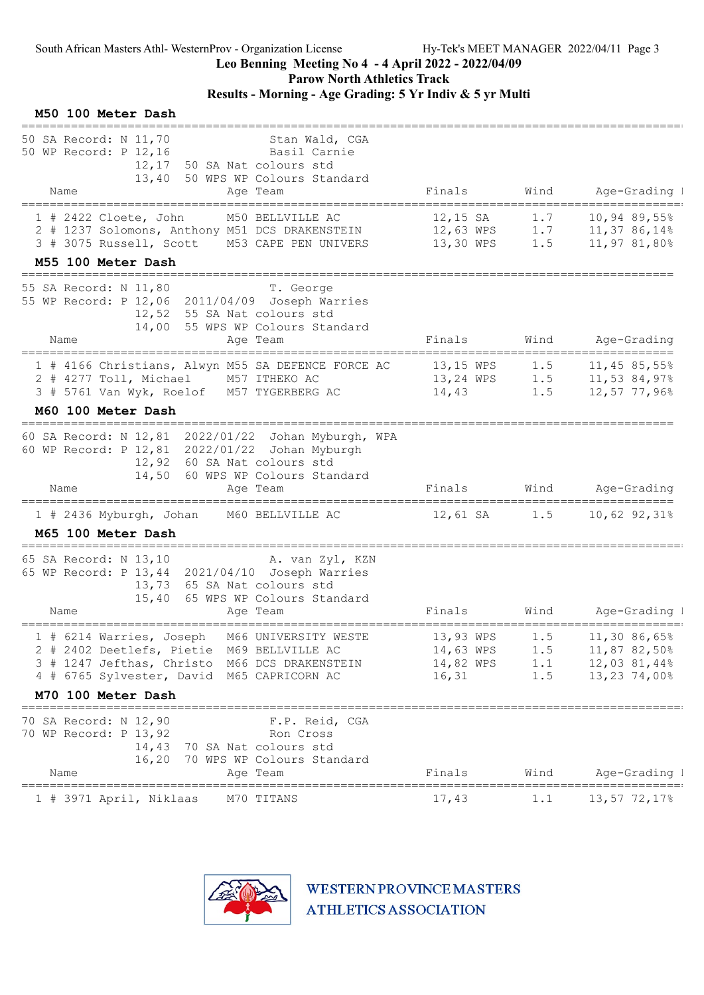Parow North Athletics Track

# Results - Morning - Age Grading: 5 Yr Indiv & 5 yr Multi

| M50 100 Meter Dash                                                                                                                                                                                                       |                                  |            |                                                     |
|--------------------------------------------------------------------------------------------------------------------------------------------------------------------------------------------------------------------------|----------------------------------|------------|-----------------------------------------------------|
| 50 SA Record: N 11,70<br>Stan Wald, CGA<br>50 WP Record: P 12,16<br>Basil Carnie<br>12,17 50 SA Nat colours std<br>13,40 50 WPS WP Colours Standard<br>Age Team<br>Name                                                  | Finals                           | Wind       | Age-Grading 1                                       |
|                                                                                                                                                                                                                          |                                  |            |                                                     |
| M50 BELLVILLE AC<br>$1$ # 2422 Cloete, John<br>2 # 1237 Solomons, Anthony M51 DCS DRAKENSTEIN 12,63 WPS 1.7 11,37 86,14%<br>3 # 3075 Russell, Scott M53 CAPE PEN UNIVERS 13,30 WPS 1.5<br>M55 100 Meter Dash             | 12,15 SA                         | 1.7        | $10,94$ 89,55%<br>11,97 81,80%                      |
|                                                                                                                                                                                                                          |                                  |            |                                                     |
| 55 SA Record: N 11,80<br>T. George<br>55 WP Record: P 12,06 2011/04/09 Joseph Warries<br>12,52 55 SA Nat colours std<br>14,00 55 WPS WP Colours Standard<br>Name<br>Age Team                                             |                                  |            | Finals Wind Age-Grading                             |
| ==================================<br>1 # 4166 Christians, Alwyn M55 SA DEFENCE FORCE AC 13,15 WPS 1.5 11,45 85,55%<br>2 # 4277 Toll, Michael M57 ITHEKO AC<br>3 # 5761 Van Wyk, Roelof M57 TYGERBERG AC 14,43           |                                  | 1.5        | 13,24 WPS 1.5 11,53 84,97%<br>12,57 77,96%          |
| M60 100 Meter Dash<br>============================                                                                                                                                                                       |                                  |            |                                                     |
| 60 SA Record: N 12,81 2022/01/22 Johan Myburgh, WPA<br>60 WP Record: P 12,81 2022/01/22 Johan Myburgh<br>12,92 60 SA Nat colours std<br>14,50 60 WPS WP Colours Standard<br>Name<br>Age Team                             | Finals                           |            | Wind Age-Grading                                    |
| 1 # 2436 Myburgh, Johan M60 BELLVILLE AC                                                                                                                                                                                 |                                  |            | 12,61 SA 1.5 10,62 92,31%                           |
| M65 100 Meter Dash                                                                                                                                                                                                       |                                  |            |                                                     |
| ====================================<br>65 SA Record: N 13,10 A. van Zyl, KZN<br>65 WP Record: P 13, 44 2021/04/10 Joseph Warries<br>13,73 65 SA Nat colours std<br>15,40 65 WPS WP Colours Standard<br>Age Team<br>Name | Finals                           | Wind       | Age-Grading I                                       |
|                                                                                                                                                                                                                          |                                  |            |                                                     |
| 1 # 6214 Warries, Joseph M66 UNIVERSITY WESTE 13,93 WPS 1.5 11,30 86,65%<br>2 # 2402 Deetlefs, Pietie M69 BELLVILLE AC<br>3 # 1247 Jefthas, Christo M66 DCS DRAKENSTEIN<br>4 # 6765 Sylvester, David M65 CAPRICORN AC    | 14,63 WPS<br>14,82 WPS<br>16, 31 | 1.5<br>1.5 | 11,87 82,50%<br>1.1    12,03 81,44%<br>13,23 74,00% |
| M70 100 Meter Dash                                                                                                                                                                                                       |                                  |            |                                                     |
| ===================================<br>70 SA Record: N 12,90<br>F.P. Reid, CGA<br>70 WP Record: P 13,92<br>Ron Cross<br>14,43<br>70 SA Nat colours std<br>16,20<br>70 WPS WP Colours Standard                            |                                  |            |                                                     |
| Name<br>Age Team<br>----------------------------                                                                                                                                                                         | Finals                           | Wind       | Age-Grading 1<br>==============                     |
| M70 TITANS<br>1 # 3971 April, Niklaas                                                                                                                                                                                    | 17,43                            | 1.1        | 13,57 72,17%                                        |

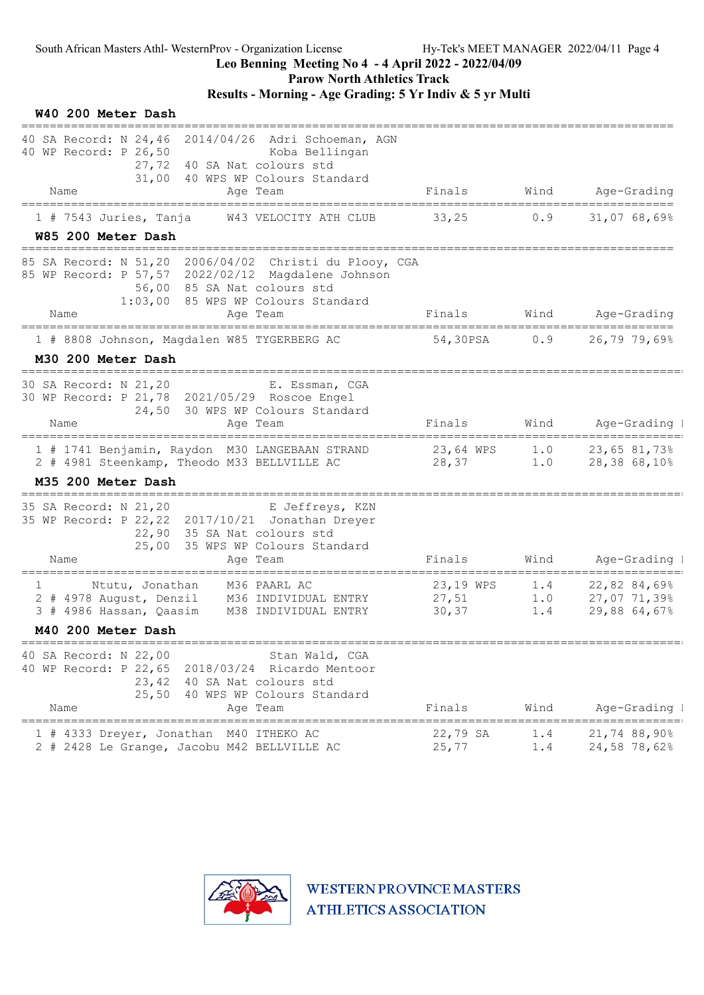## Leo Benning Meeting No 4 - 4 April 2022 - 2022/04/09

Parow North Athletics Track

# Results - Morning - Age Grading: 5 Yr Indiv & 5 yr Multi

| W40 200 Meter Dash                                                                                                                                                                                    |                                     |                   |                                                                       |
|-------------------------------------------------------------------------------------------------------------------------------------------------------------------------------------------------------|-------------------------------------|-------------------|-----------------------------------------------------------------------|
| 40 SA Record: N 24,46 2014/04/26 Adri Schoeman, AGN<br>40 WP Record: P 26,50<br>Koba Bellingan<br>27,72<br>40 SA Nat colours std<br>31,00<br>40 WPS WP Colours Standard<br>Name<br>Age Team           | Finals                              | Wind              | Age-Grading                                                           |
| $1$ # 7543 Juries, Tanja<br>W43 VELOCITY ATH CLUB<br>W85 200 Meter Dash                                                                                                                               | 33,25                               | 0.9               | 31,0768,69%                                                           |
| 85 SA Record: N 51,20 2006/04/02 Christi du Plooy, CGA<br>85 WP Record: P 57,57 2022/02/12 Magdalene Johnson<br>56,00 85 SA Nat colours std<br>1:03,00 85 WPS WP Colours Standard<br>Age Team<br>Name | Finals                              |                   | Wind Age-Grading                                                      |
| 1 # 8808 Johnson, Magdalen W85 TYGERBERG AC                                                                                                                                                           | 54,30PSA                            | 0.9               | 26,79,79,69                                                           |
| M30 200 Meter Dash                                                                                                                                                                                    |                                     |                   |                                                                       |
| ====================================<br>30 SA Record: N 21,20<br>E. Essman, CGA<br>30 WP Record: P 21,78 2021/05/29 Roscoe Engel<br>24,50 30 WPS WP Colours Standard<br>Name<br>Age Team              | Finals                              |                   | Wind Age-Grading I                                                    |
| 1 # 1741 Benjamin, Raydon M30 LANGEBAAN STRAND<br>2 # 4981 Steenkamp, Theodo M33 BELLVILLE AC<br>M35 200 Meter Dash                                                                                   | 23,64 WPS 1.0 23,65 81,73%<br>28,37 | $1.0$             | 28,38 68,10%                                                          |
| 35 SA Record: N 21,20<br>E Jeffreys, KZN<br>35 WP Record: P 22, 22 2017/10/21 Jonathan Dreyer<br>22,90<br>35 SA Nat colours std<br>25,00 35 WPS WP Colours Standard<br>Name<br>Age Team               | Finals                              | Wind              | Age-Grading I                                                         |
| 1<br>Ntutu, Jonathan<br>M36 PAARL AC<br>2 # 4978 August, Denzil M36 INDIVIDUAL ENTRY<br>3 # 4986 Hassan, Qaasim<br>M38 INDIVIDUAL ENTRY<br>M40 200 Meter Dash                                         | 23,19 WPS<br>27,51<br>30, 37        | 1.4<br>1.0<br>1.4 | $22,82,84,69$ <sup>§</sup><br>27,07 71,39%<br>29,88 64,67%            |
|                                                                                                                                                                                                       |                                     |                   |                                                                       |
| 40 SA Record: N 22,00<br>Stan Wald, CGA<br>40 WP Record: P 22,65<br>2018/03/24 Ricardo Mentoor<br>23,42<br>40 SA Nat colours std<br>25,50 40 WPS WP Colours Standard<br>Age Team<br>Name              | Finals                              | Wind              | Age-Grading I                                                         |
| 1 # 4333 Dreyer, Jonathan M40 ITHEKO AC<br>2 # 2428 Le Grange, Jacobu M42 BELLVILLE AC                                                                                                                | 22,79 SA<br>25,77                   | 1.4<br>1.4        | =====================================<br>21,74 88,90%<br>24,58 78,62% |

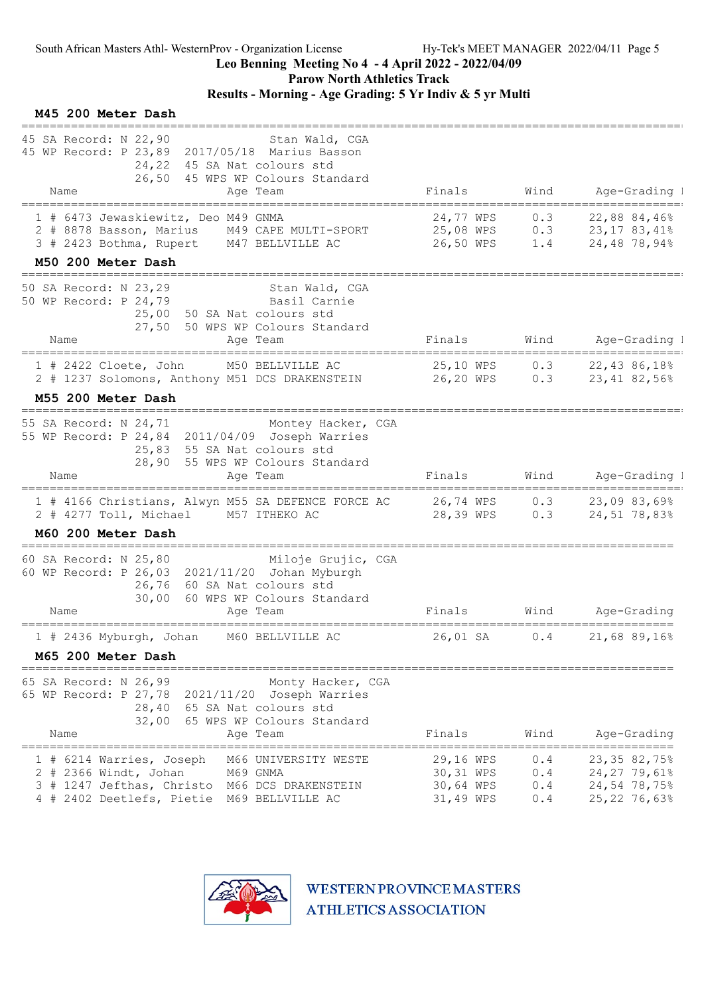Parow North Athletics Track

# Results - Morning - Age Grading: 5 Yr Indiv & 5 yr Multi

#### M45 200 Meter Dash

| 45 SA Record: N 22,90<br>Stan Wald, CGA                                                                                  |                                                |            |                                            |
|--------------------------------------------------------------------------------------------------------------------------|------------------------------------------------|------------|--------------------------------------------|
| 45 WP Record: P 23,89 2017/05/18 Marius Basson<br>24,22 45 SA Nat colours std                                            |                                                |            |                                            |
| 26,50 45 WPS WP Colours Standard<br>Name<br>Age Team<br>====================<br>===========                              | Finals<br>------------------------------------ | Wind       | Age-Grading 1<br>_______                   |
| 1 # 6473 Jewaskiewitz, Deo M49 GNMA                                                                                      | 24,77 WPS                                      | 0.3        | 22,88 84,46%                               |
| 2 # 8878 Basson, Marius M49 CAPE MULTI-SPORT<br>3 # 2423 Bothma, Rupert M47 BELLVILLE AC                                 | 26,50 WPS                                      | 1.4        | 25,08 WPS 0.3 23,17 83,41%<br>24,48 78,94% |
| M50 200 Meter Dash<br>------------------------------------                                                               |                                                |            |                                            |
| 50 SA Record: N 23,29<br>Stan Wald, CGA                                                                                  |                                                |            |                                            |
| 50 WP Record: P 24,79<br>Basil Carnie<br>25,00 50 SA Nat colours std                                                     |                                                |            |                                            |
| 27,50 50 WPS WP Colours Standard                                                                                         |                                                |            |                                            |
| Name<br>Age Team                                                                                                         | Finals                                         |            | Wind Age-Grading I                         |
| M50 BELLVILLE AC<br>$1$ # 2422 Cloete, John<br>2 # 1237 Solomons, Anthony M51 DCS DRAKENSTEIN 26,20 WPS 0.3 23,41 82,56% |                                                |            | 25,10 WPS 0.3 22,43 86,18%                 |
| M55 200 Meter Dash                                                                                                       |                                                |            |                                            |
|                                                                                                                          |                                                |            |                                            |
| 55 SA Record: N 24,71 Montey Hacker, CGA<br>55 WP Record: P 24,84 2011/04/09 Joseph Warries                              |                                                |            |                                            |
| 25,83 55 SA Nat colours std<br>28,90 55 WPS WP Colours Standard                                                          |                                                |            |                                            |
| Name<br>Age Team                                                                                                         | Finals                                         | Wind       | Age-Grading I                              |
| 1 # 4166 Christians, Alwyn M55 SA DEFENCE FORCE AC                                                                       | 26,74 WPS 0.3                                  |            | 23,0983,69%<br>28,39 WPS 0.3 24,51 78,83%  |
| 2 # 4277 Toll, Michael M57 ITHEKO AC<br>M60 200 Meter Dash                                                               |                                                |            |                                            |
| =================================                                                                                        |                                                |            |                                            |
| 60 SA Record: N 25,80 Miloje Grujic, CGA<br>60 WP Record: P 26,03 2021/11/20 Johan Myburgh                               |                                                |            |                                            |
| 26,76 60 SA Nat colours std<br>30,00                                                                                     |                                                |            |                                            |
| 60 WPS WP Colours Standard<br>Name<br>Age Team                                                                           | Finals                                         | Wind       | Age-Grading                                |
| 1 # 2436 Myburgh, Johan M60 BELLVILLE AC                                                                                 | 26,01 SA                                       |            | $0.4$ 21,68 89,16%                         |
| M65 200 Meter Dash                                                                                                       |                                                |            |                                            |
| 65 SA Record: N 26,99<br>Monty Hacker, CGA                                                                               |                                                |            |                                            |
| 65 WP Record: P 27,78<br>2021/11/20 Joseph Warries<br>28,40<br>65 SA Nat colours std                                     |                                                |            |                                            |
| 32,00<br>65 WPS WP Colours Standard                                                                                      |                                                |            |                                            |
| Name<br>Age Team                                                                                                         | Finals                                         | Wind       | Age-Grading                                |
| 1 # 6214 Warries, Joseph<br>M66 UNIVERSITY WESTE                                                                         | 29,16 WPS                                      | 0.4        | 23,35 82,75%                               |
| $2$ # 2366 Windt, Johan<br>M69 GNMA<br># 1247 Jefthas, Christo<br>M66 DCS DRAKENSTEIN<br>3.                              | 30,31 WPS<br>30,64 WPS                         | 0.4<br>0.4 | 24,27 79,61%<br>24,54 78,75%               |
| 4 # 2402 Deetlefs, Pietie M69 BELLVILLE AC                                                                               | 31,49 WPS                                      | 0.4        | 25, 22 76, 63%                             |

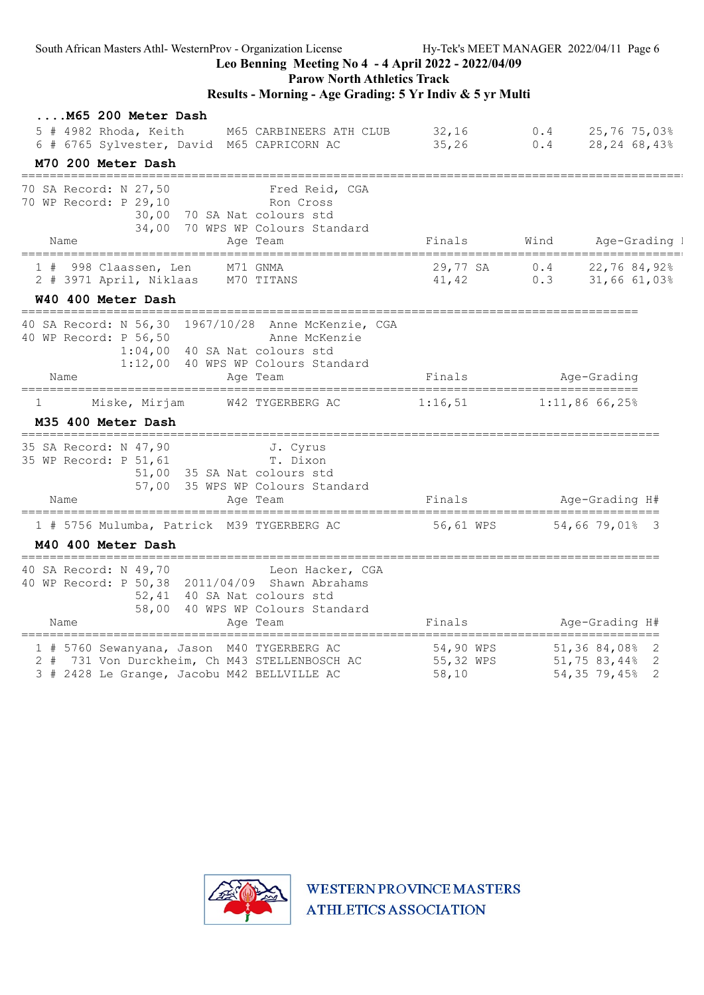| South African Masters Athl-WesternProv - Organization License<br>Hy-Tek's MEET MANAGER 2022/04/11 Page 6<br>Leo Benning Meeting No 4 - 4 April 2022 - 2022/04/09<br><b>Parow North Athletics Track</b> |           |  |                                                     |
|--------------------------------------------------------------------------------------------------------------------------------------------------------------------------------------------------------|-----------|--|-----------------------------------------------------|
| Results - Morning - Age Grading: 5 Yr Indiv & 5 yr Multi                                                                                                                                               |           |  |                                                     |
| M65 200 Meter Dash                                                                                                                                                                                     |           |  |                                                     |
| 5 # 4982 Rhoda, Keith<br>M65 CARBINEERS ATH CLUB                                                                                                                                                       | 32,16     |  | 0.4 $25,76,75,03$ <sup>§</sup>                      |
| 6 # 6765 Sylvester, David M65 CAPRICORN AC                                                                                                                                                             | 35,26     |  | $0.4$ 28, 24 68, 43%                                |
| M70 200 Meter Dash                                                                                                                                                                                     |           |  |                                                     |
| 70 SA Record: N 27,50 Fred Reid, CGA<br>70 WP Record: P 29,10 Ron Cross                                                                                                                                |           |  |                                                     |
|                                                                                                                                                                                                        |           |  |                                                     |
| 30,00 70 SA Nat colours std<br>34,00 70 WPS WP Colours Standard                                                                                                                                        |           |  |                                                     |
| Name<br>Age Team                                                                                                                                                                                       | Finals    |  | Wind Age-Grading I                                  |
| ______________________                                                                                                                                                                                 |           |  |                                                     |
| 1 # 998 Claassen, Len     M71 GNMA<br>2 # 3971 April, Niklaas   M70 TITANS                                                                                                                             |           |  | 29,77 SA 0.4 22,76 84,92%<br>41,42 0.3 31,66 61,03% |
| W40 400 Meter Dash                                                                                                                                                                                     |           |  |                                                     |
| ====================================                                                                                                                                                                   |           |  |                                                     |
| 40 SA Record: N 56,30 1967/10/28 Anne McKenzie, CGA                                                                                                                                                    |           |  |                                                     |
| 40 WP Record: P 56,50<br>Anne McKenzie<br>1:04,00 40 SA Nat colours std                                                                                                                                |           |  |                                                     |
| 1:12,00 40 WPS WP Colours Standard                                                                                                                                                                     |           |  |                                                     |
| Age Team<br>Name                                                                                                                                                                                       | Finals    |  | Age-Grading                                         |
| Miske, Mirjam<br>W42 TYGERBERG AC<br>$\perp$                                                                                                                                                           | 1:16,51   |  | $1:11,86$ 66,25%                                    |
| M35 400 Meter Dash                                                                                                                                                                                     |           |  |                                                     |
|                                                                                                                                                                                                        |           |  |                                                     |
| 35 SA Record: N 47,90 J. Cyrus<br>35 WP Record: P 51,61<br>T. Dixon                                                                                                                                    |           |  |                                                     |
| 51,00 35 SA Nat colours std                                                                                                                                                                            |           |  |                                                     |
| 57,00 35 WPS WP Colours Standard                                                                                                                                                                       |           |  |                                                     |
| Name<br>Age Team                                                                                                                                                                                       | Finals    |  | Age-Grading H#                                      |
| 1 # 5756 Mulumba, Patrick M39 TYGERBERG AC 56,61 WPS                                                                                                                                                   |           |  | 54,66 79,01% 3                                      |
| M40 400 Meter Dash                                                                                                                                                                                     |           |  |                                                     |
| 40 SA Record: N 49,70 Leon Hacker, CGA                                                                                                                                                                 |           |  |                                                     |
| 40 WP Record: P 50,38 2011/04/09 Shawn Abrahams                                                                                                                                                        |           |  |                                                     |
| 52,41 40 SA Nat colours std                                                                                                                                                                            |           |  |                                                     |
| 58,00 40 WPS WP Colours Standard                                                                                                                                                                       | Finals    |  |                                                     |
| Name<br>Age Team<br>==================================                                                                                                                                                 |           |  | Age-Grading H#                                      |
| 1 # 5760 Sewanyana, Jason M40 TYGERBERG AC                                                                                                                                                             | 54,90 WPS |  | 51,36 84,08% 2                                      |
| 2 # 731 Von Durckheim, Ch M43 STELLENBOSCH AC                                                                                                                                                          | 55,32 WPS |  | 51,75 83,44% 2                                      |
| 3 # 2428 Le Grange, Jacobu M42 BELLVILLE AC                                                                                                                                                            | 58,10     |  | 54, 35 79, 45% 2                                    |

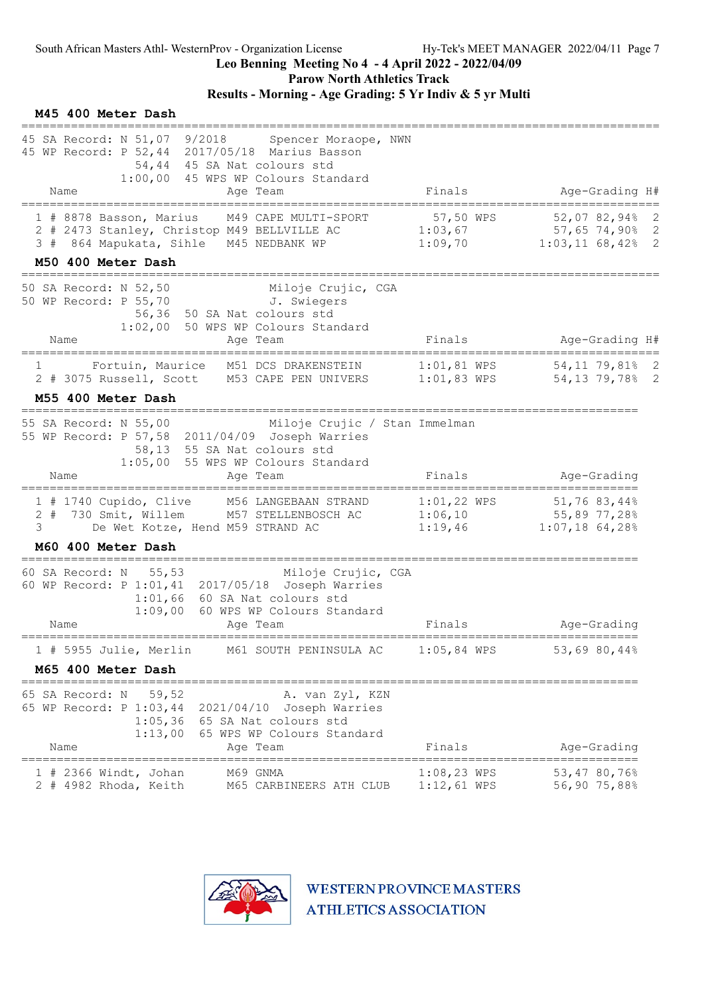Parow North Athletics Track

# Results - Morning - Age Grading: 5 Yr Indiv & 5 yr Multi

| M45 400 Meter Dash<br>------------------                                                                                                                                                           |                                |                                                                                 |
|----------------------------------------------------------------------------------------------------------------------------------------------------------------------------------------------------|--------------------------------|---------------------------------------------------------------------------------|
| 45 SA Record: N 51,07 9/2018<br>Spencer Moraope, NWN<br>45 WP Record: P 52,44 2017/05/18 Marius Basson<br>54,44 45 SA Nat colours std<br>1:00,00 45 WPS WP Colours Standard<br>Age Team<br>Name    | Finals                         | Age-Grading H#                                                                  |
| 1 # 8878 Basson, Marius M49 CAPE MULTI-SPORT<br>2 # 2473 Stanley, Christop M49 BELLVILLE AC 1:03,67 57,65 74,90% 2<br>1:09,70<br>3 # 864 Mapukata, Sihle M45 NEDBANK WP<br>M50 400 Meter Dash      | 57,50 WPS                      | 52,0782,9482<br>$1:03,11$ 68,42% 2                                              |
| Miloje Crujic, CGA<br>50 SA Record: N 52,50<br>50 WP Record: P 55,70 J. Swiegers<br>56,36 50 SA Nat colours std<br>1:02,00 50 WPS WP Colours Standard<br>Name<br>Age Team                          | Finals                         | Age-Grading H#                                                                  |
| Fortuin, Maurice M51 DCS DRAKENSTEIN 1:01,81 WPS 54,11 79,81% 2<br>$1 \qquad \qquad$<br>2 # 3075 Russell, Scott M53 CAPE PEN UNIVERS 1:01,83 WPS 54,13 79,78% 2<br>M55 400 Meter Dash              |                                |                                                                                 |
| 55 SA Record: N 55,00<br>Miloje Crujic / Stan Immelman<br>55 WP Record: P 57,58 2011/04/09 Joseph Warries<br>58,13 55 SA Nat colours std<br>1:05,00 55 WPS WP Colours Standard<br>Name<br>Age Team | Finals                         | Age-Grading                                                                     |
| 1 # 1740 Cupido, Clive M56 LANGEBAAN STRAND<br>2 # 730 Smit, Willem M57 STELLENBOSCH AC<br>3<br>De Wet Kotze, Hend M59 STRAND AC                                                                   | 1:06,10<br>1:19,46             | $1:01,22$ WPS $51,76$ 83,44%<br>$55,89\ 77,28$ <sup>8</sup><br>$1:07,18$ 64,28% |
| M60 400 Meter Dash<br>=================<br>60 SA Record: N 55,53<br>Miloje Crujic, CGA                                                                                                             |                                |                                                                                 |
| 60 WP Record: P 1:01,41 2017/05/18 Joseph Warries<br>$1:01,66$ 60 SA Nat colours std<br>1:09,00 60 WPS WP Colours Standard<br>Age Team<br>Name                                                     | Finals                         | Age-Grading                                                                     |
| 1 # 5955 Julie, Merlin<br>M61 SOUTH PENINSULA AC                                                                                                                                                   | $1:05,84$ WPS                  | 53,69 80,44%                                                                    |
| M65 400 Meter Dash<br>=========================                                                                                                                                                    |                                | ------------------------------------                                            |
| 65 SA Record: N<br>59,52<br>A. van Zyl, KZN<br>65 WP Record: P 1:03,44 2021/04/10 Joseph Warries<br>1:05,36 65 SA Nat colours std<br>1:13,00 65 WPS WP Colours Standard<br>Name<br>Age Team        | Finals                         | Age-Grading                                                                     |
| ========================<br>M69 GNMA<br>$1$ # 2366 Windt, Johan<br>2 # 4982 Rhoda, Keith<br>M65 CARBINEERS ATH CLUB                                                                                | $1:08,23$ WPS<br>$1:12,61$ WPS | 53,47 80,76%<br>56,90 75,88%                                                    |

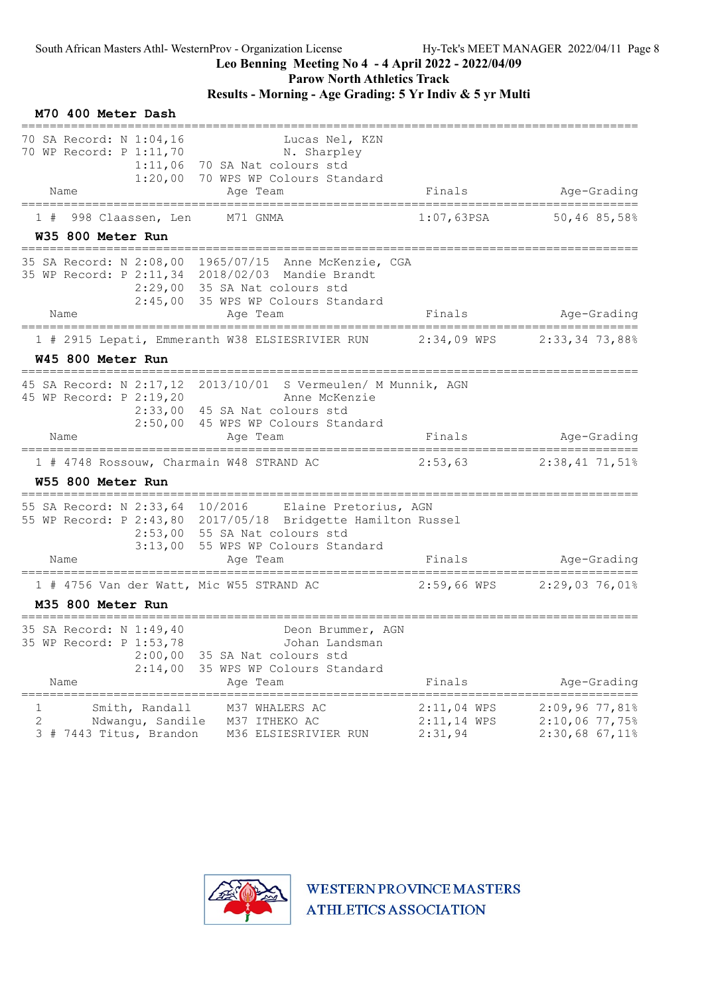# Leo Benning Meeting No 4 - 4 April 2022 - 2022/04/09

Parow North Athletics Track

#### Results - Morning - Age Grading: 5 Yr Indiv & 5 yr Multi

#### M70 400 Meter Dash ======================================================================================= 70 SA Record: N 1:04,16 Lucas Nel, KZN 70 WP Record: P 1:11,70 N. Sharpley 1:11,06 70 SA Nat colours std 1:20,00 70 WPS WP Colours Standard Name Age Team Age Team Finals Age-Grading ======================================================================================= 1 # 998 Claassen, Len M71 GNMA 1:07,63PSA 50,46 85,58% W35 800 Meter Run ======================================================================================= 35 SA Record: N 2:08,00 1965/07/15 Anne McKenzie, CGA 35 WP Record: P 2:11,34 2018/02/03 Mandie Brandt 2:29,00 35 SA Nat colours std 2:45,00 35 WPS WP Colours Standard Name Age Team Finals Age-Grading ======================================================================================= 1 # 2915 Lepati, Emmeranth W38 ELSIESRIVIER RUN 2:34,09 WPS 2:33,34 73,88% W45 800 Meter Run ======================================================================================= 45 SA Record: N 2:17,12 2013/10/01 S Vermeulen/ M Munnik, AGN 45 WP Record: P 2:19,20 Anne McKenzie 2:33,00 45 SA Nat colours std 2:50,00 45 WPS WP Colours Standard Name **Age Team** Age Team Finals Age-Grading ======================================================================================= 1 # 4748 Rossouw, Charmain W48 STRAND AC W55 800 Meter Run ======================================================================================= 55 SA Record: N 2:33,64 10/2016 Elaine Pretorius, AGN 55 WP Record: P 2:43,80 2017/05/18 Bridgette Hamilton Russel 2:53,00 55 SA Nat colours std 3:13,00 55 WPS WP Colours Standard Name Age Team Finals Age-Grading ======================================================================================= 1 # 4756 Van der Watt, Mic W55 STRAND AC 2:59,66 WPS M35 800 Meter Run ======================================================================================= 35 SA Record: N 1:49,40 Deon Brummer, AGN 35 WP Record: P 1:53,78 Johan Landsman 2:00,00 35 SA Nat colours std 2:14,00 35 WPS WP Colours Standard Name **Age Team** Age Team Finals Age-Grading ======================================================================================= 1 Smith, Randall M37 WHALERS AC 2:11,04 WPS 2:09,96 77,81% 2 Ndwangu, Sandile M37 ITHEKO AC 2:11,14 WPS 2:10,06 77,75% 3 # 7443 Titus, Brandon M36 ELSIESRIVIER RUN 2:31,94 2:30,68 67,11%

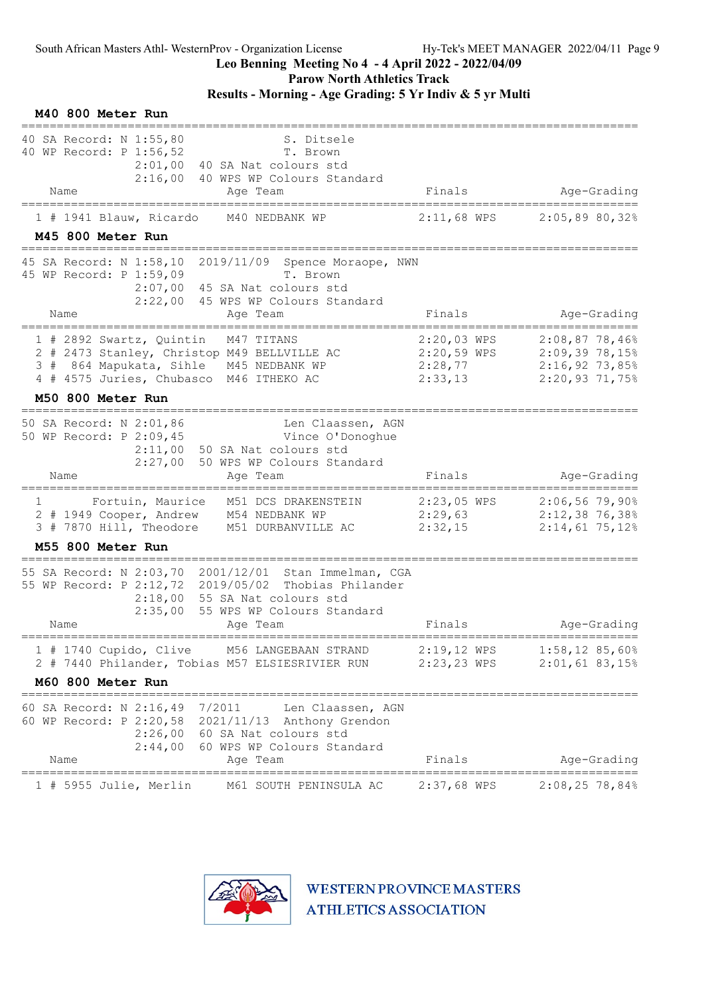M40 800 Meter Run

#### Leo Benning Meeting No 4 - 4 April 2022 - 2022/04/09

Parow North Athletics Track

#### Results - Morning - Age Grading: 5 Yr Indiv & 5 yr Multi

| 40 SA Record: N 1:55,80<br>40 WP Record: P 1:56,52              | S. Ditsele<br>T. Brown<br>2:01,00 40 SA Nat colours std<br>2:16,00 40 WPS WP Colours Standard                                                                                                      |                        |                                                                |
|-----------------------------------------------------------------|----------------------------------------------------------------------------------------------------------------------------------------------------------------------------------------------------|------------------------|----------------------------------------------------------------|
| Name<br>=====================                                   | Age Team                                                                                                                                                                                           | Finals                 | Age-Grading                                                    |
| $1$ # 1941 Blauw, Ricardo                                       | M40 NEDBANK WP                                                                                                                                                                                     | $2:11,68$ WPS          | 2:05,8980,32%                                                  |
| M45 800 Meter Run<br>---------------------                      |                                                                                                                                                                                                    |                        |                                                                |
| 45 SA Record: N 1:58,10<br>45 WP Record: P 1:59,09              | 2019/11/09 Spence Moraope, NWN<br>T. Brown<br>2:07,00 45 SA Nat colours std<br>2:22,00 45 WPS WP Colours Standard                                                                                  |                        |                                                                |
| Name<br>================================                        | Age Team                                                                                                                                                                                           | Finals                 | Age-Grading                                                    |
| 1 # 2892 Swartz, Quintin M47 TITANS                             | 2 # 2473 Stanley, Christop M49 BELLVILLE AC 2:20,59 WPS 2:09,39 78,15%<br>3 # 864 Mapukata, Sihle M45 NEDBANK WP<br>4 # 4575 Juries, Chubasco M46 ITHEKO AC                                        | 2:20,03 WPS<br>2:28,77 | $2:08,87$ 78,46%<br>$2:16,92$ 73,85%<br>2:33,13 2:20,93 71,75% |
| M50 800 Meter Run                                               |                                                                                                                                                                                                    |                        |                                                                |
| 50 SA Record: N 2:01,86<br>50 WP Record: P 2:09,45              | Len Claassen, AGN<br>Vince O'Donoghue<br>2:11,00 50 SA Nat colours std<br>2:27,00 50 WPS WP Colours Standard                                                                                       |                        |                                                                |
| Name                                                            | Age Team                                                                                                                                                                                           | Finals                 | Age-Grading                                                    |
| $1 \quad \Box$                                                  | Fortuin, Maurice M51 DCS DRAKENSTEIN<br>2 # 1949 Cooper, Andrew M54 NEDBANK WP 2:29,63 2:12,38 76,38%<br>3 # 7870 Hill, Theodore M51 DURBANVILLE AC                                                | 2:32,15                | 2:23,05 WPS 2:06,56 79,90%<br>$2:14,61$ 75,12%                 |
| M55 800 Meter Run                                               |                                                                                                                                                                                                    |                        |                                                                |
| Name                                                            | 55 SA Record: N 2:03,70 2001/12/01 Stan Immelman, CGA<br>55 WP Record: P 2:12,72 2019/05/02 Thobias Philander<br>$2:18,00$ 55 SA Nat colours std<br>2:35,00 55 WPS WP Colours Standard<br>Age Team | Finals                 | Age-Grading                                                    |
|                                                                 | 1 # 1740 Cupido, Clive M56 LANGEBAAN STRAND                                                                                                                                                        | $2:19,12$ WPS          | $1:58,12$ 85,60%                                               |
|                                                                 | 2 # 7440 Philander, Tobias M57 ELSIESRIVIER RUN                                                                                                                                                    |                        | 2:23,23 WPS 2:01,61 83,15%                                     |
| M60 800 Meter Run                                               |                                                                                                                                                                                                    |                        |                                                                |
| 60 SA Record: N 2:16,49 7/2011<br>Name                          | Len Claassen, AGN<br>60 WP Record: P 2:20,58 2021/11/13 Anthony Grendon<br>2:26,00 60 SA Nat colours std<br>2:44,00 60 WPS WP Colours Standard<br>Age Team                                         | Finals                 | Age-Grading                                                    |
| =====================================<br>1 # 5955 Julie, Merlin | M61 SOUTH PENINSULA AC                                                                                                                                                                             | $2:37,68$ WPS          | $2:08,25$ 78,84%                                               |
|                                                                 |                                                                                                                                                                                                    |                        |                                                                |

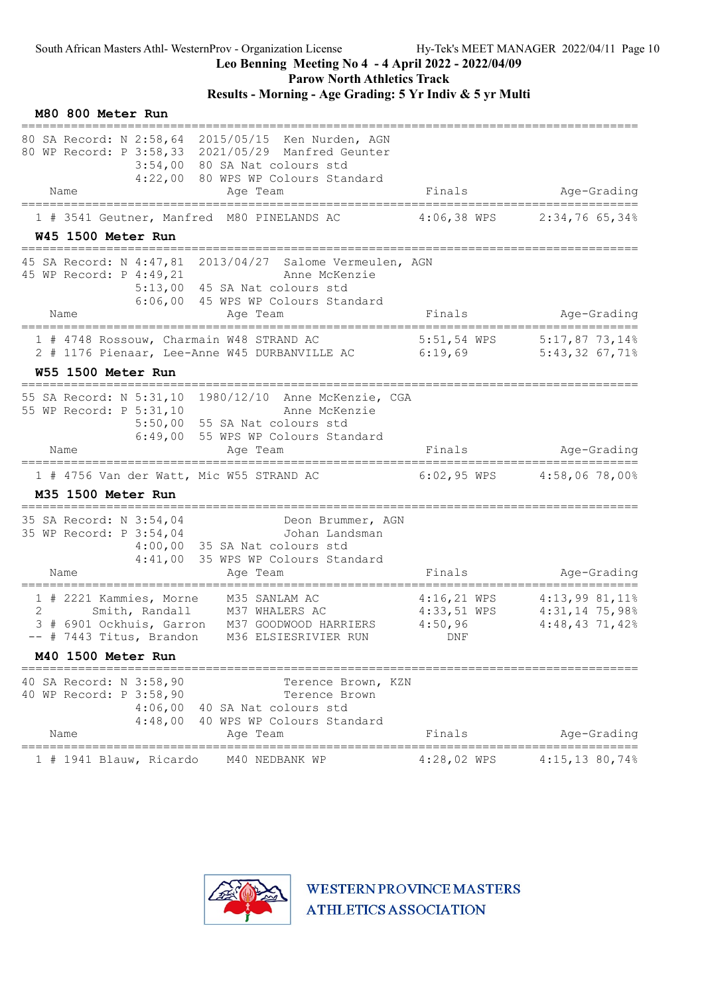Parow North Athletics Track

Results - Morning - Age Grading: 5 Yr Indiv & 5 yr Multi

| M80 800 Meter Run                                                                                                                                                                                   |                |                                                          |                                      |
|-----------------------------------------------------------------------------------------------------------------------------------------------------------------------------------------------------|----------------|----------------------------------------------------------|--------------------------------------|
| 80 SA Record: N 2:58,64 2015/05/15 Ken Nurden, AGN<br>80 WP Record: P 3:58,33 2021/05/29 Manfred Geunter<br>3:54,00 80 SA Nat colours std<br>4:22,00 80 WPS WP Colours Standard<br>Name<br>Age Team | Finals         |                                                          | Age-Grading                          |
| ====================<br>1 # 3541 Geutner, Manfred M80 PINELANDS AC                                                                                                                                  | $4:06,38$ WPS  |                                                          | $2:34,76$ 65,34%                     |
| W45 1500 Meter Run                                                                                                                                                                                  |                |                                                          |                                      |
| 45 SA Record: N 4:47,81 2013/04/27 Salome Vermeulen, AGN<br>45 WP Record: P 4:49,21<br>Anne McKenzie<br>5:13,00 45 SA Nat colours std<br>6:06,00 45 WPS WP Colours Standard                         |                |                                                          |                                      |
| Name<br>Age Team<br>==================                                                                                                                                                              | Finals         |                                                          | Age-Grading                          |
| 1 # 4748 Rossouw, Charmain W48 STRAND AC<br>2 # 1176 Pienaar, Lee-Anne W45 DURBANVILLE AC 6:19,69                                                                                                   | 5:51,54 WPS    |                                                          | $5:17,87$ 73,14%<br>$5:43,32$ 67,71% |
| W55 1500 Meter Run                                                                                                                                                                                  |                |                                                          |                                      |
| 55 SA Record: N 5:31,10 1980/12/10 Anne McKenzie, CGA<br>55 WP Record: P 5:31,10<br>Anne McKenzie<br>5:50,00 55 SA Nat colours std<br>6:49,00 55 WPS WP Colours Standard                            |                |                                                          |                                      |
| Name<br>Age Team                                                                                                                                                                                    | Finals         |                                                          | Age-Grading                          |
| 1 # 4756 Van der Watt, Mic W55 STRAND AC<br>M35 1500 Meter Run                                                                                                                                      |                | 6:02,95 WPS 4:58,06 78,00%                               |                                      |
| =====================<br>35 SA Record: N 3:54,04<br>Deon Brummer, AGN<br>35 WP Record: P 3:54,04<br>Johan Landsman<br>$4:00,00$ 35 SA Nat colours std<br>4:41,00 35 WPS WP Colours Standard<br>Name | Finals         |                                                          | Age-Grading                          |
| Age Team                                                                                                                                                                                            |                |                                                          |                                      |
| 1 # 2221 Kammies, Morne<br>M35 SANLAM AC<br>2<br>Smith, Randall<br>M37 WHALERS AC<br>3 # 6901 Ockhuis, Garron M37 GOODWOOD HARRIERS<br>-- # 7443 Titus, Brandon M36 ELSIESRIVIER RUN                | 4:50,96<br>DNF | 4:16,21 WPS 4:13,99 81,11%<br>4:33,51 WPS 4:31,14 75,98% | $4:48,43$ 71,42%                     |
| M40 1500 Meter Run                                                                                                                                                                                  |                |                                                          |                                      |
| 40 SA Record: N 3:58,90<br>Terence Brown, KZN<br>40 WP Record: P 3:58,90<br>Terence Brown<br>4:06,00<br>40 SA Nat colours std<br>4:48,00<br>40 WPS WP Colours Standard<br>Age Team<br>Name          | Finals         |                                                          | Age-Grading                          |
| =====<br>============<br>1 # 1941 Blauw, Ricardo<br>M40 NEDBANK WP                                                                                                                                  | $4:28,02$ WPS  |                                                          | 4:15,13 80,74%                       |

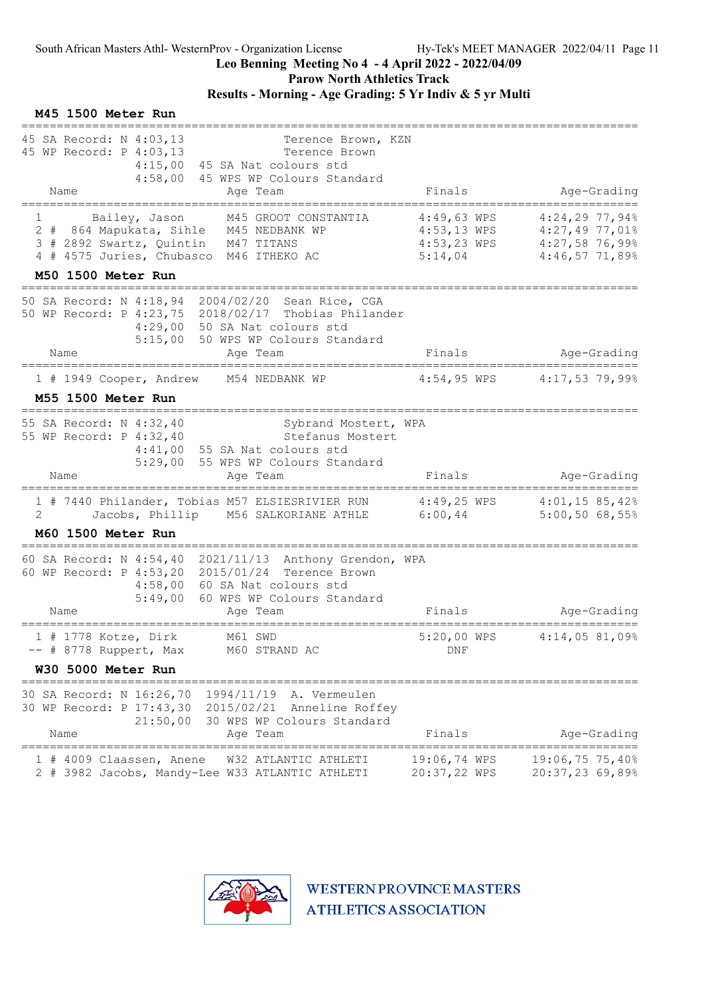Parow North Athletics Track

# Results - Morning - Age Grading: 5 Yr Indiv & 5 yr Multi

#### M45 1500 Meter Run

| 45 SA Record: N 4:03,13<br>Terence Brown, KZN<br>45 WP Record: P 4:03,13<br>Terence Brown<br>4:15,00 45 SA Nat colours std<br>4:58,00 45 WPS WP Colours Standard                                       |                                           |                                                                                        |
|--------------------------------------------------------------------------------------------------------------------------------------------------------------------------------------------------------|-------------------------------------------|----------------------------------------------------------------------------------------|
| Name<br>Age Team<br>=====================<br>--------------------                                                                                                                                      | Finals                                    | Age-Grading                                                                            |
| Bailey, Jason<br>M45 GROOT CONSTANTIA<br>1<br>2 # 864 Mapukata, Sihle M45 NEDBANK WP<br>3 # 2892 Swartz, Quintin M47 TITANS<br>4 # 4575 Juries, Chubasco M46 ITHEKO AC                                 | $4:49,63$ WPS<br>$4:53,23$ WPS<br>5:14,04 | $4:24,29$ 77,94%<br>4:53,13 WPS 4:27,49 77,01%<br>$4:27,58$ 76,99%<br>$4:46,57$ 71,89% |
| M50 1500 Meter Run                                                                                                                                                                                     |                                           |                                                                                        |
| 50 SA Record: N 4:18,94 2004/02/20 Sean Rice, CGA<br>50 WP Record: P 4:23,75 2018/02/17 Thobias Philander<br>4:29,00 50 SA Nat colours std<br>5:15,00 50 WPS WP Colours Standard<br>Name<br>Age Team   | Finals                                    | Age-Grading                                                                            |
| 1 # 1949 Cooper, Andrew M54 NEDBANK WP                                                                                                                                                                 |                                           | 4:54,95 WPS 4:17,53 79,99%                                                             |
| M55 1500 Meter Run                                                                                                                                                                                     |                                           |                                                                                        |
| 55 SA Record: N 4:32,40<br>Sybrand Mostert, WPA<br>55 WP Record: P 4:32,40<br>Stefanus Mostert<br>$4:41,00$ 55 SA Nat colours std<br>5:29,00 55 WPS WP Colours Standard<br>Age Team<br>Name            | Finals                                    | Age-Grading                                                                            |
|                                                                                                                                                                                                        |                                           | ==============                                                                         |
| 1 # 7440 Philander, Tobias M57 ELSIESRIVIER RUN 4:49,25 WPS 4:01,15 85,42%<br>Jacobs, Phillip M56 SALKORIANE ATHLE<br>2                                                                                | 6:00,44                                   | 5:00,5068,55%                                                                          |
| M60 1500 Meter Run<br>=====================================                                                                                                                                            |                                           |                                                                                        |
| 60 SA Record: N 4:54,40 2021/11/13 Anthony Grendon, WPA<br>60 WP Record: P 4:53,20 2015/01/24 Terence Brown<br>4:58,00 60 SA Nat colours std<br>5:49,00 60 WPS WP Colours Standard<br>Name<br>Age Team | Finals                                    | Age-Grading                                                                            |
| =====================================<br>M61 SWD<br>1 # 1778 Kotze, Dirk<br>-- # 8778 Ruppert, Max M60 STRAND AC                                                                                       | 5:20,00 WPS<br>DNF                        | 4:14,0581,09%                                                                          |
| W30 5000 Meter Run                                                                                                                                                                                     |                                           |                                                                                        |
| 30 SA Record: N 16:26,70 1994/11/19 A. Vermeulen<br>30 WP Record: P 17:43,30 2015/02/21 Anneline Roffey<br>21:50,00 30 WPS WP Colours Standard<br>Name<br>Age Team                                     | Finals                                    | Age-Grading                                                                            |
| =================<br>1 # 4009 Claassen, Anene<br>W32 ATLANTIC ATHLETI                                                                                                                                  | 19:06,74 WPS                              | 19:06,75 75,40%                                                                        |
| 2 # 3982 Jacobs, Mandy-Lee W33 ATLANTIC ATHLETI                                                                                                                                                        | 20:37,22 WPS                              | 20:37,23 69,89%                                                                        |

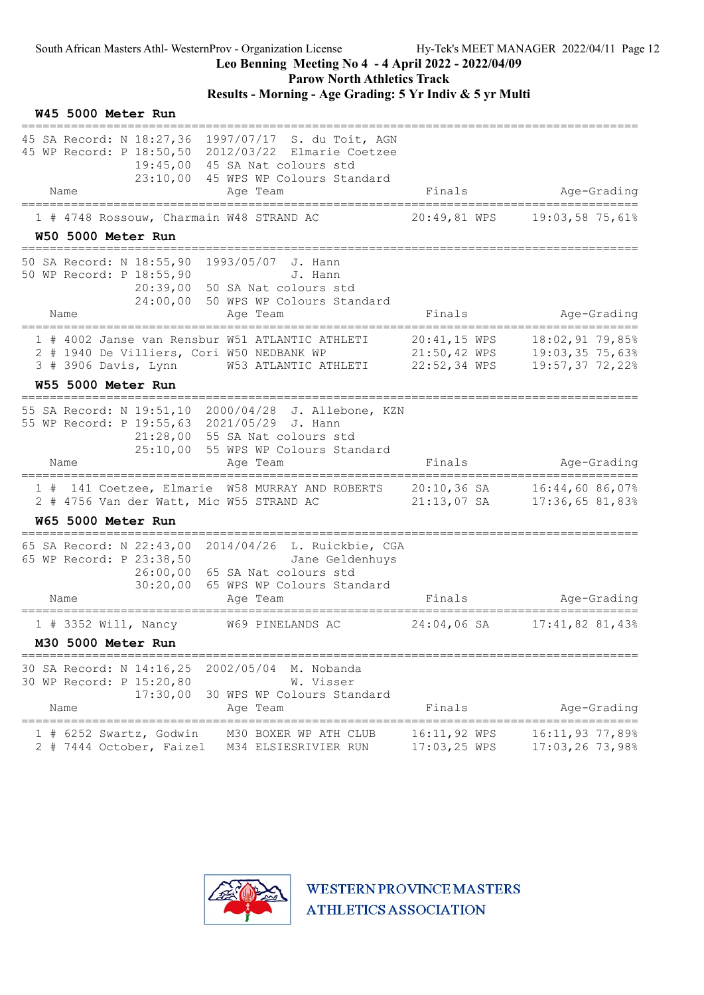Parow North Athletics Track

# Results - Morning - Age Grading: 5 Yr Indiv & 5 yr Multi

|      | W45 5000 Meter Run                                                           |                                                                                                                                                                                                 |                              |                                                                     |
|------|------------------------------------------------------------------------------|-------------------------------------------------------------------------------------------------------------------------------------------------------------------------------------------------|------------------------------|---------------------------------------------------------------------|
| Name |                                                                              | 45 SA Record: N 18:27,36 1997/07/17 S. du Toit, AGN<br>45 WP Record: P 18:50,50 2012/03/22 Elmarie Coetzee<br>19:45,00 45 SA Nat colours std<br>23:10,00 45 WPS WP Colours Standard<br>Age Team | Finals                       | Age-Grading                                                         |
|      | 1 # 4748 Rossouw, Charmain W48 STRAND AC                                     |                                                                                                                                                                                                 | 20:49,81 WPS                 | 19:03,58 75,61%                                                     |
|      | W50 5000 Meter Run                                                           |                                                                                                                                                                                                 |                              |                                                                     |
| Name | 50 SA Record: N 18:55,90<br>50 WP Record: P 18:55,90                         | 1993/05/07 J. Hann<br>J. Hann<br>20:39,00 50 SA Nat colours std<br>24:00,00 50 WPS WP Colours Standard<br>Age Team                                                                              | Finals                       | Age-Grading                                                         |
|      | ===================                                                          | ==============<br>=========                                                                                                                                                                     |                              | ========================                                            |
|      | 2 # 1940 De Villiers, Cori W50 NEDBANK WP                                    | 1 # 4002 Janse van Rensbur W51 ATLANTIC ATHLETI<br>3 # 3906 Davis, Lynn W53 ATLANTIC ATHLETI 22:52,34 WPS                                                                                       | 20:41,15 WPS<br>21:50,42 WPS | 18:02,9179,85%<br>19:03,35 75,63%<br>19:57,37 72,22%                |
|      | W55 5000 Meter Run                                                           |                                                                                                                                                                                                 |                              |                                                                     |
| Name | 55 WP Record: P 19:55,63 2021/05/29 J. Hann                                  | 55 SA Record: N 19:51,10 2000/04/28 J. Allebone, KZN<br>21:28,00 55 SA Nat colours std<br>25:10,00 55 WPS WP Colours Standard<br>Age Team                                                       | Finals                       | Age-Grading                                                         |
|      | 2 # 4756 Van der Watt, Mic W55 STRAND AC                                     | 1 # 141 Coetzee, Elmarie W58 MURRAY AND ROBERTS 20:10,36 SA 16:44,60 86,07%                                                                                                                     | $21:13,07$ SA                | 17:36,6581,83%                                                      |
|      | <b>W65 5000 Meter Run</b>                                                    |                                                                                                                                                                                                 |                              |                                                                     |
| Name | 65 SA Record: N 22:43,00<br>65 WP Record: P 23:38,50<br>26:00,00<br>30:20,00 | 2014/04/26 L. Ruickbie, CGA<br>Jane Geldenhuys<br>65 SA Nat colours std<br>65 WPS WP Colours Standard<br>Age Team                                                                               | Finals                       | Age-Grading                                                         |
|      | 1 # 3352 Will, Nancy W69 PINELANDS AC                                        |                                                                                                                                                                                                 | 24:04,06 SA                  | $17:41,82$ 81,43%                                                   |
|      | M30 5000 Meter Run                                                           |                                                                                                                                                                                                 |                              |                                                                     |
| Name | 30 SA Record: N 14:16,25<br>30 WP Record: P 15:20,80<br>17:30,00             | 2002/05/04<br>M. Nobanda<br>W. Visser<br>30 WPS WP Colours Standard<br>Age Team                                                                                                                 | Finals                       | Age-Grading                                                         |
|      | 1 # 6252 Swartz, Godwin<br>2 # 7444 October, Faizel                          | M30 BOXER WP ATH CLUB<br>M34 ELSIESRIVIER RUN                                                                                                                                                   | 16:11,92 WPS<br>17:03,25 WPS | =============================<br>16:11,93 77,89%<br>17:03,26 73,98% |

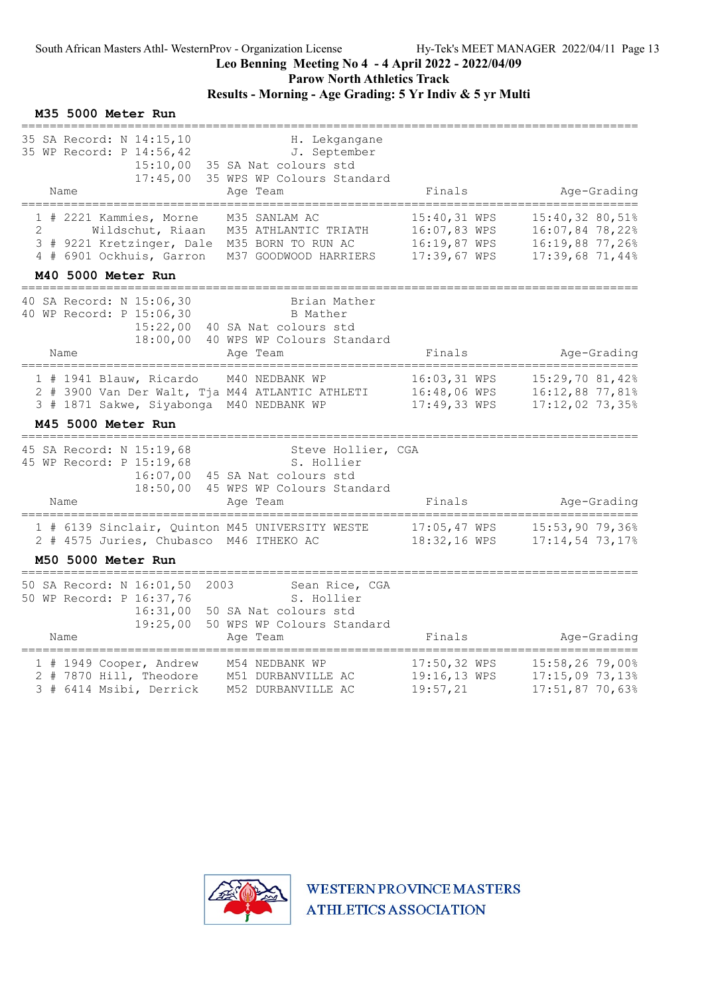Parow North Athletics Track

# Results - Morning - Age Grading: 5 Yr Indiv & 5 yr Multi

#### M35 5000 Meter Run

| 35 SA Record: N 14:15,10<br>35 WP Record: P 14:56,42<br>15:10,00<br>17:45,00<br>Name                                                                            | H. Lekgangane<br>J. September<br>35 SA Nat colours std<br>35 WPS WP Colours Standard<br>Age Team    | Finals                                                       | Age-Grading                                                              |
|-----------------------------------------------------------------------------------------------------------------------------------------------------------------|-----------------------------------------------------------------------------------------------------|--------------------------------------------------------------|--------------------------------------------------------------------------|
| 1 # 2221 Kammies, Morne<br>$\overline{2}$<br>Wildschut, Riaan<br>3 # 9221 Kretzinger, Dale M35 BORN TO RUN AC<br>4 # 6901 Ockhuis, Garron<br>M40 5000 Meter Run | M35 SANLAM AC<br>M35 ATHLANTIC TRIATH<br>M37 GOODWOOD HARRIERS                                      | 15:40,31 WPS<br>16:07,83 WPS<br>16:19,87 WPS<br>17:39,67 WPS | 15:40,32 80,51%<br>16:07,84 78,22%<br>16:19,88 77,26%<br>17:39,68 71,44% |
| 40 SA Record: N 15:06,30<br>40 WP Record: P 15:06,30<br>15:22,00<br>18:00,00<br>Name                                                                            | Brian Mather<br>B Mather<br>40 SA Nat colours std<br>40 WPS WP Colours Standard<br>Age Team         | Finals                                                       | Age-Grading                                                              |
| 1 # 1941 Blauw, Ricardo<br>2 # 3900 Van Der Walt, Tja M44 ATLANTIC ATHLETI<br>3 # 1871 Sakwe, Siyabonga M40 NEDBANK WP<br>M45 5000 Meter Run                    | M40 NEDBANK WP                                                                                      | 16:03,31 WPS<br>16:48,06 WPS<br>17:49,33 WPS                 | 15:29,70 81,42%<br>16:12,88 77,81%<br>17:12,02 73,35%                    |
| 45 SA Record: N 15:19,68<br>45 WP Record: P 15:19,68<br>16:07,00<br>18:50,00<br>Name                                                                            | Steve Hollier, CGA<br>S. Hollier<br>45 SA Nat colours std<br>45 WPS WP Colours Standard<br>Age Team | Finals                                                       | Age-Grading                                                              |
| 1 # 6139 Sinclair, Quinton M45 UNIVERSITY WESTE<br>2 # 4575 Juries, Chubasco M46 ITHEKO AC<br>M50 5000 Meter Run                                                |                                                                                                     | 17:05,47 WPS<br>18:32,16 WPS                                 | 15:53,90 79,36%<br>17:14,54 73,17%                                       |
| 50 SA Record: N 16:01,50<br>2003<br>50 WP Record: P 16:37,76<br>16:31,00<br>19:25,00<br>Name                                                                    | Sean Rice, CGA<br>S. Hollier<br>50 SA Nat colours std<br>50 WPS WP Colours Standard<br>Age Team     | Finals                                                       | Age-Grading                                                              |
| 1 # 1949 Cooper, Andrew<br>2 # 7870 Hill, Theodore<br>3 # 6414 Msibi, Derrick                                                                                   | M54 NEDBANK WP<br>M51 DURBANVILLE AC<br>M52 DURBANVILLE AC                                          | 17:50,32 WPS<br>19:16,13 WPS<br>19:57,21                     | $15:58,26$ 79,00%<br>17:15,09 73,13%<br>17:51,87 70,63%                  |

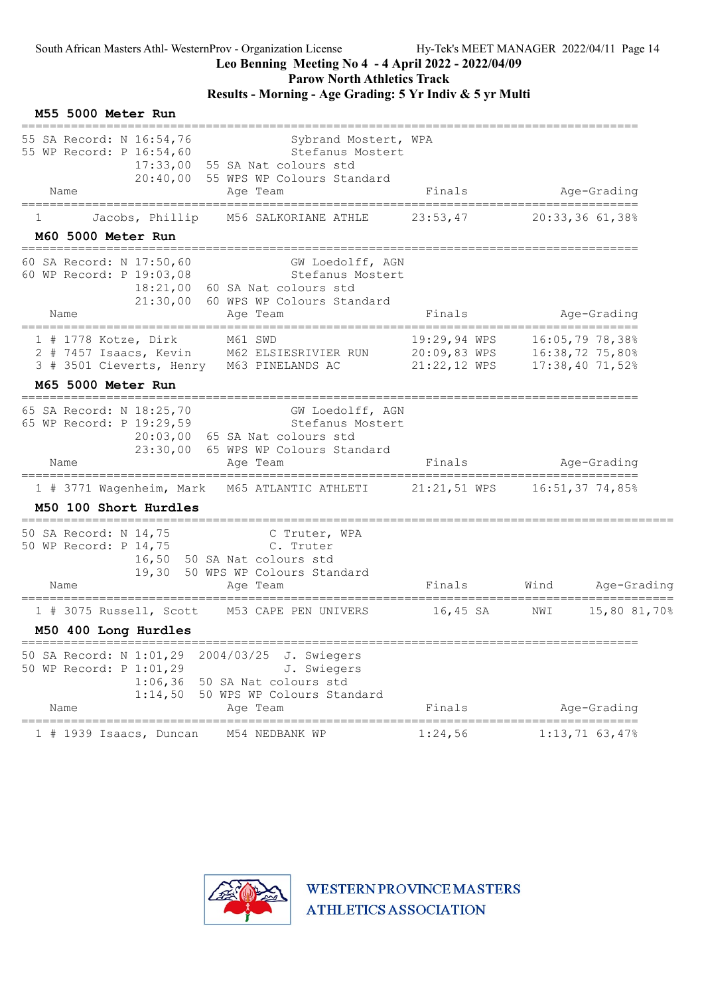#### Leo Benning Meeting No 4 - 4 April 2022 - 2022/04/09

Parow North Athletics Track

### Results - Morning - Age Grading: 5 Yr Indiv & 5 yr Multi

| <b>M55 5000 Meter Run</b>                                                                                                                                                                       |                              |                                      |                         |
|-------------------------------------------------------------------------------------------------------------------------------------------------------------------------------------------------|------------------------------|--------------------------------------|-------------------------|
| 55 SA Record: N 16:54,76<br>Sybrand Mostert, WPA<br>55 WP Record: P 16:54,60<br>Stefanus Mostert<br>17:33,00 55 SA Nat colours std<br>20:40,00 55 WPS WP Colours Standard<br>Name<br>Age Team   | Finals                       |                                      | Age-Grading             |
| ============<br>Jacobs, Phillip<br>M56 SALKORIANE ATHLE<br>ı.                                                                                                                                   | 23:53,47                     | 20:33,3661,38                        |                         |
| M60 5000 Meter Run                                                                                                                                                                              |                              |                                      |                         |
| 60 SA Record: N 17:50,60<br>GW Loedolff, AGN<br>60 WP Record: P 19:03,08<br>Stefanus Mostert<br>18:21,00 60 SA Nat colours std<br>21:30,00 60 WPS WP Colours Standard<br>Name                   |                              |                                      |                         |
| Age Team                                                                                                                                                                                        | Finals                       |                                      | Age-Grading             |
| $1$ # 1778 Kotze, Dirk<br>M61 SWD<br>2 # 7457 Isaacs, Kevin M62 ELSIESRIVIER RUN 20:09,83 WPS 16:38,72 75,80%<br>3 # 3501 Cieverts, Henry M63 PINELANDS AC                                      | 19:29,94 WPS<br>21:22,12 WPS | 16:05,79 78,38%<br>$17:38,40$ 71,52% |                         |
| M65 5000 Meter Run                                                                                                                                                                              |                              |                                      |                         |
| 65 SA Record: N 18:25,70<br>GW Loedolff, AGN<br>65 WP Record: P 19:29,59<br>Stefanus Mostert<br>20:03,00 65 SA Nat colours std<br>23:30,00 65 WPS WP Colours Standard<br>Name<br>Age Team       | Finals                       |                                      | Age-Grading             |
| 1 # 3771 Wagenheim, Mark M65 ATLANTIC ATHLETI 21:21,51 WPS 16:51,37 74,85%                                                                                                                      |                              | =============================        |                         |
| M50 100 Short Hurdles                                                                                                                                                                           |                              |                                      |                         |
| 50 SA Record: N 14,75<br>C Truter, WPA<br>50 WP Record: P 14,75<br>C. Truter<br>16,50 50 SA Nat colours std<br>19,30 50 WPS WP Colours Standard<br>Name<br>Age Team                             | Finals                       | Wind                                 | Age-Grading             |
| M53 CAPE PEN UNIVERS<br>$1$ # 3075 Russell, Scott                                                                                                                                               | $16,45$ SA                   | NWI                                  | =======<br>15,80 81,70% |
| M50 400 Long Hurdles                                                                                                                                                                            |                              |                                      |                         |
| 2004/03/25<br>50 SA Record: N 1:01,29<br>J. Swiegers<br>50 WP Record: P 1:01,29<br>J. Swiegers<br>50 SA Nat colours std<br>1:06,36<br>50 WPS WP Colours Standard<br>1:14,50<br>Name<br>Age Team | Finals                       |                                      | Age-Grading             |
| 1 # 1939 Isaacs, Duncan<br>M54 NEDBANK WP                                                                                                                                                       | 1:24,56                      | $1:13,71$ 63,47%                     |                         |

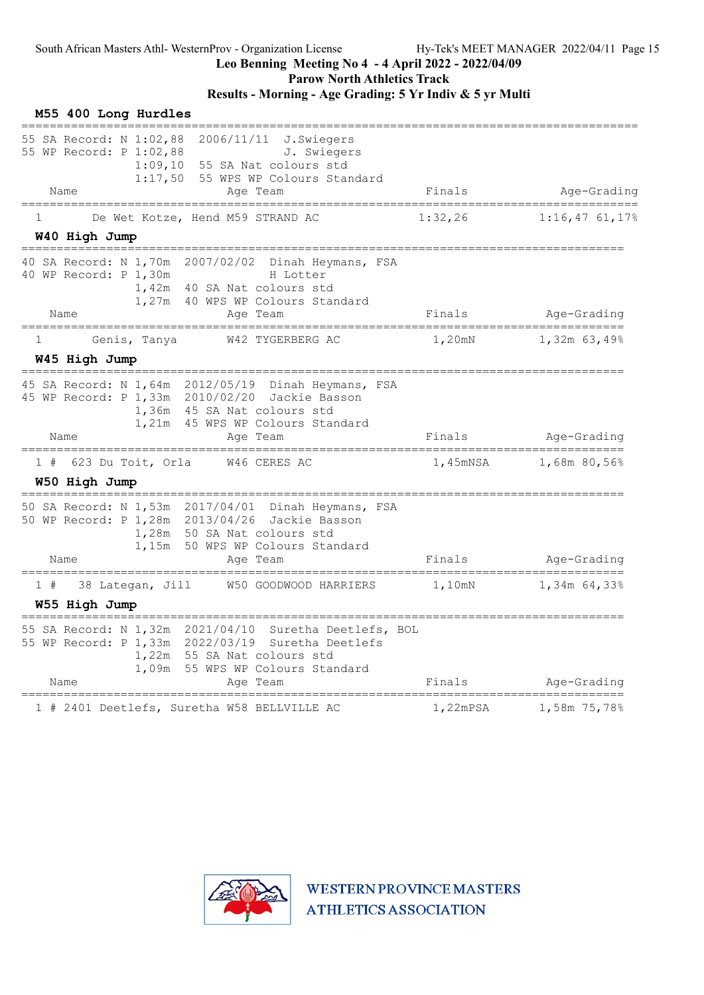Parow North Athletics Track

### Results - Morning - Age Grading: 5 Yr Indiv & 5 yr Multi

| M55 400 Long Hurdles                                                                                                                                                                                                                       |                                             |                                          |
|--------------------------------------------------------------------------------------------------------------------------------------------------------------------------------------------------------------------------------------------|---------------------------------------------|------------------------------------------|
| 55 SA Record: N 1:02,88<br>2006/11/11<br>J.Swiegers<br>55 WP Record: P 1:02,88<br>J. Swiegers<br>1:09,10<br>55 SA Nat colours std<br>1:17,50<br>55 WPS WP Colours Standard<br>Name<br>Age Team                                             | Finals                                      | Age-Grading                              |
|                                                                                                                                                                                                                                            |                                             |                                          |
| De Wet Kotze, Hend M59 STRAND AC<br>1<br>W40 High Jump<br>---------------------------                                                                                                                                                      | 1:32,26<br>________________________________ | $1:16,47$ 61,17%                         |
| 40 SA Record: N 1,70m 2007/02/02<br>Dinah Heymans, FSA<br>40 WP Record: P 1,30m<br>H Lotter<br>1,42m 40 SA Nat colours std<br>1,27m 40 WPS WP Colours Standard<br>Name<br>Age Team                                                         | Finals                                      | Age-Grading                              |
| =====================================<br>W42 TYGERBERG AC<br>1<br>Genis, Tanya                                                                                                                                                             | ===========<br>1,20mN                       | ______________________<br>$1,32m$ 63,49% |
| W45 High Jump                                                                                                                                                                                                                              |                                             |                                          |
| 45 SA Record: N 1,64m 2012/05/19 Dinah Heymans, FSA<br>45 WP Record: P 1,33m 2010/02/20 Jackie Basson<br>1,36m 45 SA Nat colours std<br>45 WPS WP Colours Standard<br>1,21m<br>Name<br>Age Team                                            | Finals                                      | Age-Grading                              |
| 623 Du Toit, Orla<br>W46 CERES AC<br>1#<br>W50 High Jump                                                                                                                                                                                   | 1,45mNSA                                    | 1,68m 80,56%                             |
| 50 SA Record: N 1,53m 2017/04/01 Dinah Heymans, FSA<br>50 WP Record: P 1,28m 2013/04/26 Jackie Basson<br>1,28m 50 SA Nat colours std<br>1,15m<br>50 WPS WP Colours Standard<br>Name<br>Age Team                                            | Finals                                      | Age-Grading                              |
| 38 Lategan, Jill<br>W50 GOODWOOD HARRIERS<br>1#<br>W55 High Jump                                                                                                                                                                           | 1,10mN                                      | 1,34m 64,33%                             |
| =================================<br>55 SA Record: N 1,32m 2021/04/10 Suretha Deetlefs, BOL<br>55 WP Record: P 1,33m 2022/03/19 Suretha Deetlefs<br>1,22m 55 SA Nat colours std<br>1,09m<br>55 WPS WP Colours Standard<br>Name<br>Age Team | Finals                                      | Age-Grading                              |
| 1 # 2401 Deetlefs, Suretha W58 BELLVILLE AC                                                                                                                                                                                                | 1,22mPSA                                    | 1,58m 75,78%                             |

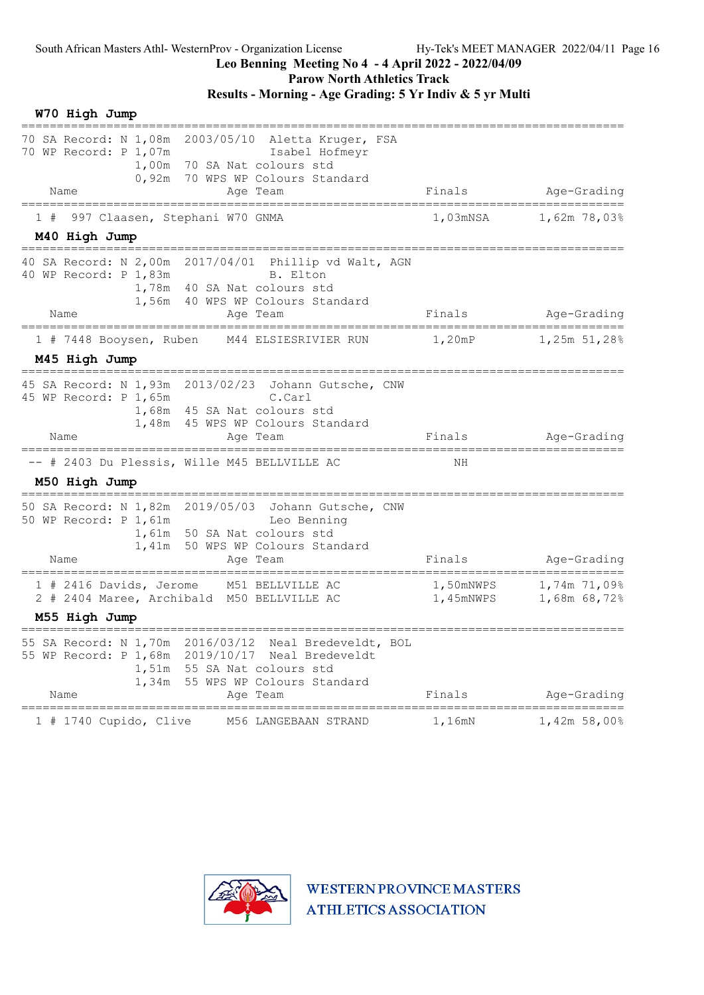Parow North Athletics Track

#### Results - Morning - Age Grading: 5 Yr Indiv & 5 yr Multi

W70 High Jump ===================================================================================== 70 SA Record: N 1,08m 2003/05/10 Aletta Kruger, FSA 70 WP Record: P 1,07m Isabel Hofmeyr 1,00m 70 SA Nat colours std 0,92m 70 WPS WP Colours Standard Name Research Age Team Research Rinals Age-Grading ===================================================================================== 1 # 997 Claasen, Stephani W70 GNMA M40 High Jump ===================================================================================== 40 SA Record: N 2,00m 2017/04/01 Phillip vd Walt, AGN 40 WP Record: P 1,83m B. Elton 1,78m 40 SA Nat colours std 1,56m 40 WPS WP Colours Standard Name Age Team Finals Age-Grading ===================================================================================== 1 # 7448 Booysen, Ruben M44 ELSIESRIVIER RUN 1,20mP 1,25m 51,28% M45 High Jump ===================================================================================== 45 SA Record: N 1,93m 2013/02/23 Johann Gutsche, CNW 45 WP Record: P 1,65m C.Carl 1,68m 45 SA Nat colours std 1,48m 45 WPS WP Colours Standard Name Age Team Finals Age-Grading ===================================================================================== -- # 2403 Du Plessis, Wille M45 BELLVILLE AC NH M50 High Jump ===================================================================================== 50 SA Record: N 1,82m 2019/05/03 Johann Gutsche, CNW 50 WP Record: P 1,61m Leo Benning 1,61m 50 SA Nat colours std 1,41m 50 WPS WP Colours Standard Name Age Team Age Team Finals Age-Grading ===================================================================================== 1 # 2416 Davids, Jerome M51 BELLVILLE AC 1,50mNWPS 1,74m 71,09% 2 # 2404 Maree, Archibald M50 BELLVILLE AC 1,45mNWPS 1,68m 68,72% M55 High Jump ===================================================================================== 55 SA Record: N 1,70m 2016/03/12 Neal Bredeveldt, BOL 55 WP Record: P 1,68m 2019/10/17 Neal Bredeveldt 1,51m 55 SA Nat colours std 1,34m 55 WPS WP Colours Standard Name and the Age Team and Team and Finals Age-Grading ===================================================================================== 1 # 1740 Cupido, Clive M56 LANGEBAAN STRAND

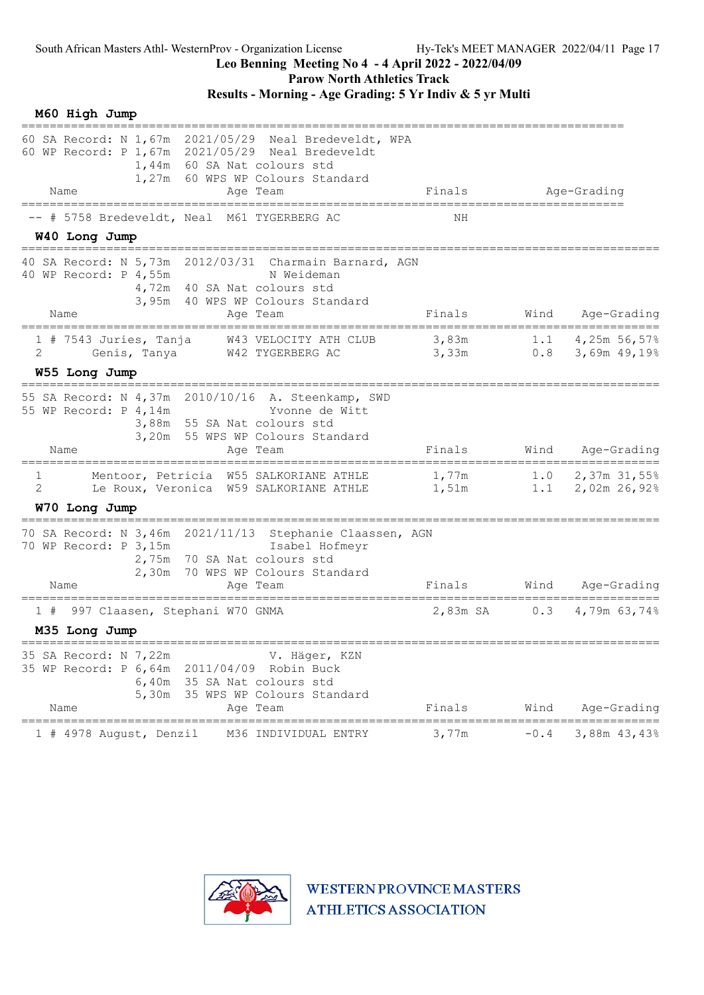Parow North Athletics Track

# Results - Morning - Age Grading: 5 Yr Indiv & 5 yr Multi

| M60 High Jump<br>=============                                                                                                                                                             |                |            |                                          |
|--------------------------------------------------------------------------------------------------------------------------------------------------------------------------------------------|----------------|------------|------------------------------------------|
| 60 SA Record: N 1,67m 2021/05/29 Neal Bredeveldt, WPA<br>60 WP Record: P 1,67m 2021/05/29 Neal Bredeveldt<br>1,44m 60 SA Nat colours std<br>1,27m 60 WPS WP Colours Standard               |                |            |                                          |
| Name<br>Age Team                                                                                                                                                                           | Finals         |            | Age-Grading                              |
| # 5758 Bredeveldt, Neal M61 TYGERBERG AC                                                                                                                                                   | ΝH             |            |                                          |
| W40 Long Jump                                                                                                                                                                              |                |            |                                          |
| 40 SA Record: N 5,73m 2012/03/31 Charmain Barnard, AGN<br>40 WP Record: P 4,55m<br>N Weideman<br>4,72m 40 SA Nat colours std<br>3,95m 40 WPS WP Colours Standard                           |                |            |                                          |
| Name<br>Age Team                                                                                                                                                                           | Finals         | Wind       | Age-Grading                              |
| $1$ # 7543 Juries, Tanja<br>W43 VELOCITY ATH CLUB<br>2<br>Genis, Tanya W42 TYGERBERG AC                                                                                                    | 3,83m<br>3,33m |            | 1.1 $4,25m$ 56,57%<br>$0.8$ 3,69m 49,19% |
| W55 Long Jump                                                                                                                                                                              |                |            |                                          |
| 55 SA Record: N 4,37m 2010/10/16 A. Steenkamp, SWD<br>55 WP Record: P 4,14m<br>Yvonne de Witt<br>3,88m 55 SA Nat colours std<br>3,20m 55 WPS WP Colours Standard<br>Name<br>Age Team       | Finals         | Wind       | Age-Grading                              |
| Mentoor, Petricia W55 SALKORIANE ATHLE<br>1<br>2<br>Le Roux, Veronica W59 SALKORIANE ATHLE                                                                                                 | 1,77m<br>1,51m | 1.0<br>1.1 | 2,37m 31,55%<br>2,02m 26,92%             |
| W70 Long Jump                                                                                                                                                                              |                |            |                                          |
| 70 SA Record: N 3,46m 2021/11/13 Stephanie Claassen, AGN<br>70 WP Record: P 3,15m<br>Isabel Hofmeyr<br>2,75m 70 SA Nat colours std<br>2,30m 70 WPS WP Colours Standard<br>Name<br>Age Team | Finals         | Wind       | Age-Grading                              |
| 997 Claasen, Stephani W70 GNMA<br>1#                                                                                                                                                       | 2,83m SA       | 0.3        | 4,79m 63,74%                             |
| M35 Long Jump                                                                                                                                                                              |                |            |                                          |
| 35 SA Record: N 7,22m<br>V. Häger, KZN<br>35 WP Record: P 6,64m 2011/04/09 Robin Buck<br>6,40m 35 SA Nat colours std<br>5,30m 35 WPS WP Colours Standard<br>Age Team<br>Name               | Finals         | Wind       | Age-Grading                              |
|                                                                                                                                                                                            |                |            |                                          |
| M36 INDIVIDUAL ENTRY<br>1 # 4978 August, Denzil                                                                                                                                            | 3,77m          | $-0.4$     | 3,88m 43,43%                             |

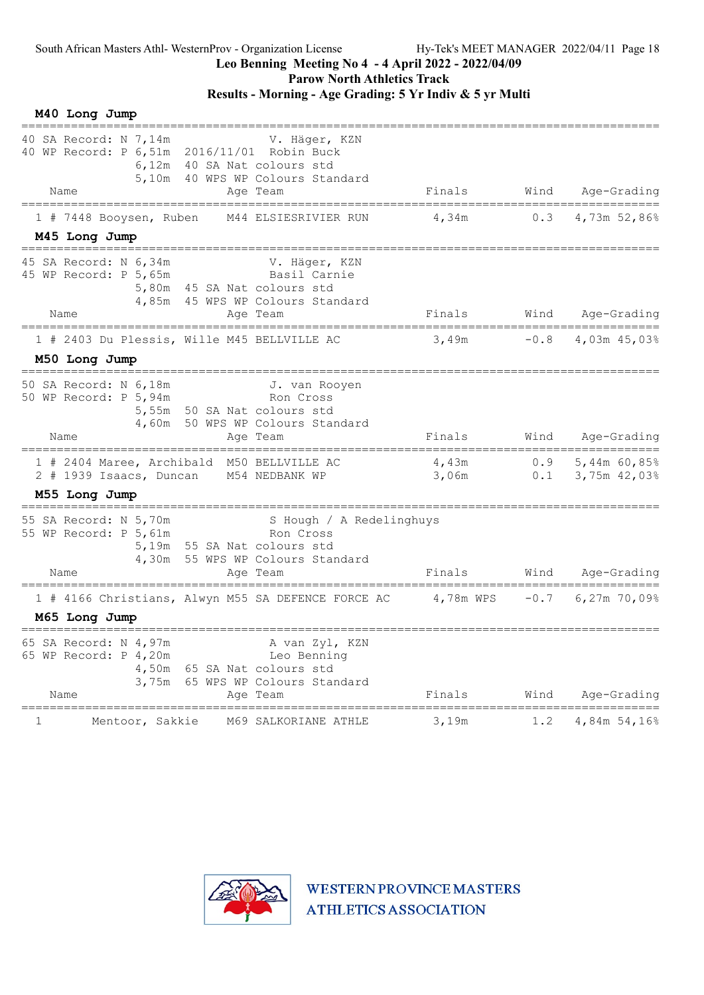#### Leo Benning Meeting No 4 - 4 April 2022 - 2022/04/09

Parow North Athletics Track

#### Results - Morning - Age Grading: 5 Yr Indiv & 5 yr Multi

M40 Long Jump ========================================================================================== 40 SA Record: N 7,14m V. Häger, KZN 40 WP Record: P 6,51m 2016/11/01 Robin Buck 6,12m 40 SA Nat colours std 5,10m 40 WPS WP Colours Standard Name **Age Team** Age Team Finals Wind Age-Grading ========================================================================================== 1 # 7448 Booysen, Ruben M44 ELSIESRIVIER RUN M45 Long Jump ========================================================================================== 45 SA Record: N 6,34m V. Häger, KZN 45 WP Record: P 5,65m Basil Carnie 5,80m 45 SA Nat colours std 4,85m 45 WPS WP Colours Standard Name Move Team Age Team Finals Wind Age-Grading ========================================================================================== 1 # 2403 Du Plessis, Wille M45 BELLVILLE AC 3,49m -0.8 4,03m 45,03% M50 Long Jump ========================================================================================== 50 SA Record: N 6,18m J. van Rooyen 50 WP Record: P 5, 94m Ron Cross 5,55m 50 SA Nat colours std 4,60m 50 WPS WP Colours Standard Name **Age Team** Age Team Finals Wind Age-Grading ==========================================================================================  $1$  # 2404 Maree, Archibald M50 BELLVILLE AC<br> $2$  # 1939 Jessee, Bungan, M54 NEDRANK MD 2 # 1939 Isaacs, Duncan M54 NEDBANK WP M55 Long Jump ========================================================================================== 55 SA Record: N 5,70m S Hough / A Redelinghuys 55 WP Record: P 5, 61m 5,19m 55 SA Nat colours std 4,30m 55 WPS WP Colours Standard Name Finals Mind Age-Grading<br>
Age Team Finals Wind Age-Grading ========================================================================================== 1 # 4166 Christians, Alwyn M55 SA DEFENCE FORCE AC 4,78m WPS -0.7 6,27m 70,09% M65 Long Jump ========================================================================================== 65 SA Record: N 4,97m A van Zyl, KZN 65 WP Record: P 4,20m Leo Benning 4,50m 65 SA Nat colours std 3,75m 65 WPS WP Colours Standard Name **Age Team** Age Team Finals Wind Age-Grading ========================================================================================== 1 Mentoor, Sakkie M69 SALKORIANE ATHLE 3,19m 1.2 4,84m 54,16%

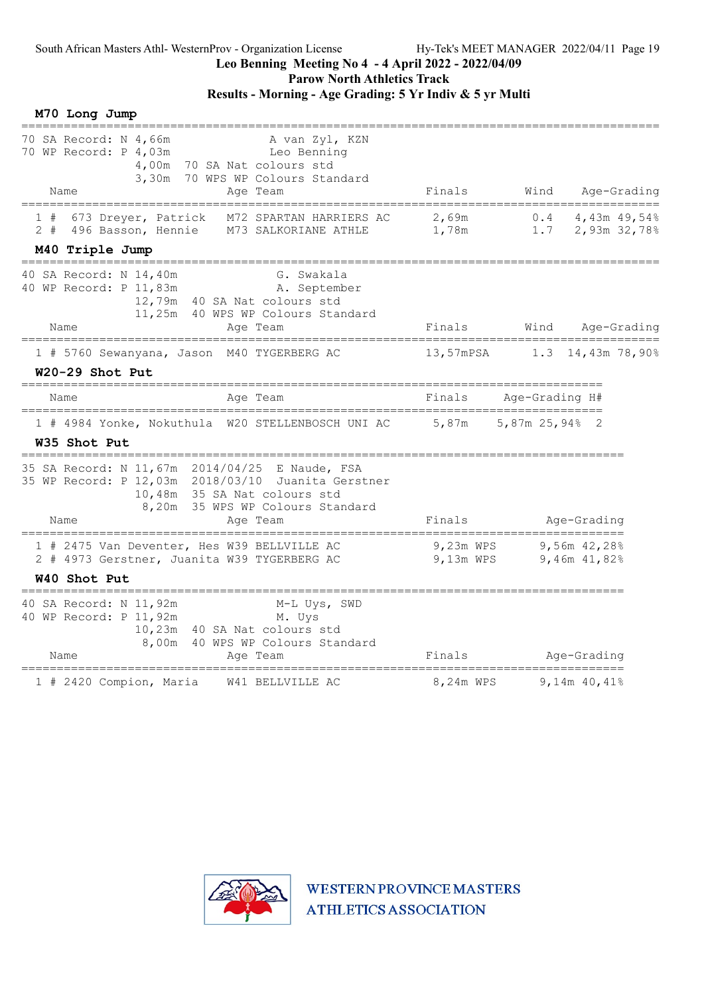M70 Long Jump

#### Leo Benning Meeting No 4 - 4 April 2022 - 2022/04/09

Parow North Athletics Track

#### Results - Morning - Age Grading: 5 Yr Indiv & 5 yr Multi

========================================================================================== 70 SA Record: N 4,66m<br>
A van Zyl, KZN 70 WP Record: P 4,03m Leo Benning 4,00m 70 SA Nat colours std 3,30m 70 WPS WP Colours Standard Name Research Age Team Research Rinals Mind Age-Grading ========================================================================================== 1 # 673 Dreyer, Patrick M72 SPARTAN HARRIERS AC 2,69m 0.4 4,43m 49,54% 2 # 496 Basson, Hennie M73 SALKORIANE ATHLE 1,78m 1.7 2,93m 32,78% M40 Triple Jump ========================================================================================== 40 SA Record: N 14,40m G. Swakala 40 WP Record: P 11,83m A. September 12,79m 40 SA Nat colours std 11,25m 40 WPS WP Colours Standard Name Trysom is the the constant contained a series of Finals Mind Age-Grading ========================================================================================== 1 # 5760 Sewanyana, Jason M40 TYGERBERG AC W20-29 Shot Put ================================================================================== Name **Age Team** Age Team Finals Age-Grading H# ================================================================================== 1 # 4984 Yonke, Nokuthula W20 STELLENBOSCH UNI AC 5,87m 5,87m 25,94% 2 W35 Shot Put ===================================================================================== 35 SA Record: N 11,67m 2014/04/25 E Naude, FSA 35 WP Record: P 12,03m 2018/03/10 Juanita Gerstner 10,48m 35 SA Nat colours std 8,20m 35 WPS WP Colours Standard Name Age Team Age Team Finals Age-Grading ===================================================================================== 1 # 2475 Van Deventer, Hes W39 BELLVILLE AC 9,23m WPS 9,56m 42,28% 2 # 4973 Gerstner, Juanita W39 TYGERBERG AC 9,13m WPS 9,46m 41,82% W40 Shot Put ===================================================================================== 40 SA Record: N 11,92m M-L Uys, SWD 40 WP Record: P 11, 92m M. Uys 10,23m 40 SA Nat colours std 8,00m 40 WPS WP Colours Standard Name Age Team Age Team Finals Age-Grading ===================================================================================== 1 # 2420 Compion, Maria W41 BELLVILLE AC

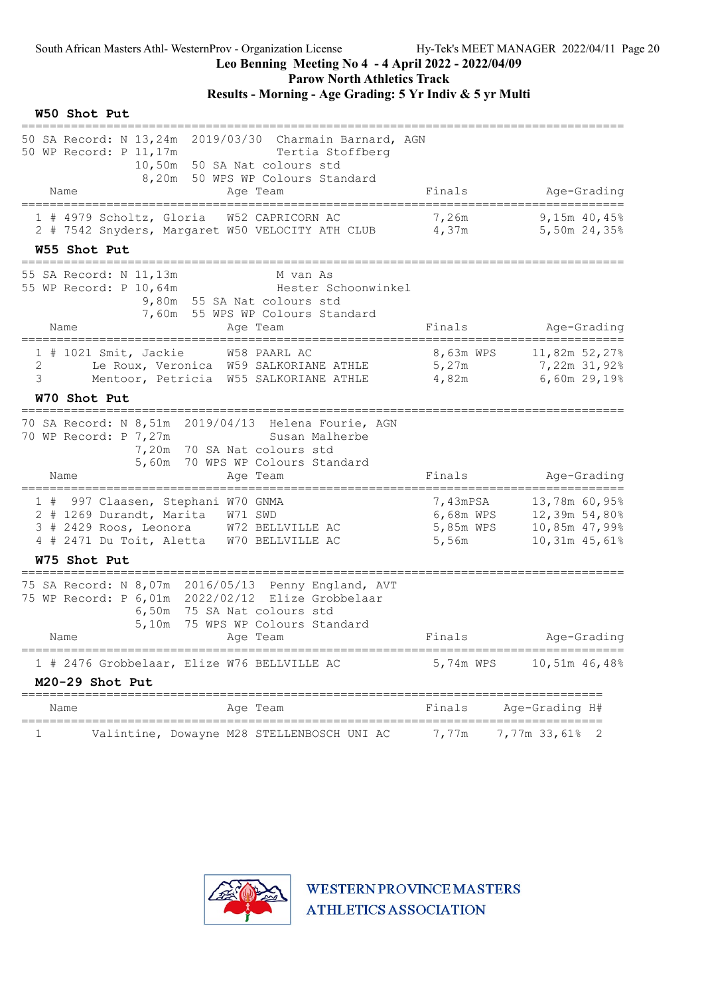Parow North Athletics Track

# Results - Morning - Age Grading: 5 Yr Indiv & 5 yr Multi

#### W50 Shot Put

| 50 SA Record: N 13,24m 2019/03/30 Charmain Barnard, AGN<br>Tertia Stoffberg<br>10,50m 50 SA Nat colours std<br>8,20m 50 WPS WP Colours Standard<br>Finals<br>Age-Grading<br>Name<br>Age Team<br>==========<br>1 # 4979 Scholtz, Gloria<br>W52 CAPRICORN AC<br>7,26m<br>9,15m 40,45%<br>2 # 7542 Snyders, Margaret W50 VELOCITY ATH CLUB 4,37m<br>5,50m 24,35%<br>W55 Shot Put<br>M van As<br>Hester Schoonwinkel<br>9,80m 55 SA Nat colours std<br>7,60m 55 WPS WP Colours Standard<br>Finals<br>Age-Grading<br>Name<br>Age Team<br>8,63m WPS<br>11,82m 52,27%<br>1 # 1021 Smit, Jackie<br>W58 PAARL AC<br>5,27m<br>Le Roux, Veronica W59 SALKORIANE ATHLE<br>7,22m 31,92%<br>2<br>3<br>6,60m 29,19%<br>Mentoor, Petricia W55 SALKORIANE ATHLE 4,82m<br>W70 Shot Put<br>Susan Malherbe<br>7,20m 70 SA Nat colours std<br>5,60m 70 WPS WP Colours Standard<br>Finals<br>Age-Grading<br>Name<br>Age Team<br>997 Claasen, Stephani W70 GNMA<br>7,43mPSA<br>13,78m 60,95%<br>1#<br>6,68m WPS<br>2 # 1269 Durandt, Marita W71 SWD<br>12,39m 54,80%<br>3 # 2429 Roos, Leonora W72 BELLVILLE AC<br>5,85m WPS<br>10,85m 47,99%<br>4 # 2471 Du Toit, Aletta W70 BELLVILLE AC<br>10,31m 45,61%<br>5,56m<br>W75 Shot Put<br>6,50m<br>75 SA Nat colours std<br>5,10m<br>75 WPS WP Colours Standard<br>Age Team<br>Finals<br>Age-Grading<br>Name<br>==========<br>========<br>1 # 2476 Grobbelaar, Elize W76 BELLVILLE AC<br>5,74m WPS<br>10,51m 46,48%<br>M20-29 Shot Put<br>Age-Grading H#<br>Finals<br>Age Team<br>Name<br>====================<br>==========================<br>7,77m<br>7,77m 33,61%<br>Valintine, Dowayne M28 STELLENBOSCH UNI AC<br>1 |                                                                                                          |  |
|-------------------------------------------------------------------------------------------------------------------------------------------------------------------------------------------------------------------------------------------------------------------------------------------------------------------------------------------------------------------------------------------------------------------------------------------------------------------------------------------------------------------------------------------------------------------------------------------------------------------------------------------------------------------------------------------------------------------------------------------------------------------------------------------------------------------------------------------------------------------------------------------------------------------------------------------------------------------------------------------------------------------------------------------------------------------------------------------------------------------------------------------------------------------------------------------------------------------------------------------------------------------------------------------------------------------------------------------------------------------------------------------------------------------------------------------------------------------------------------------------------------------------------------------------------------------------------------------------------------------------------------------------|----------------------------------------------------------------------------------------------------------|--|
|                                                                                                                                                                                                                                                                                                                                                                                                                                                                                                                                                                                                                                                                                                                                                                                                                                                                                                                                                                                                                                                                                                                                                                                                                                                                                                                                                                                                                                                                                                                                                                                                                                                 | 50 WP Record: P 11, 17m                                                                                  |  |
|                                                                                                                                                                                                                                                                                                                                                                                                                                                                                                                                                                                                                                                                                                                                                                                                                                                                                                                                                                                                                                                                                                                                                                                                                                                                                                                                                                                                                                                                                                                                                                                                                                                 |                                                                                                          |  |
|                                                                                                                                                                                                                                                                                                                                                                                                                                                                                                                                                                                                                                                                                                                                                                                                                                                                                                                                                                                                                                                                                                                                                                                                                                                                                                                                                                                                                                                                                                                                                                                                                                                 |                                                                                                          |  |
|                                                                                                                                                                                                                                                                                                                                                                                                                                                                                                                                                                                                                                                                                                                                                                                                                                                                                                                                                                                                                                                                                                                                                                                                                                                                                                                                                                                                                                                                                                                                                                                                                                                 |                                                                                                          |  |
|                                                                                                                                                                                                                                                                                                                                                                                                                                                                                                                                                                                                                                                                                                                                                                                                                                                                                                                                                                                                                                                                                                                                                                                                                                                                                                                                                                                                                                                                                                                                                                                                                                                 | 55 SA Record: N 11,13m<br>55 WP Record: P 10,64m                                                         |  |
|                                                                                                                                                                                                                                                                                                                                                                                                                                                                                                                                                                                                                                                                                                                                                                                                                                                                                                                                                                                                                                                                                                                                                                                                                                                                                                                                                                                                                                                                                                                                                                                                                                                 |                                                                                                          |  |
|                                                                                                                                                                                                                                                                                                                                                                                                                                                                                                                                                                                                                                                                                                                                                                                                                                                                                                                                                                                                                                                                                                                                                                                                                                                                                                                                                                                                                                                                                                                                                                                                                                                 |                                                                                                          |  |
|                                                                                                                                                                                                                                                                                                                                                                                                                                                                                                                                                                                                                                                                                                                                                                                                                                                                                                                                                                                                                                                                                                                                                                                                                                                                                                                                                                                                                                                                                                                                                                                                                                                 |                                                                                                          |  |
|                                                                                                                                                                                                                                                                                                                                                                                                                                                                                                                                                                                                                                                                                                                                                                                                                                                                                                                                                                                                                                                                                                                                                                                                                                                                                                                                                                                                                                                                                                                                                                                                                                                 | 70 SA Record: N 8,51m 2019/04/13 Helena Fourie, AGN<br>70 WP Record: P 7,27m                             |  |
|                                                                                                                                                                                                                                                                                                                                                                                                                                                                                                                                                                                                                                                                                                                                                                                                                                                                                                                                                                                                                                                                                                                                                                                                                                                                                                                                                                                                                                                                                                                                                                                                                                                 |                                                                                                          |  |
|                                                                                                                                                                                                                                                                                                                                                                                                                                                                                                                                                                                                                                                                                                                                                                                                                                                                                                                                                                                                                                                                                                                                                                                                                                                                                                                                                                                                                                                                                                                                                                                                                                                 |                                                                                                          |  |
|                                                                                                                                                                                                                                                                                                                                                                                                                                                                                                                                                                                                                                                                                                                                                                                                                                                                                                                                                                                                                                                                                                                                                                                                                                                                                                                                                                                                                                                                                                                                                                                                                                                 |                                                                                                          |  |
|                                                                                                                                                                                                                                                                                                                                                                                                                                                                                                                                                                                                                                                                                                                                                                                                                                                                                                                                                                                                                                                                                                                                                                                                                                                                                                                                                                                                                                                                                                                                                                                                                                                 | 75 SA Record: N 8,07m 2016/05/13 Penny England, AVT<br>75 WP Record: P 6,01m 2022/02/12 Elize Grobbelaar |  |
|                                                                                                                                                                                                                                                                                                                                                                                                                                                                                                                                                                                                                                                                                                                                                                                                                                                                                                                                                                                                                                                                                                                                                                                                                                                                                                                                                                                                                                                                                                                                                                                                                                                 |                                                                                                          |  |
|                                                                                                                                                                                                                                                                                                                                                                                                                                                                                                                                                                                                                                                                                                                                                                                                                                                                                                                                                                                                                                                                                                                                                                                                                                                                                                                                                                                                                                                                                                                                                                                                                                                 |                                                                                                          |  |
|                                                                                                                                                                                                                                                                                                                                                                                                                                                                                                                                                                                                                                                                                                                                                                                                                                                                                                                                                                                                                                                                                                                                                                                                                                                                                                                                                                                                                                                                                                                                                                                                                                                 |                                                                                                          |  |
|                                                                                                                                                                                                                                                                                                                                                                                                                                                                                                                                                                                                                                                                                                                                                                                                                                                                                                                                                                                                                                                                                                                                                                                                                                                                                                                                                                                                                                                                                                                                                                                                                                                 |                                                                                                          |  |

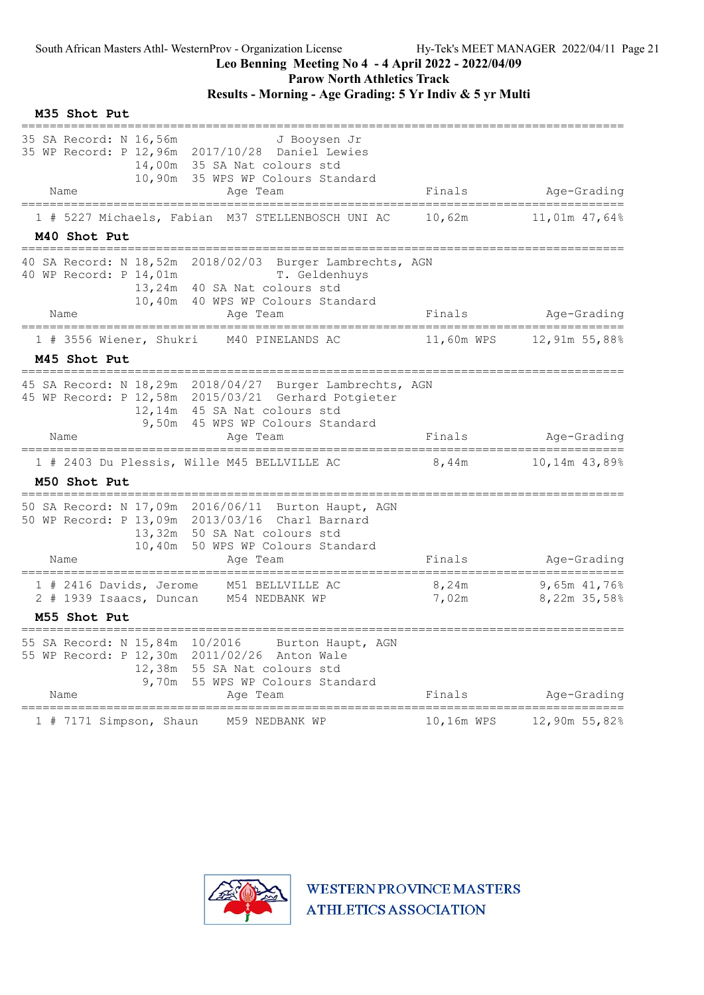# Leo Benning Meeting No 4 - 4 April 2022 - 2022/04/09

Parow North Athletics Track

Results - Morning - Age Grading: 5 Yr Indiv & 5 yr Multi

| M35 Shot Put                                                                                                                                                                                            |                                                 |                              |
|---------------------------------------------------------------------------------------------------------------------------------------------------------------------------------------------------------|-------------------------------------------------|------------------------------|
| 35 SA Record: N 16,56m<br>J Booysen Jr<br>35 WP Record: P 12,96m 2017/10/28 Daniel Lewies<br>14,00m 35 SA Nat colours std<br>10,90m 35 WPS WP Colours Standard<br>Name<br>Age Team                      | Finals                                          | Age-Grading                  |
| =====================                                                                                                                                                                                   |                                                 |                              |
| 1 # 5227 Michaels, Fabian M37 STELLENBOSCH UNI AC<br>M40 Shot Put                                                                                                                                       | 10,62m                                          | 11,01m 47,64%                |
| 40 SA Record: N 18,52m 2018/02/03 Burger Lambrechts, AGN<br>T. Geldenhuys<br>40 WP Record: P 14,01m<br>13,24m 40 SA Nat colours std<br>10,40m 40 WPS WP Colours Standard                                |                                                 |                              |
| Name<br>Age Team                                                                                                                                                                                        | Finals                                          | Age-Grading                  |
| 1 # 3556 Wiener, Shukri M40 PINELANDS AC                                                                                                                                                                |                                                 | 11,60m WPS 12,91m 55,88%     |
| M45 Shot Put                                                                                                                                                                                            |                                                 |                              |
| 45 SA Record: N 18,29m 2018/04/27 Burger Lambrechts, AGN<br>45 WP Record: P 12,58m 2015/03/21 Gerhard Potgieter<br>12,14m 45 SA Nat colours std<br>9,50m 45 WPS WP Colours Standard<br>Name<br>Age Team | Finals                                          | Age-Grading                  |
|                                                                                                                                                                                                         |                                                 |                              |
| 1 # 2403 Du Plessis, Wille M45 BELLVILLE AC 8,44m                                                                                                                                                       |                                                 | 10,14m 43,89%                |
| M50 Shot Put                                                                                                                                                                                            |                                                 |                              |
| 50 SA Record: N 17,09m 2016/06/11 Burton Haupt, AGN<br>50 WP Record: P 13,09m 2013/03/16 Charl Barnard<br>13,32m 50 SA Nat colours std<br>10,40m 50 WPS WP Colours Standard<br>Name<br>Age Team         | Finals                                          | Age-Grading                  |
| 1 # 2416 Davids, Jerome M51 BELLVILLE AC<br>2 # 1939 Isaacs, Duncan M54 NEDBANK WP                                                                                                                      | 8,24m<br>7,02m                                  | 9,65m 41,76%<br>8,22m 35,58% |
| M55 Shot Put                                                                                                                                                                                            |                                                 |                              |
| 55 SA Record: N 15,84m<br>10/2016<br>Burton Haupt, AGN<br>55 WP Record: P 12,30m 2011/02/26 Anton Wale<br>12,38m 55 SA Nat colours std<br>9,70m 55 WPS WP Colours Standard<br>Age Team<br>Name          | Finals                                          | Age-Grading                  |
| 7171 Simpson, Shaun<br>M59 NEDBANK WP<br>1#                                                                                                                                                             | =================================<br>10,16m WPS | 12,90m 55,82%                |
|                                                                                                                                                                                                         |                                                 |                              |

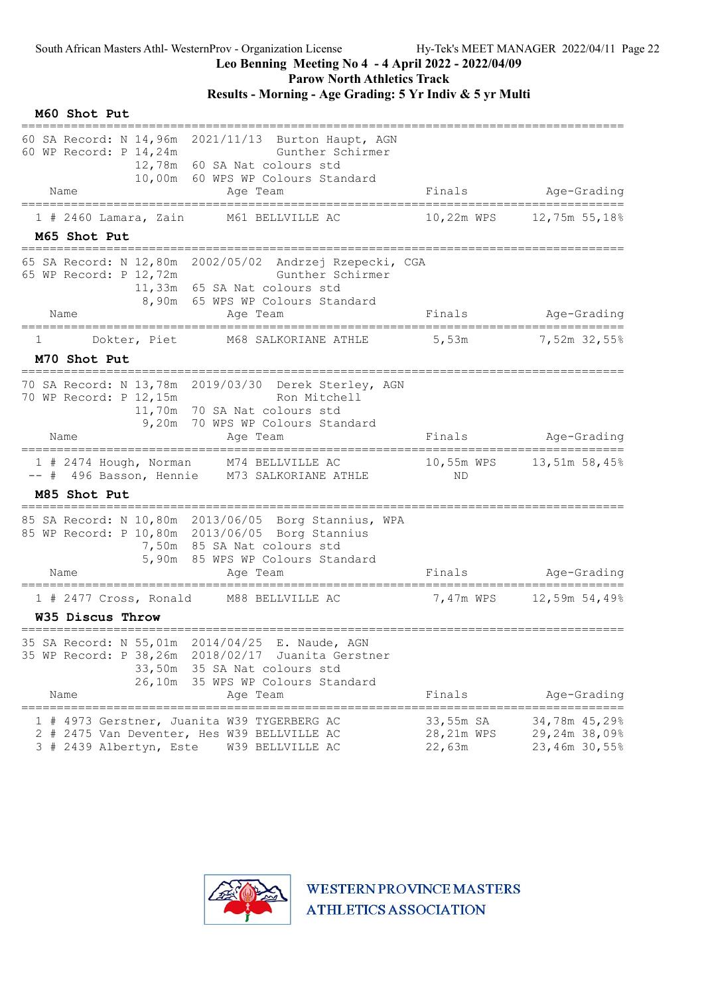### Leo Benning Meeting No 4 - 4 April 2022 - 2022/04/09

Parow North Athletics Track

Results - Morning - Age Grading: 5 Yr Indiv & 5 yr Multi

M60 Shot Put ===================================================================================== 60 SA Record: N 14,96m 2021/11/13 Burton Haupt, AGN 60 WP Record: P 14,24m Gunther Schirmer 12,78m 60 SA Nat colours std 10,00m 60 WPS WP Colours Standard Name **Age Team** Age Team Finals Age-Grading ===================================================================================== 1 # 2460 Lamara, Zain M61 BELLVILLE AC M65 Shot Put ===================================================================================== 65 SA Record: N 12,80m 2002/05/02 Andrzej Rzepecki, CGA 65 WP Record: P 12,72m Gunther Schirmer 11,33m 65 SA Nat colours std 8,90m 65 WPS WP Colours Standard Name Age Team Age Team Finals Age-Grading ===================================================================================== 1 Dokter, Piet M68 SALKORIANE ATHLE 5,53m 57,52m 32,55% M70 Shot Put ===================================================================================== 70 SA Record: N 13,78m 2019/03/30 Derek Sterley, AGN 70 WP Record: P 12,15m Ron Mitchell 11,70m 70 SA Nat colours std 9,20m 70 WPS WP Colours Standard Name Research Communication and the Community of Times Pinals and Age-Grading ===================================================================================== 1 # 2474 Hough, Norman M74 BELLVILLE AC 10,55m WPS 13,51m 58,45% -- # 496 Basson, Hennie M73 SALKORIANE ATHLE ND M85 Shot Put ===================================================================================== 85 SA Record: N 10,80m 2013/06/05 Borg Stannius, WPA 85 WP Record: P 10,80m 2013/06/05 Borg Stannius 7,50m 85 SA Nat colours std 5,90m 85 WPS WP Colours Standard Name Age Team Age Team Finals Age-Grading ===================================================================================== 1 # 2477 Cross, Ronald M88 BELLVILLE AC 7,47m WPS 12,59m 54,49% W35 Discus Throw ===================================================================================== 35 SA Record: N 55,01m 2014/04/25 E. Naude, AGN 35 WP Record: P 38,26m 2018/02/17 Juanita Gerstner 33,50m 35 SA Nat colours std 26,10m 35 WPS WP Colours Standard<br>Age Team Name Age Team Age Team Finals Age-Grading ===================================================================================== 1 # 4973 Gerstner, Juanita W39 TYGERBERG AC 33,55m SA 34,78m 45,29%<br>2 # 2475 Van Deventer, Hes W39 BELLVILLE AC 28,21m WPS 29,24m 38,09%<br>3 # 2439 Albertvn, Este W39 BELLVILLE AC 22,63m 23,46m 30,55% 2 # 2475 Van Deventer, Hes W39 BELLVILLE AC 28,21m WPS 29,24m 38,09% 3 # 2439 Albertyn, Este W39 BELLVILLE AC 22,63m 23,46m 30,55%

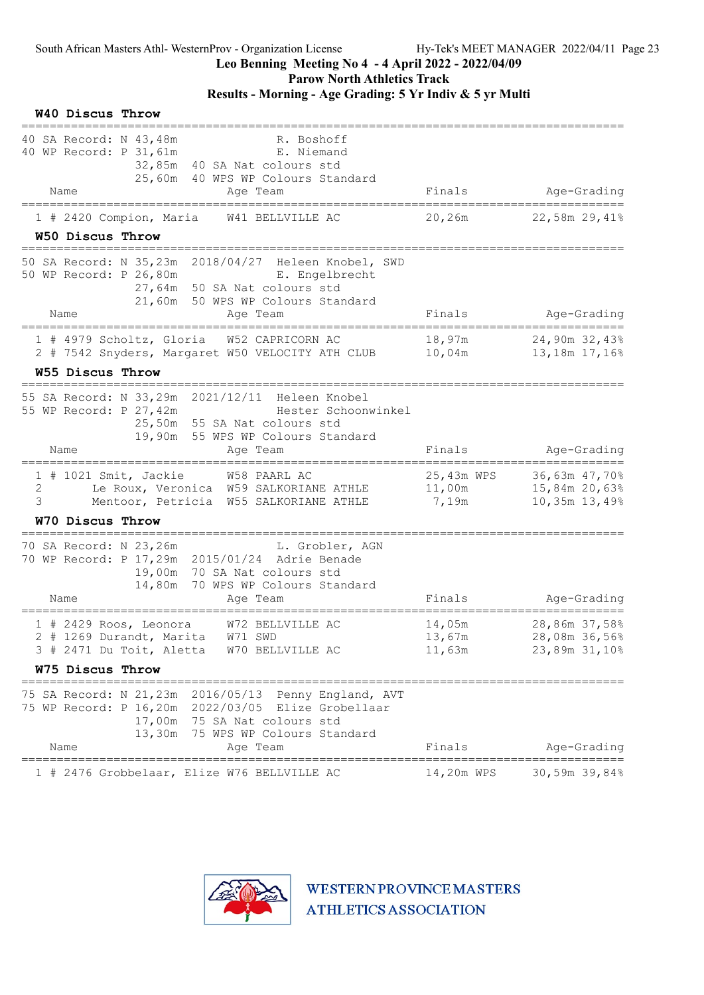W40 Discus Throw

#### Leo Benning Meeting No 4 - 4 April 2022 - 2022/04/09

Parow North Athletics Track

# Results - Morning - Age Grading: 5 Yr Indiv & 5 yr Multi

| 40 SA Record: N 43,48m<br>R. Boshoff<br>40 WP Record: P 31, 61m<br>E. Niemand<br>32,85m 40 SA Nat colours std<br>25,60m 40 WPS WP Colours Standard<br>Name<br>Age Team                              | Finals                        | Age-Grading                                                                      |
|-----------------------------------------------------------------------------------------------------------------------------------------------------------------------------------------------------|-------------------------------|----------------------------------------------------------------------------------|
|                                                                                                                                                                                                     |                               |                                                                                  |
| 1 # 2420 Compion, Maria W41 BELLVILLE AC<br>W50 Discus Throw                                                                                                                                        | 20,26m                        | 22,58m 29,41%                                                                    |
| 50 SA Record: N 35,23m 2018/04/27 Heleen Knobel, SWD<br>50 WP Record: P 26,80m E. Engelbrecht<br>27,64m 50 SA Nat colours std<br>21,60m 50 WPS WP Colours Standard                                  |                               |                                                                                  |
| Name<br>Age Team                                                                                                                                                                                    | Finals                        | Age-Grading                                                                      |
| ========================<br>======================<br>1 # 4979 Scholtz, Gloria W52 CAPRICORN AC<br>2 # 7542 Snyders, Margaret W50 VELOCITY ATH CLUB                                                 | 18,97m<br>$10$ ,04m           | 24,90m 32,43%<br>13,18m 17,16%                                                   |
| W55 Discus Throw<br>-------------------                                                                                                                                                             |                               |                                                                                  |
| 55 SA Record: N 33,29m 2021/12/11 Heleen Knobel<br>55 WP Record: P 27,42m<br>Hester Schoonwinkel<br>25,50m 55 SA Nat colours std<br>19,90m 55 WPS WP Colours Standard<br>Name<br>Age Team           | Finals                        | Age-Grading                                                                      |
| 1 # 1021 Smit, Jackie W58 PAARL AC<br>Le Roux, Veronica W59 SALKORIANE ATHLE<br>2<br>3<br>Mentoor, Petricia W55 SALKORIANE ATHLE                                                                    | 25,43m WPS<br>11,00m<br>7,19m | 36,63m 47,70%<br>15,84m 20,63%<br>10,35m 13,49%                                  |
| W70 Discus Throw                                                                                                                                                                                    |                               |                                                                                  |
| 70 SA Record: N 23,26m L. Grobler, AGN<br>70 WP Record: P 17,29m 2015/01/24 Adrie Benade<br>19,00m 70 SA Nat colours std<br>14,80m 70 WPS WP Colours Standard<br>Age Team<br>Name                   | Finals                        | Age-Grading                                                                      |
| ============<br>========================<br>----------------<br>$1$ # 2429 Roos, Leonora<br>W72 BELLVILLE AC<br>2 # 1269 Durandt, Marita W71 SWD<br>3 # 2471 Du Toit, Aletta W70 BELLVILLE AC       | 14,05m<br>13,67m<br>11,63m    | =====================<br>$==$<br>28,86m 37,58%<br>28,08m 36,56%<br>23,89m 31,10% |
| W75 Discus Throw                                                                                                                                                                                    |                               |                                                                                  |
| 75 SA Record: N 21,23m 2016/05/13 Penny England, AVT<br>75 WP Record: P 16,20m 2022/03/05 Elize Grobellaar<br>17,00m 75 SA Nat colours std<br>13,30m 75 WPS WP Colours Standard<br>Name<br>Age Team | Finals                        | Age-Grading                                                                      |
| =======================                                                                                                                                                                             |                               |                                                                                  |
| 1 # 2476 Grobbelaar, Elize W76 BELLVILLE AC                                                                                                                                                         | 14,20m WPS                    | 30,59m 39,84%                                                                    |

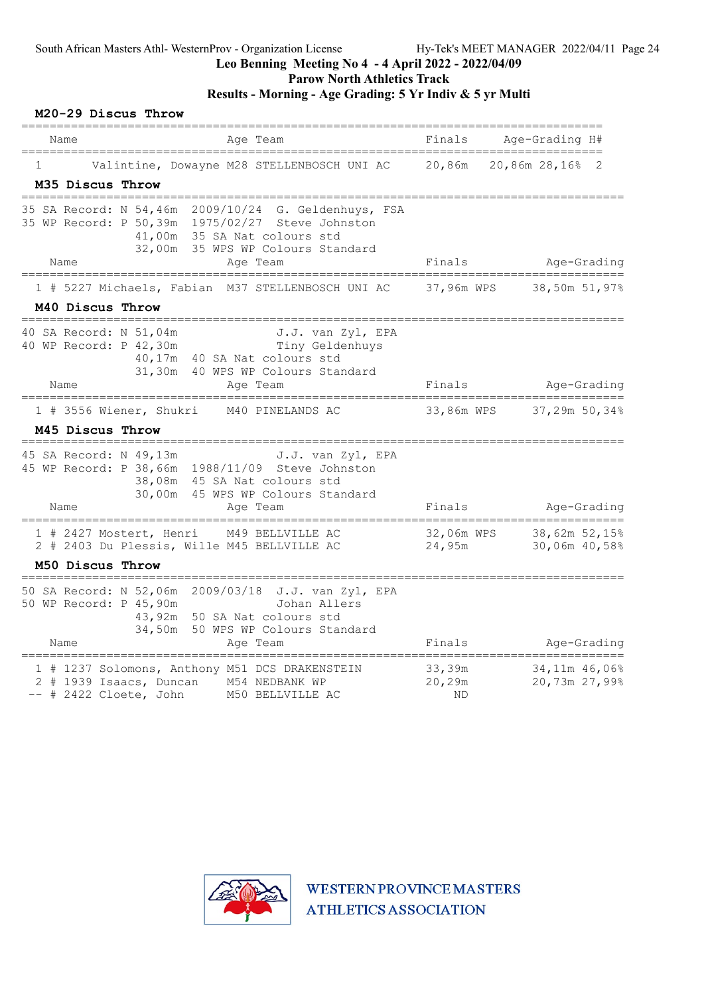# Parow North Athletics Track

Results - Morning - Age Grading: 5 Yr Indiv & 5 yr Multi

|      |                  | M20-29 Discus Throw                              |                                                                                   |                                                                                                                                               |                               |                                     |
|------|------------------|--------------------------------------------------|-----------------------------------------------------------------------------------|-----------------------------------------------------------------------------------------------------------------------------------------------|-------------------------------|-------------------------------------|
| Name |                  |                                                  | Aqe Team                                                                          |                                                                                                                                               | Finals                        | Age-Grading H#                      |
|      | M35 Discus Throw |                                                  |                                                                                   | Valintine, Dowayne M28 STELLENBOSCH UNI AC                                                                                                    | 20,86m                        | 20,86m 28,16%<br>2                  |
|      | ===============  |                                                  | 41,00m 35 SA Nat colours std                                                      | 35 SA Record: N 54,46m 2009/10/24 G. Geldenhuys, FSA<br>35 WP Record: P 50,39m 1975/02/27 Steve Johnston<br>32,00m 35 WPS WP Colours Standard |                               |                                     |
| Name |                  |                                                  | Age Team                                                                          |                                                                                                                                               | Finals                        | Age-Grading<br>==================== |
|      |                  |                                                  |                                                                                   | 1 # 5227 Michaels, Fabian M37 STELLENBOSCH UNI AC                                                                                             | 37,96m WPS                    | 38,50m 51,97%                       |
|      | M40 Discus Throw |                                                  |                                                                                   |                                                                                                                                               |                               |                                     |
| Name |                  | 40 SA Record: N 51,04m<br>40 WP Record: P 42,30m | 40,17m 40 SA Nat colours std<br>Age Team                                          | J.J. van Zyl, EPA<br>Tiny Geldenhuys<br>31,30m 40 WPS WP Colours Standard                                                                     | Finals                        | Age-Grading                         |
|      |                  |                                                  | 1 # 3556 Wiener, Shukri M40 PINELANDS AC                                          |                                                                                                                                               | 33,86m WPS                    | 37,29m 50,34%                       |
|      | M45 Discus Throw |                                                  |                                                                                   |                                                                                                                                               |                               |                                     |
| Name |                  | 45 SA Record: N 49,13m                           | 38,08m 45 SA Nat colours std<br>Age Team                                          | J.J. van Zyl, EPA<br>45 WP Record: P 38,66m 1988/11/09 Steve Johnston<br>30,00m 45 WPS WP Colours Standard                                    | Finals                        | Age-Grading<br>---------------      |
|      |                  | 1 # 2427 Mostert, Henri                          | 2 # 2403 Du Plessis, Wille M45 BELLVILLE AC                                       | M49 BELLVILLE AC                                                                                                                              | 32,06m WPS<br>24,95m          | 38,62m 52,15%<br>30,06m 40,58%      |
|      | M50 Discus Throw | _______________________________                  |                                                                                   |                                                                                                                                               |                               |                                     |
| Name |                  | 50 WP Record: P 45,90m                           | 43,92m 50 SA Nat colours std                                                      | 50 SA Record: N 52,06m 2009/03/18 J.J. van Zyl, EPA<br>Johan Allers<br>34,50m 50 WPS WP Colours Standard                                      | Finals                        |                                     |
|      |                  |                                                  | Age Team                                                                          |                                                                                                                                               |                               | Age-Grading                         |
|      |                  |                                                  | 2 # 1939 Isaacs, Duncan M54 NEDBANK WP<br>-- # 2422 Cloete, John M50 BELLVILLE AC | 1 # 1237 Solomons, Anthony M51 DCS DRAKENSTEIN                                                                                                | 33,39m<br>20,29m<br><b>ND</b> | 34,11m 46,06%<br>20,73m 27,99%      |

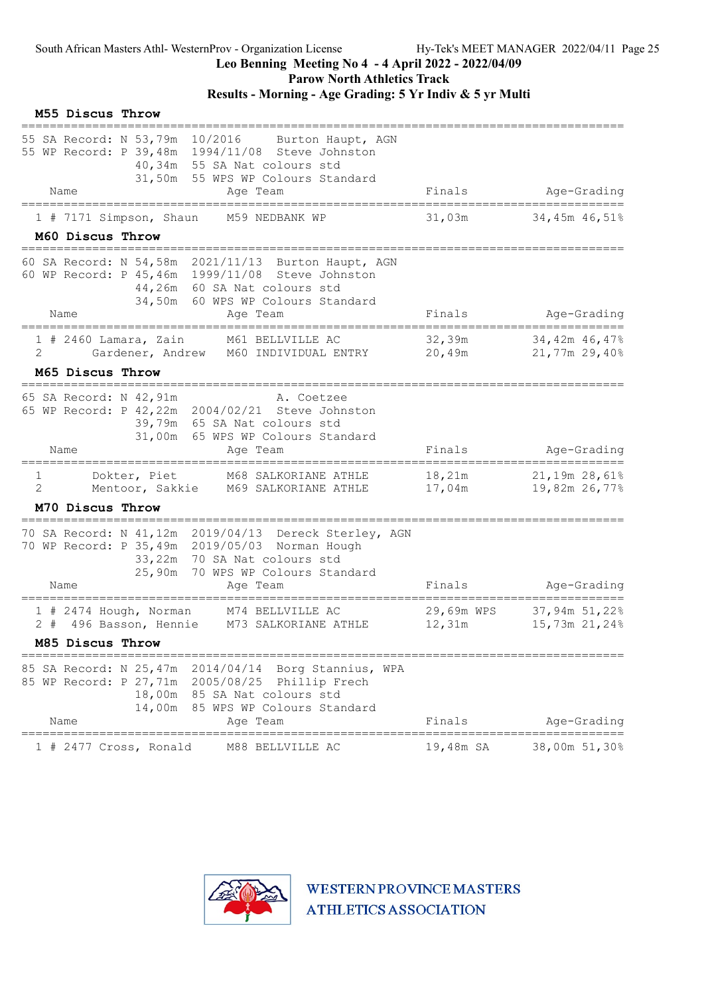Parow North Athletics Track

# Results - Morning - Age Grading: 5 Yr Indiv & 5 yr Multi

| 55 SA Record: N 53,79m 10/2016<br>Burton Haupt, AGN<br>55 WP Record: P 39,48m 1994/11/08 Steve Johnston<br>40,34m 55 SA Nat colours std<br>31,50m 55 WPS WP Colours Standard<br>Age-Grading<br>Finals<br>Name<br>Age Team<br>======================<br>1 # 7171 Simpson, Shaun<br>31,03m<br>34,45m 46,51%<br>M59 NEDBANK WP<br>M60 Discus Throw<br>60 SA Record: N 54,58m 2021/11/13 Burton Haupt, AGN<br>60 WP Record: P 45, 46m 1999/11/08 Steve Johnston<br>44,26m 60 SA Nat colours std<br>34,50m 60 WPS WP Colours Standard<br>Finals<br>Age-Grading<br>Name<br>Age Team<br>32,39m<br>$1$ # 2460 Lamara, Zain<br>M61 BELLVILLE AC<br>34,42m 46,47%<br>2<br>Gardener, Andrew M60 INDIVIDUAL ENTRY<br>20,49m<br>21,77m 29,40%<br>M65 Discus Throw<br>65 SA Record: N 42,91m<br>A. Coetzee<br>65 WP Record: P 42, 22m 2004/02/21 Steve Johnston<br>39,79m 65 SA Nat colours std<br>31,00m 65 WPS WP Colours Standard<br>Finals<br>Age-Grading<br>Name<br>Age Team<br>$\mathbf{1}$<br>Dokter, Piet<br>18 <b>,</b> 21m<br>21,19m 28,61%<br>M68 SALKORIANE ATHLE<br>2<br>Mentoor, Sakkie<br>17,04m<br>19,82m 26,77%<br>M69 SALKORIANE ATHLE<br>M70 Discus Throw<br>70 SA Record: N 41,12m 2019/04/13 Dereck Sterley, AGN<br>70 WP Record: P 35,49m 2019/05/03 Norman Hough<br>33,22m 70 SA Nat colours std<br>25,90m<br>70 WPS WP Colours Standard<br>Finals<br>Age-Grading<br>Name<br>Age Team<br>29,69m WPS<br>37,94m 51,22%<br>1 # 2474 Hough, Norman<br>M74 BELLVILLE AC<br>2 # 496 Basson, Hennie M73 SALKORIANE ATHLE<br>12,31m<br>15,73m 21,24%<br>M85 Discus Throw<br>85 SA Record: N 25,47m 2014/04/14<br>Borg Stannius, WPA<br>85 WP Record: P 27,71m 2005/08/25 Phillip Frech<br>18,00m 85 SA Nat colours std<br>14,00m<br>85 WPS WP Colours Standard<br>Finals<br>Name<br>Age-Grading<br>Aqe Team<br>============<br>====================<br>19,48m SA<br>38,00m 51,30%<br>$1$ # 2477 Cross, Ronald<br>M88 BELLVILLE AC | M55 Discus Throw |  |  |
|------------------------------------------------------------------------------------------------------------------------------------------------------------------------------------------------------------------------------------------------------------------------------------------------------------------------------------------------------------------------------------------------------------------------------------------------------------------------------------------------------------------------------------------------------------------------------------------------------------------------------------------------------------------------------------------------------------------------------------------------------------------------------------------------------------------------------------------------------------------------------------------------------------------------------------------------------------------------------------------------------------------------------------------------------------------------------------------------------------------------------------------------------------------------------------------------------------------------------------------------------------------------------------------------------------------------------------------------------------------------------------------------------------------------------------------------------------------------------------------------------------------------------------------------------------------------------------------------------------------------------------------------------------------------------------------------------------------------------------------------------------------------------------------------------------------------------------------------------------------------------------------------------------------------------------|------------------|--|--|
|                                                                                                                                                                                                                                                                                                                                                                                                                                                                                                                                                                                                                                                                                                                                                                                                                                                                                                                                                                                                                                                                                                                                                                                                                                                                                                                                                                                                                                                                                                                                                                                                                                                                                                                                                                                                                                                                                                                                    |                  |  |  |
|                                                                                                                                                                                                                                                                                                                                                                                                                                                                                                                                                                                                                                                                                                                                                                                                                                                                                                                                                                                                                                                                                                                                                                                                                                                                                                                                                                                                                                                                                                                                                                                                                                                                                                                                                                                                                                                                                                                                    |                  |  |  |
|                                                                                                                                                                                                                                                                                                                                                                                                                                                                                                                                                                                                                                                                                                                                                                                                                                                                                                                                                                                                                                                                                                                                                                                                                                                                                                                                                                                                                                                                                                                                                                                                                                                                                                                                                                                                                                                                                                                                    |                  |  |  |
|                                                                                                                                                                                                                                                                                                                                                                                                                                                                                                                                                                                                                                                                                                                                                                                                                                                                                                                                                                                                                                                                                                                                                                                                                                                                                                                                                                                                                                                                                                                                                                                                                                                                                                                                                                                                                                                                                                                                    |                  |  |  |
|                                                                                                                                                                                                                                                                                                                                                                                                                                                                                                                                                                                                                                                                                                                                                                                                                                                                                                                                                                                                                                                                                                                                                                                                                                                                                                                                                                                                                                                                                                                                                                                                                                                                                                                                                                                                                                                                                                                                    |                  |  |  |
|                                                                                                                                                                                                                                                                                                                                                                                                                                                                                                                                                                                                                                                                                                                                                                                                                                                                                                                                                                                                                                                                                                                                                                                                                                                                                                                                                                                                                                                                                                                                                                                                                                                                                                                                                                                                                                                                                                                                    |                  |  |  |
|                                                                                                                                                                                                                                                                                                                                                                                                                                                                                                                                                                                                                                                                                                                                                                                                                                                                                                                                                                                                                                                                                                                                                                                                                                                                                                                                                                                                                                                                                                                                                                                                                                                                                                                                                                                                                                                                                                                                    |                  |  |  |
|                                                                                                                                                                                                                                                                                                                                                                                                                                                                                                                                                                                                                                                                                                                                                                                                                                                                                                                                                                                                                                                                                                                                                                                                                                                                                                                                                                                                                                                                                                                                                                                                                                                                                                                                                                                                                                                                                                                                    |                  |  |  |
|                                                                                                                                                                                                                                                                                                                                                                                                                                                                                                                                                                                                                                                                                                                                                                                                                                                                                                                                                                                                                                                                                                                                                                                                                                                                                                                                                                                                                                                                                                                                                                                                                                                                                                                                                                                                                                                                                                                                    |                  |  |  |
|                                                                                                                                                                                                                                                                                                                                                                                                                                                                                                                                                                                                                                                                                                                                                                                                                                                                                                                                                                                                                                                                                                                                                                                                                                                                                                                                                                                                                                                                                                                                                                                                                                                                                                                                                                                                                                                                                                                                    |                  |  |  |
|                                                                                                                                                                                                                                                                                                                                                                                                                                                                                                                                                                                                                                                                                                                                                                                                                                                                                                                                                                                                                                                                                                                                                                                                                                                                                                                                                                                                                                                                                                                                                                                                                                                                                                                                                                                                                                                                                                                                    |                  |  |  |
|                                                                                                                                                                                                                                                                                                                                                                                                                                                                                                                                                                                                                                                                                                                                                                                                                                                                                                                                                                                                                                                                                                                                                                                                                                                                                                                                                                                                                                                                                                                                                                                                                                                                                                                                                                                                                                                                                                                                    |                  |  |  |
|                                                                                                                                                                                                                                                                                                                                                                                                                                                                                                                                                                                                                                                                                                                                                                                                                                                                                                                                                                                                                                                                                                                                                                                                                                                                                                                                                                                                                                                                                                                                                                                                                                                                                                                                                                                                                                                                                                                                    |                  |  |  |
|                                                                                                                                                                                                                                                                                                                                                                                                                                                                                                                                                                                                                                                                                                                                                                                                                                                                                                                                                                                                                                                                                                                                                                                                                                                                                                                                                                                                                                                                                                                                                                                                                                                                                                                                                                                                                                                                                                                                    |                  |  |  |
|                                                                                                                                                                                                                                                                                                                                                                                                                                                                                                                                                                                                                                                                                                                                                                                                                                                                                                                                                                                                                                                                                                                                                                                                                                                                                                                                                                                                                                                                                                                                                                                                                                                                                                                                                                                                                                                                                                                                    |                  |  |  |
|                                                                                                                                                                                                                                                                                                                                                                                                                                                                                                                                                                                                                                                                                                                                                                                                                                                                                                                                                                                                                                                                                                                                                                                                                                                                                                                                                                                                                                                                                                                                                                                                                                                                                                                                                                                                                                                                                                                                    |                  |  |  |
|                                                                                                                                                                                                                                                                                                                                                                                                                                                                                                                                                                                                                                                                                                                                                                                                                                                                                                                                                                                                                                                                                                                                                                                                                                                                                                                                                                                                                                                                                                                                                                                                                                                                                                                                                                                                                                                                                                                                    |                  |  |  |
|                                                                                                                                                                                                                                                                                                                                                                                                                                                                                                                                                                                                                                                                                                                                                                                                                                                                                                                                                                                                                                                                                                                                                                                                                                                                                                                                                                                                                                                                                                                                                                                                                                                                                                                                                                                                                                                                                                                                    |                  |  |  |

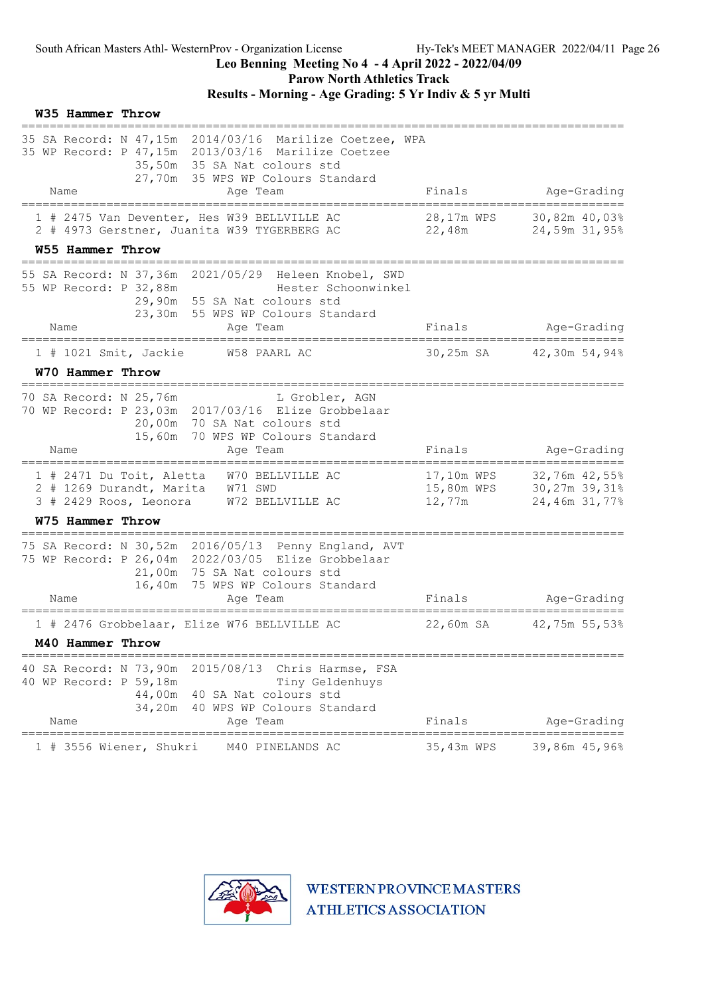Parow North Athletics Track

# Results - Morning - Age Grading: 5 Yr Indiv & 5 yr Multi

| <b>W35 Hammer Throw</b>                                            |                                                                                                                                                                                             |                                    |                                                 |
|--------------------------------------------------------------------|---------------------------------------------------------------------------------------------------------------------------------------------------------------------------------------------|------------------------------------|-------------------------------------------------|
|                                                                    | 35 SA Record: N 47,15m 2014/03/16 Marilize Coetzee, WPA<br>35 WP Record: P 47,15m 2013/03/16 Marilize Coetzee<br>35,50m 35 SA Nat colours std<br>27,70m 35 WPS WP Colours Standard          |                                    |                                                 |
| Name                                                               | Age Team                                                                                                                                                                                    | Finals                             | Age-Grading                                     |
|                                                                    | 1 # 2475 Van Deventer, Hes W39 BELLVILLE AC<br>2 # 4973 Gerstner, Juanita W39 TYGERBERG AC                                                                                                  | 28,17m WPS<br>22,48m               | 30,82m 40,03%<br>24,59m 31,95%                  |
| W55 Hammer Throw                                                   |                                                                                                                                                                                             |                                    |                                                 |
| 55 WP Record: P 32,88m                                             | 55 SA Record: N 37,36m 2021/05/29 Heleen Knobel, SWD<br>Hester Schoonwinkel<br>29,90m 55 SA Nat colours std<br>23,30m 55 WPS WP Colours Standard                                            |                                    |                                                 |
| Name<br>==================================                         | Age Team<br>_____________________                                                                                                                                                           | Finals                             | Age-Grading<br>=========================        |
| $1$ # 1021 Smit, Jackie                                            | W58 PAARL AC                                                                                                                                                                                |                                    | 30,25m SA 42,30m 54,94%                         |
| W70 Hammer Throw                                                   |                                                                                                                                                                                             |                                    |                                                 |
| 70 SA Record: N 25,76m                                             | L Grobler, AGN<br>70 WP Record: P 23,03m 2017/03/16 Elize Grobbelaar<br>20,00m 70 SA Nat colours std<br>15,60m 70 WPS WP Colours Standard                                                   |                                    |                                                 |
| Name                                                               | Aqe Team                                                                                                                                                                                    | Finals                             | Age-Grading                                     |
| 1 # 2471 Du Toit, Aletta<br>2 # 1269 Durandt, Marita               | W70 BELLVILLE AC<br>W71 SWD<br>3 # 2429 Roos, Leonora W72 BELLVILLE AC                                                                                                                      | 17,10m WPS<br>15,80m WPS<br>12,77m | 32,76m 42,55%<br>30,27m 39,31%<br>24,46m 31,77% |
| W75 Hammer Throw                                                   |                                                                                                                                                                                             |                                    |                                                 |
| Name                                                               | 75 SA Record: N 30,52m 2016/05/13 Penny England, AVT<br>75 WP Record: P 26,04m 2022/03/05 Elize Grobbelaar<br>21,00m 75 SA Nat colours std<br>16,40m 75 WPS WP Colours Standard<br>Age Team | Finals                             | Age-Grading                                     |
|                                                                    | 1 # 2476 Grobbelaar, Elize W76 BELLVILLE AC                                                                                                                                                 | 22,60m SA                          | 42,75m 55,53%                                   |
| M40 Hammer Throw                                                   |                                                                                                                                                                                             |                                    |                                                 |
| 40 SA Record: N 73,90m<br>40 WP Record: P 59,18m<br>34,20m<br>Name | 2015/08/13<br>Chris Harmse, FSA<br>Tiny Geldenhuys<br>44,00m 40 SA Nat colours std<br>40 WPS WP Colours Standard<br>Aqe Team                                                                | Finals                             | Age-Grading                                     |
| 1 # 3556 Wiener, Shukri                                            | =======<br>M40 PINELANDS AC                                                                                                                                                                 | 35,43m WPS                         | 39,86m 45,96%                                   |

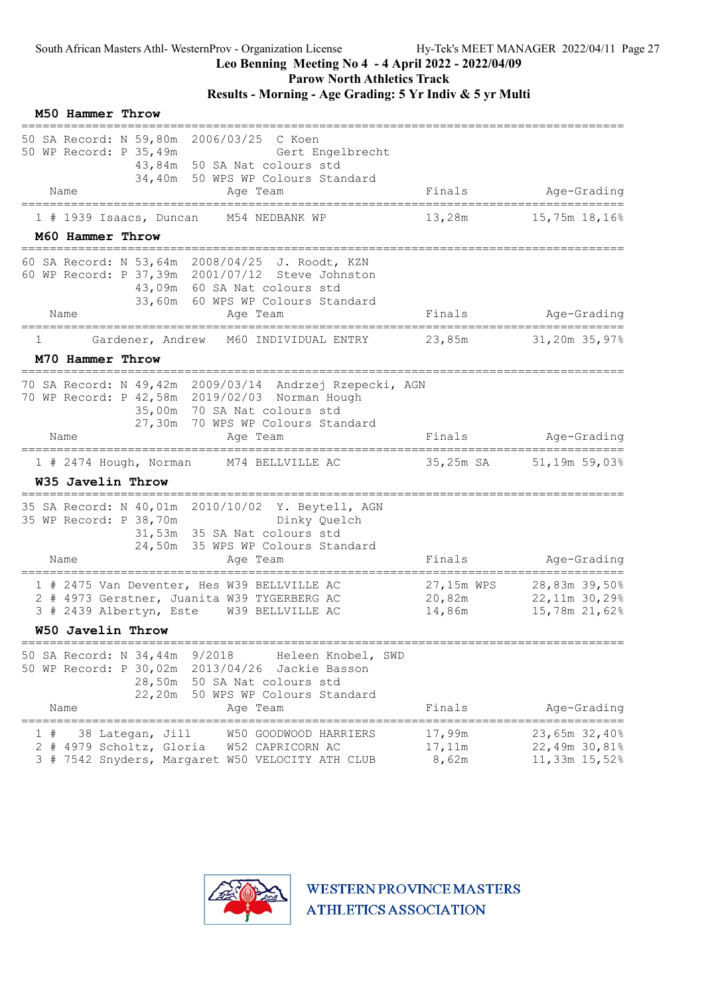Parow North Athletics Track

# Results - Morning - Age Grading: 5 Yr Indiv & 5 yr Multi

|        | M50 Hammer Throw         |                                  |                                                                                                                                                                                      |                                |                                                 |
|--------|--------------------------|----------------------------------|--------------------------------------------------------------------------------------------------------------------------------------------------------------------------------------|--------------------------------|-------------------------------------------------|
|        | Name                     | 50 WP Record: P 35,49m           | 50 SA Record: N 59,80m 2006/03/25 C Koen<br>Gert Engelbrecht<br>43,84m 50 SA Nat colours std<br>34,40m 50 WPS WP Colours Standard<br>Age Team                                        | Finals                         | Age-Grading                                     |
|        |                          | $1$ # 1939 Isaacs, Duncan        | ======================================<br>M54 NEDBANK WP                                                                                                                             | 13,28m                         | 15,75m 18,16%                                   |
|        | M60 Hammer Throw         |                                  |                                                                                                                                                                                      |                                |                                                 |
|        | Name                     |                                  | 60 SA Record: N 53,64m 2008/04/25 J. Roodt, KZN<br>60 WP Record: P 37,39m 2001/07/12 Steve Johnston<br>43,09m 60 SA Nat colours std<br>33,60m 60 WPS WP Colours Standard<br>Age Team | Finals                         | Age-Grading                                     |
|        | ===================      |                                  |                                                                                                                                                                                      |                                |                                                 |
| 1      |                          | Gardener, Andrew                 | M60 INDIVIDUAL ENTRY                                                                                                                                                                 | 23,85m                         | 31,20m 35,97%                                   |
|        | M70 Hammer Throw         |                                  | =====================================                                                                                                                                                |                                |                                                 |
|        |                          |                                  | 70 SA Record: N 49,42m 2009/03/14 Andrzej Rzepecki, AGN<br>70 WP Record: P 42,58m 2019/02/03 Norman Hough<br>35,00m 70 SA Nat colours std<br>27,30m 70 WPS WP Colours Standard       |                                |                                                 |
|        | Name                     |                                  | Aqe Team                                                                                                                                                                             | Finals                         | Age-Grading                                     |
|        |                          | $1$ # 2474 Hough, Norman         | M74 BELLVILLE AC                                                                                                                                                                     | 35,25m SA                      | 51,19m 59,03%                                   |
|        | W35 Javelin Throw        |                                  |                                                                                                                                                                                      |                                |                                                 |
|        |                          | 35 WP Record: P 38,70m           | 35 SA Record: N 40,01m 2010/10/02 Y. Beytell, AGN<br>Dinky Quelch<br>31,53m 35 SA Nat colours std<br>24,50m 35 WPS WP Colours Standard                                               |                                |                                                 |
|        | Name                     |                                  | Age Team                                                                                                                                                                             | Finals                         | Age-Grading                                     |
|        |                          | 3 # 2439 Albertyn, Este          | 1 # 2475 Van Deventer, Hes W39 BELLVILLE AC<br>2 # 4973 Gerstner, Juanita W39 TYGERBERG AC<br>W39 BELLVILLE AC                                                                       | 27,15m WPS<br>20,82m<br>14,86m | 28,83m 39,50%<br>22,11m 30,29%<br>15,78m 21,62% |
|        | <b>W50 Javelin Throw</b> | ================================ |                                                                                                                                                                                      |                                |                                                 |
|        |                          | 50 SA Record: N 34,44m 9/2018    | Heleen Knobel, SWD<br>50 WP Record: P 30,02m 2013/04/26 Jackie Basson<br>28,50m 50 SA Nat colours std<br>22,20m 50 WPS WP Colours Standard                                           |                                |                                                 |
|        | Name                     |                                  | Age Team                                                                                                                                                                             | Finals                         | Age-Grading                                     |
| ı<br># |                          | 38 Lategan, Jill                 | W50 GOODWOOD HARRIERS<br>2 # 4979 Scholtz, Gloria W52 CAPRICORN AC<br>3 # 7542 Snyders, Margaret W50 VELOCITY ATH CLUB                                                               | 17,99m<br>17,11m<br>8,62m      | 23,65m 32,40%<br>22,49m 30,81%<br>11,33m 15,52% |

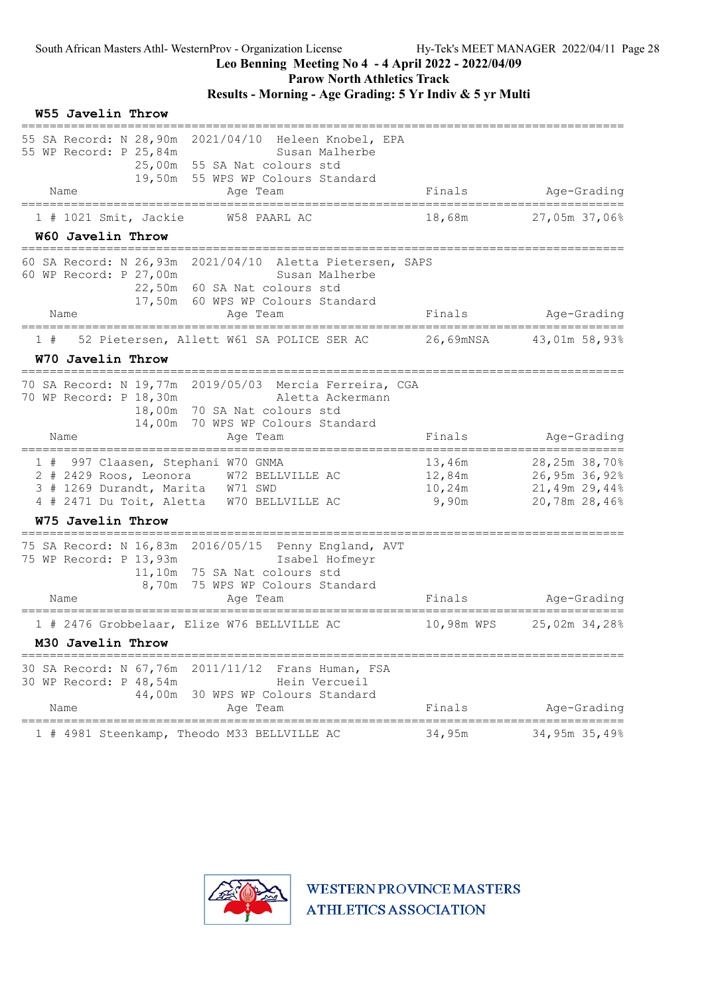Parow North Athletics Track

# Results - Morning - Age Grading: 5 Yr Indiv & 5 yr Multi

| 55 SA Record: N 28,90m 2021/04/10 Heleen Knobel, EPA                                                                                                                                                                                                                      |             |
|---------------------------------------------------------------------------------------------------------------------------------------------------------------------------------------------------------------------------------------------------------------------------|-------------|
| 55 WP Record: P 25,84m<br>Susan Malherbe<br>25,00m 55 SA Nat colours std<br>19,50m 55 WPS WP Colours Standard<br>Finals<br>Name<br>Age Team                                                                                                                               | Age-Grading |
| =======================                                                                                                                                                                                                                                                   |             |
| 18,68m<br>W58 PAARL AC<br>27,05m 37,06%<br>$1$ # 1021 Smit, Jackie<br>W60 Javelin Throw                                                                                                                                                                                   |             |
| 60 SA Record: N 26,93m 2021/04/10 Aletta Pietersen, SAPS                                                                                                                                                                                                                  |             |
| 60 WP Record: P 27,00m<br>Susan Malherbe<br>22,50m 60 SA Nat colours std<br>17,50m 60 WPS WP Colours Standard                                                                                                                                                             |             |
| Finals<br>Name<br>Age Team                                                                                                                                                                                                                                                | Age-Grading |
| ============<br>26,69mNSA<br>52 Pietersen, Allett W61 SA POLICE SER AC<br>43,01m 58,93%<br>1#                                                                                                                                                                             |             |
| W70 Javelin Throw                                                                                                                                                                                                                                                         |             |
| 70 SA Record: N 19,77m 2019/05/03 Mercia Ferreira, CGA<br>70 WP Record: P 18,30m<br>Aletta Ackermann<br>18,00m 70 SA Nat colours std<br>14,00m 70 WPS WP Colours Standard<br>Finals<br>Name<br>Age Team                                                                   | Age-Grading |
| 1 # 997 Claasen, Stephani W70 GNMA<br>28,25m 38,70%<br>13,46m<br>26,95m 36,92%<br>2 # 2429 Roos, Leonora W72 BELLVILLE AC<br>12,84m<br>3 # 1269 Durandt, Marita W71 SWD<br>10,24m<br>21,49m 29,44%<br>4 # 2471 Du Toit, Aletta W70 BELLVILLE AC<br>9,90m<br>20,78m 28,46% |             |
| W75 Javelin Throw                                                                                                                                                                                                                                                         |             |
| 75 SA Record: N 16,83m 2016/05/15 Penny England, AVT<br>75 WP Record: P 13,93m<br>Isabel Hofmeyr<br>11,10m 75 SA Nat colours std<br>8,70m 75 WPS WP Colours Standard<br>Finals<br>Name<br>Age Team                                                                        | Age-Grading |
| 1 # 2476 Grobbelaar, Elize W76 BELLVILLE AC<br>10,98m WPS<br>25,02m 34,28%                                                                                                                                                                                                |             |
| M30 Javelin Throw                                                                                                                                                                                                                                                         |             |
| 30 SA Record: N 67,76m<br>2011/11/12<br>Frans Human, FSA<br>30 WP Record: P 48,54m<br>Hein Vercueil<br>44,00m<br>30 WPS WP Colours Standard<br>Finals<br>Name<br>Aqe Team                                                                                                 | Age-Grading |
| ========================<br>========================<br>1 # 4981 Steenkamp, Theodo M33 BELLVILLE AC<br>34,95m<br>34,95m 35,49%                                                                                                                                            |             |

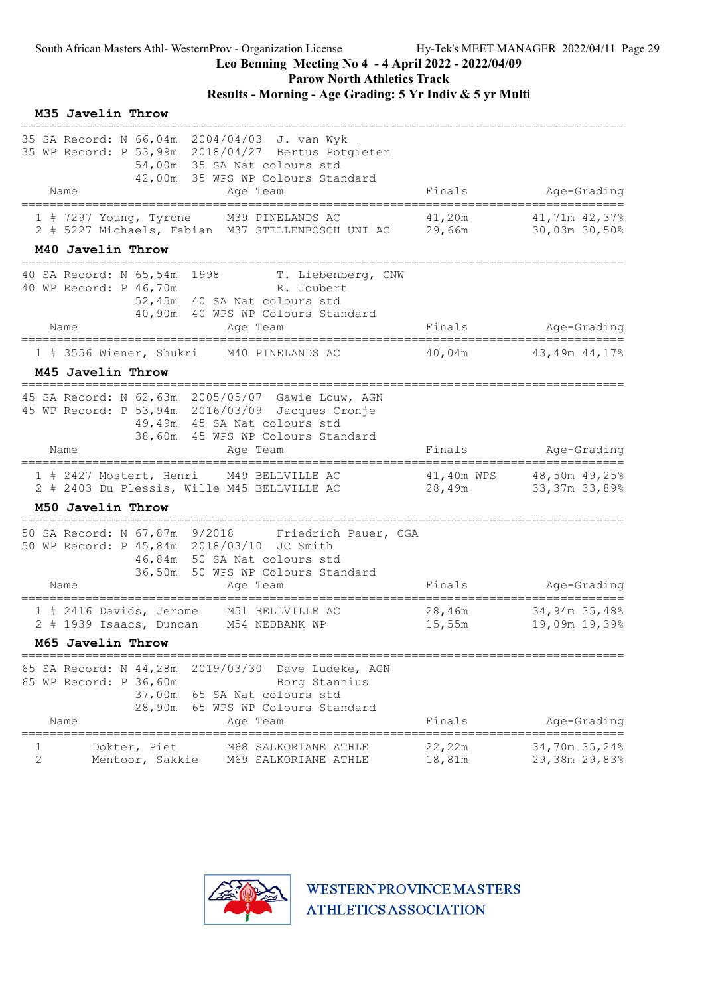Parow North Athletics Track

# Results - Morning - Age Grading: 5 Yr Indiv & 5 yr Multi

|               | M35 Javelin Throw                                                            |                                                                                                                                                                                     |                  |                                           |
|---------------|------------------------------------------------------------------------------|-------------------------------------------------------------------------------------------------------------------------------------------------------------------------------------|------------------|-------------------------------------------|
|               | Name                                                                         | 35 SA Record: N 66,04m 2004/04/03 J. van Wyk<br>35 WP Record: P 53,99m 2018/04/27 Bertus Potgieter<br>54,00m 35 SA Nat colours std<br>42,00m 35 WPS WP Colours Standard<br>Age Team | Finals           | Age-Grading                               |
|               | ======================================<br>1 # 7297 Young, Tyrone             | M39 PINELANDS AC<br>2 # 5227 Michaels, Fabian M37 STELLENBOSCH UNI AC                                                                                                               | 41,20m<br>29,66m | 41,71m 42,37%<br>30,03m 30,50%            |
|               | M40 Javelin Throw                                                            |                                                                                                                                                                                     |                  |                                           |
|               | 40 SA Record: N 65,54m 1998<br>40 WP Record: P 46,70m                        | T. Liebenberg, CNW<br>R. Joubert<br>52,45m 40 SA Nat colours std<br>40,90m 40 WPS WP Colours Standard                                                                               |                  |                                           |
|               | Name<br>===================================                                  | Age Team<br>======================                                                                                                                                                  | Finals           | Age-Grading<br>.------------------------  |
|               | 1 # 3556 Wiener, Shukri                                                      | M40 PINELANDS AC                                                                                                                                                                    | 40,04m           | 43,49m 44,17%                             |
|               | M45 Javelin Throw                                                            |                                                                                                                                                                                     |                  |                                           |
|               |                                                                              | 45 SA Record: N 62,63m 2005/05/07 Gawie Louw, AGN<br>45 WP Record: P 53,94m 2016/03/09 Jacques Cronje<br>49,49m 45 SA Nat colours std<br>38,60m 45 WPS WP Colours Standard          |                  |                                           |
|               | Name                                                                         | Age Team                                                                                                                                                                            | Finals           | Age-Grading                               |
|               |                                                                              | 1 # 2427 Mostert, Henri M49 BELLVILLE AC<br>2 # 2403 Du Plessis, Wille M45 BELLVILLE AC                                                                                             | 28,49m           | 41,40m WPS 48,50m 49,25%<br>33,37m 33,89% |
|               | M50 Javelin Throw                                                            |                                                                                                                                                                                     |                  |                                           |
|               | Name                                                                         | 50 SA Record: N 67,87m 9/2018 Friedrich Pauer, CGA<br>50 WP Record: P 45,84m 2018/03/10 JC Smith<br>46,84m 50 SA Nat colours std<br>36,50m 50 WPS WP Colours Standard<br>Age Team   | Finals           | Age-Grading                               |
|               | 1 # 2416 Davids, Jerome                                                      | M51 BELLVILLE AC<br>2 # 1939 Isaacs, Duncan M54 NEDBANK WP                                                                                                                          | 28,46m<br>15,55m | 34,94m 35,48%<br>19,09m 19,39%            |
|               | M65 Javelin Throw                                                            |                                                                                                                                                                                     |                  |                                           |
|               | 65 SA Record: N 44,28m<br>65 WP Record: P 36,60m<br>37,00m<br>28,90m<br>Name | 2019/03/30<br>Dave Ludeke, AGN<br>Borg Stannius<br>65 SA Nat colours std<br>65 WPS WP Colours Standard<br>Age Team                                                                  | Finals           | Age-Grading                               |
| --------<br>2 | Dokter, Piet<br>Mentoor, Sakkie                                              | M68 SALKORIANE ATHLE<br>M69 SALKORIANE ATHLE                                                                                                                                        | 22,22m<br>18,81m | 34,70m 35,24%<br>29,38m 29,83%            |

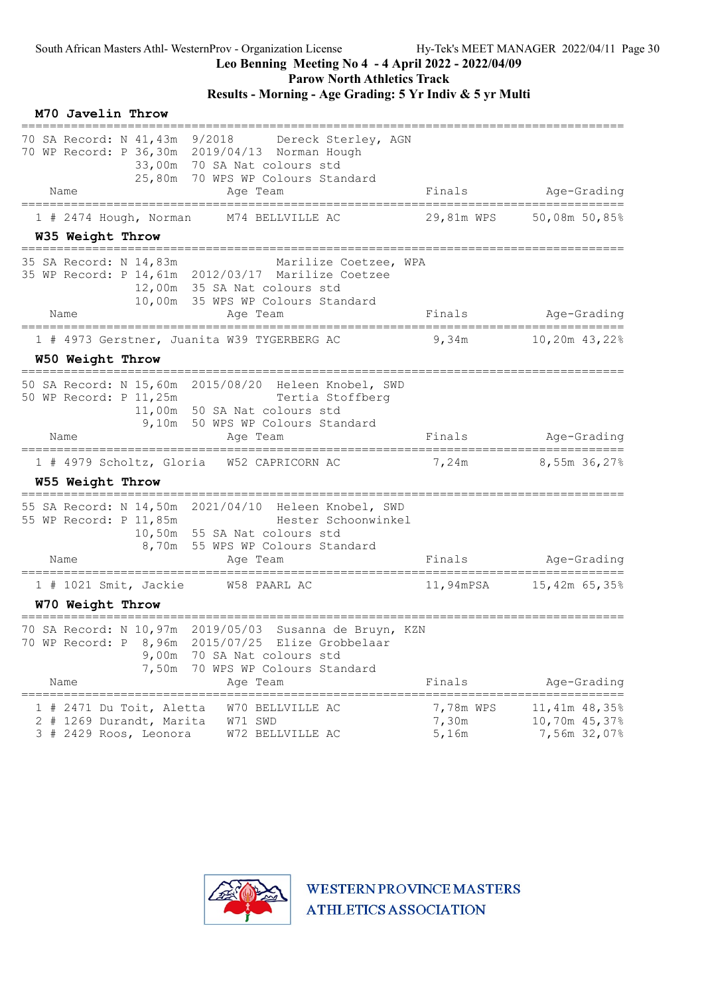Parow North Athletics Track

# Results - Morning - Age Grading: 5 Yr Indiv & 5 yr Multi

|    | M70 Javelin Throw                                                          |                         |                                                                                                                                                             |                             |                                                          |
|----|----------------------------------------------------------------------------|-------------------------|-------------------------------------------------------------------------------------------------------------------------------------------------------------|-----------------------------|----------------------------------------------------------|
|    | 70 SA Record: N 41,43m 9/2018<br>Name<br>========================          |                         | Dereck Sterley, AGN<br>70 WP Record: P 36,30m 2019/04/13 Norman Hough<br>33,00m 70 SA Nat colours std<br>25,80m 70 WPS WP Colours Standard<br>Age Team      | Finals                      | Age-Grading                                              |
|    | $1$ # 2474 Hough, Norman                                                   |                         | M74 BELLVILLE AC                                                                                                                                            | 29,81m WPS                  | 50,08m 50,85%                                            |
|    | W35 Weight Throw                                                           |                         |                                                                                                                                                             |                             |                                                          |
|    | 35 SA Record: N 14,83m                                                     |                         | Marilize Coetzee, WPA<br>35 WP Record: P 14,61m 2012/03/17 Marilize Coetzee<br>12,00m 35 SA Nat colours std<br>10,00m 35 WPS WP Colours Standard            |                             |                                                          |
|    | Name                                                                       |                         | Age Team<br>=====================                                                                                                                           | Finals                      | Age-Grading                                              |
|    |                                                                            |                         | 1 # 4973 Gerstner, Juanita W39 TYGERBERG AC                                                                                                                 | 9,34m                       | 10,20m 43,22%                                            |
|    | W50 Weight Throw                                                           |                         |                                                                                                                                                             |                             |                                                          |
|    | 50 WP Record: P 11,25m                                                     |                         | 50 SA Record: N 15,60m 2015/08/20 Heleen Knobel, SWD<br>Tertia Stoffberg<br>11,00m 50 SA Nat colours std<br>9,10m 50 WPS WP Colours Standard                |                             |                                                          |
|    | Name                                                                       |                         | Age Team                                                                                                                                                    | Finals                      | Age-Grading                                              |
|    | W55 Weight Throw                                                           |                         | 1 # 4979 Scholtz, Gloria W52 CAPRICORN AC                                                                                                                   | 7,24m                       | 8,55m 36,27%                                             |
|    | 55 WP Record: P 11,85m<br>Name                                             |                         | 55 SA Record: N 14,50m 2021/04/10 Heleen Knobel, SWD<br>Hester Schoonwinkel<br>10,50m 55 SA Nat colours std<br>8,70m 55 WPS WP Colours Standard<br>Age Team | Finals                      | Age-Grading                                              |
|    |                                                                            |                         |                                                                                                                                                             |                             |                                                          |
|    | 1 # 1021 Smit, Jackie<br>W70 Weight Throw                                  |                         | W58 PAARL AC                                                                                                                                                | 11,94mPSA                   | 15,42m 65,35%                                            |
|    | 70 WP Record: P<br>Name                                                    | 8,96m<br>9,00m<br>7,50m | 70 SA Record: N 10,97m 2019/05/03 Susanna de Bruyn, KZN<br>2015/07/25 Elize Grobbelaar<br>70 SA Nat colours std<br>70 WPS WP Colours Standard<br>Aqe Team   | Finals                      | Age-Grading                                              |
| 1# | 2471 Du Toit, Aletta<br>2 # 1269 Durandt, Marita<br>3 # 2429 Roos, Leonora |                         | W70 BELLVILLE AC<br>W71 SWD<br>W72 BELLVILLE AC                                                                                                             | 7,78m WPS<br>7,30m<br>5,16m | ======<br>11,41m 48,35%<br>10,70m 45,37%<br>7,56m 32,07% |

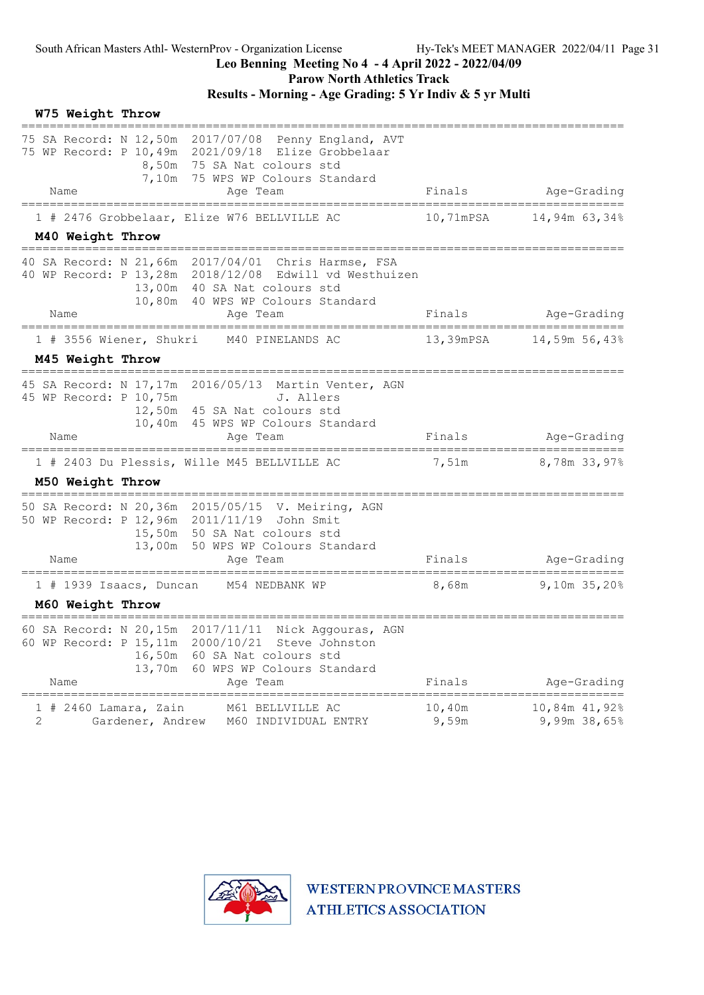Parow North Athletics Track

# Results - Morning - Age Grading: 5 Yr Indiv & 5 yr Multi

|             | W75 Weight Throw |                                             |                                                                                                                                                                                      |                 |                               |
|-------------|------------------|---------------------------------------------|--------------------------------------------------------------------------------------------------------------------------------------------------------------------------------------|-----------------|-------------------------------|
|             |                  |                                             | 75 SA Record: N 12,50m 2017/07/08 Penny England, AVT<br>75 WP Record: P 10,49m 2021/09/18 Elize Grobbelaar<br>8,50m 75 SA Nat colours std<br>7,10m 75 WPS WP Colours Standard        |                 |                               |
|             | Name             | _________________________                   | Age Team                                                                                                                                                                             | Finals          | Age-Grading                   |
|             |                  |                                             | 1 # 2476 Grobbelaar, Elize W76 BELLVILLE AC                                                                                                                                          | 10,71mPSA       | 14,94m 63,34%                 |
|             | M40 Weight Throw |                                             |                                                                                                                                                                                      |                 |                               |
|             |                  |                                             | 40 SA Record: N 21,66m 2017/04/01 Chris Harmse, FSA<br>40 WP Record: P 13,28m 2018/12/08 Edwill vd Westhuizen<br>13,00m 40 SA Nat colours std<br>10,80m 40 WPS WP Colours Standard   |                 |                               |
|             | Name             |                                             | Age Team<br>--------------------                                                                                                                                                     | Finals          | Age-Grading                   |
|             |                  | 1 # 3556 Wiener, Shukri                     | M40 PINELANDS AC                                                                                                                                                                     | 13,39mPSA       | 14,59m 56,43%                 |
|             | M45 Weight Throw |                                             |                                                                                                                                                                                      |                 |                               |
|             | Name             | 45 WP Record: P 10,75m                      | 45 SA Record: N 17,17m 2016/05/13 Martin Venter, AGN<br>J. Allers<br>12,50m 45 SA Nat colours std<br>10,40m 45 WPS WP Colours Standard<br>Aqe Team                                   | Finals          | Age-Grading                   |
|             |                  |                                             | 1 # 2403 Du Plessis, Wille M45 BELLVILLE AC                                                                                                                                          | 7,51m           | 8,78m 33,97%                  |
|             | M50 Weight Throw |                                             |                                                                                                                                                                                      |                 |                               |
|             | Name             |                                             | 50 SA Record: N 20,36m 2015/05/15 V. Meiring, AGN<br>50 WP Record: P 12,96m 2011/11/19<br>John Smit<br>15,50m 50 SA Nat colours std<br>13,00m 50 WPS WP Colours Standard<br>Age Team | Finals          | Age-Grading                   |
|             |                  |                                             | 1 # 1939 Isaacs, Duncan M54 NEDBANK WP                                                                                                                                               | 8,68m           | 9,10m 35,20%                  |
|             | M60 Weight Throw |                                             |                                                                                                                                                                                      |                 |                               |
|             | Name             | 60 WP Record: P 15, 11m<br>16,50m<br>13,70m | 60 SA Record: N 20,15m 2017/11/11 Nick Aggouras, AGN<br>2000/10/21<br>Steve Johnston<br>60 SA Nat colours std<br>60 WPS WP Colours Standard<br>Age Team                              | Finals          | Age-Grading                   |
| #<br>ı<br>2 |                  | 2460 Lamara, Zain<br>Gardener, Andrew       | M61 BELLVILLE AC<br>M60 INDIVIDUAL ENTRY                                                                                                                                             | 10,40m<br>9,59m | 10,84m 41,92%<br>9,99m 38,65% |

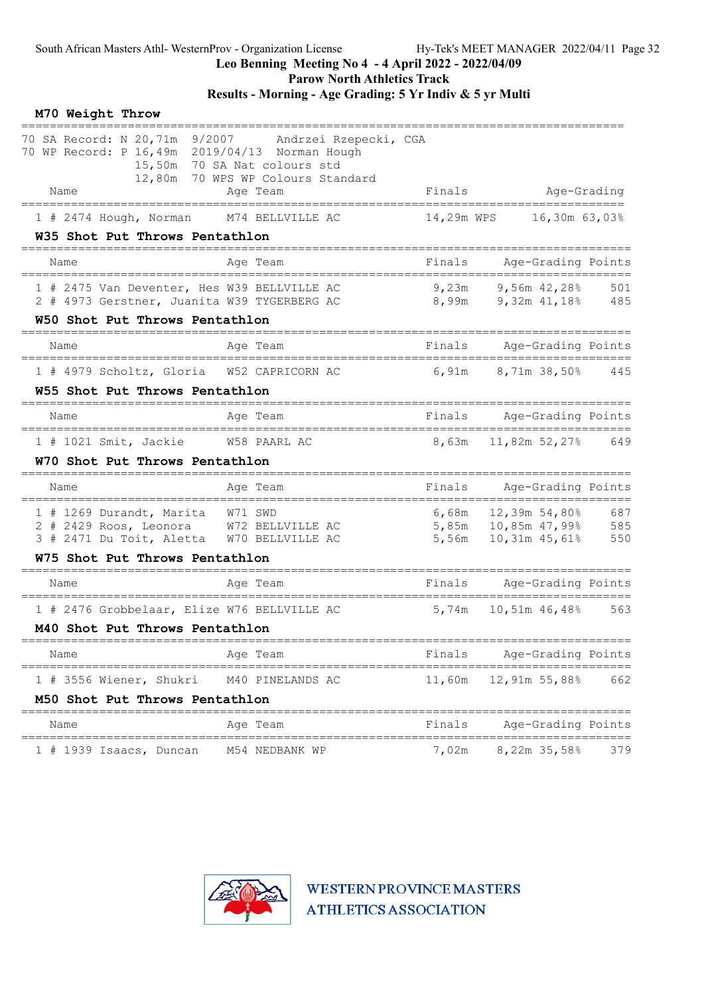Parow North Athletics Track

Results - Morning - Age Grading: 5 Yr Indiv & 5 yr Multi

| M70 Weight Throw                                                                                                             |                                                                               |            |                                                          |                   |
|------------------------------------------------------------------------------------------------------------------------------|-------------------------------------------------------------------------------|------------|----------------------------------------------------------|-------------------|
| 70 SA Record: N 20,71m 9/2007 Andrzei Rzepecki, CGA<br>70 WP Record: P 16,49m 2019/04/13 Norman Hough<br>Name                | 15,50m 70 SA Nat colours std<br>12,80m 70 WPS WP Colours Standard<br>Age Team | Finals     | Age-Grading                                              |                   |
| =====================================<br>$1$ # 2474 Hough, Norman                                                            | M74 BELLVILLE AC                                                              | 14,29m WPS | 16,30m 63,03%                                            |                   |
| W35 Shot Put Throws Pentathlon                                                                                               |                                                                               |            |                                                          |                   |
| Name                                                                                                                         | Age Team                                                                      | Finals     | Age-Grading Points                                       |                   |
| 1 # 2475 Van Deventer, Hes W39 BELLVILLE AC<br>2 # 4973 Gerstner, Juanita W39 TYGERBERG AC<br>W50 Shot Put Throws Pentathlon |                                                                               | 9,23m      | 9,56m 42,28%<br>8,99m 9,32m 41,18% 485                   | 501               |
| Name                                                                                                                         | Age Team                                                                      | Finals     | Age-Grading Points                                       |                   |
| 1 # 4979 Scholtz, Gloria W52 CAPRICORN AC<br>W55 Shot Put Throws Pentathlon                                                  |                                                                               |            | $6,91m$ $8,71m$ $38,50\%$                                | 445               |
| Name                                                                                                                         | Age Team                                                                      | Finals     | Age-Grading Points                                       |                   |
| 1 # 1021 Smit, Jackie<br>W70 Shot Put Throws Pentathlon                                                                      | W58 PAARL AC                                                                  | 8,63m      | 11,82m 52,27%                                            | 649               |
| Name                                                                                                                         | Age Team                                                                      |            | ===========================<br>Finals Age-Grading Points |                   |
| 1 # 1269 Durandt, Marita W71 SWD<br>2 # 2429 Roos, Leonora W72 BELLVILLE AC<br>3 # 2471 Du Toit, Aletta W70 BELLVILLE AC     |                                                                               |            | $6,68m$ $12,39m$ $54,80%$<br>5,56m $10,31m$ 45,61%       | 687<br>585<br>550 |
| W75 Shot Put Throws Pentathlon                                                                                               |                                                                               |            |                                                          |                   |
| Name                                                                                                                         | Age Team                                                                      | Finals     | Age-Grading Points                                       |                   |
| 1 # 2476 Grobbelaar, Elize W76 BELLVILLE AC<br>M40 Shot Put Throws Pentathlon                                                |                                                                               | 5,74m      | 10,51m 46,48%                                            | 563               |
| Name                                                                                                                         | Age Team                                                                      | Finals     | Age-Grading Points                                       |                   |
| 1 # 3556 Wiener, Shukri<br>M50 Shot Put Throws Pentathlon                                                                    | M40 PINELANDS AC                                                              | 11,60m     | 12,91m 55,88%                                            | 662               |
| Name                                                                                                                         | Aqe Team                                                                      | Finals     | Age-Grading Points                                       |                   |
| 1 # 1939 Isaacs, Duncan                                                                                                      | M54 NEDBANK WP                                                                | 7,02m      | ====================<br>8,22m 35,58%                     | 379               |

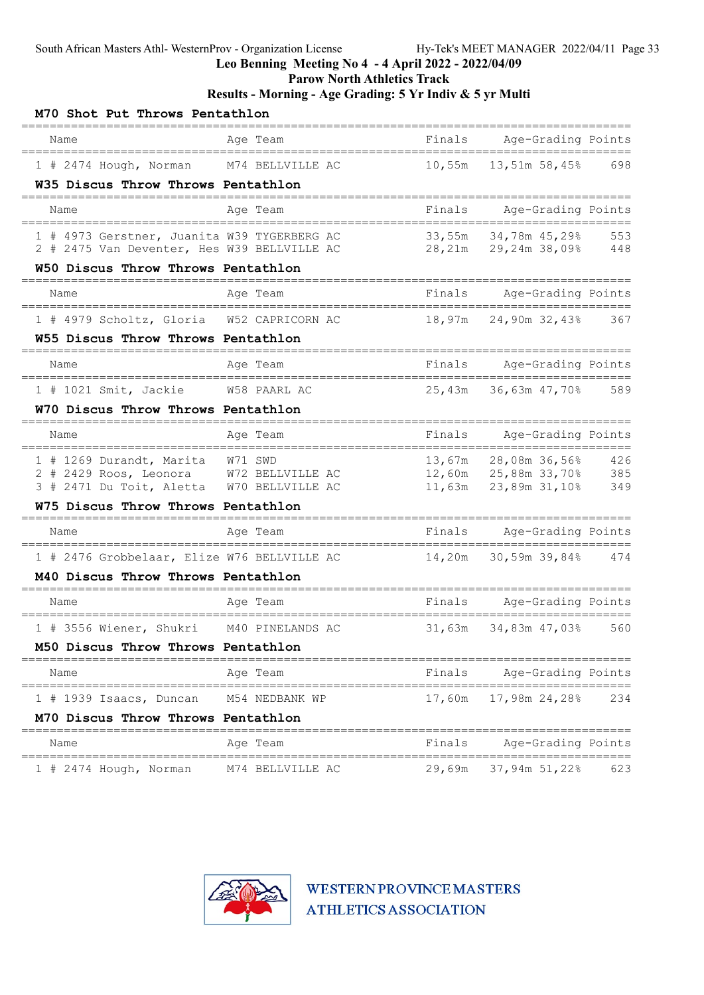Leo Benning Meeting No 4 - 4 April 2022 - 2022/04/09

Parow North Athletics Track

Results - Morning - Age Grading: 5 Yr Indiv & 5 yr Multi

| M70 Shot Put Throws Pentathlon                                                       |                     |        |                                                                              |            |
|--------------------------------------------------------------------------------------|---------------------|--------|------------------------------------------------------------------------------|------------|
| Name                                                                                 | Aqe Team            | Finals | Age-Grading Points<br>======================                                 |            |
| 1 # 2474 Hough, Norman                                                               | M74 BELLVILLE AC    | 10,55m | 13,51m 58,45%                                                                | 698        |
| W35 Discus Throw Throws Pentathlon                                                   |                     |        |                                                                              |            |
| Name                                                                                 | Age Team            | Finals | Age-Grading Points                                                           |            |
| 1 # 4973 Gerstner, Juanita W39 TYGERBERG AC                                          |                     |        | 33,55m 34,78m 45,29%<br>33,55m 34,78m 45,29% 553<br>28,21m 29,24m 38,09% 448 |            |
| 2 # 2475 Van Deventer, Hes W39 BELLVILLE AC<br>W50 Discus Throw Throws Pentathlon    |                     |        |                                                                              |            |
|                                                                                      |                     |        |                                                                              |            |
| Name                                                                                 | Age Team            | Finals | Age-Grading Points                                                           |            |
| 1 # 4979 Scholtz, Gloria W52 CAPRICORN AC                                            |                     | 18,97m | 24,90m 32,43%                                                                | 367        |
| W55 Discus Throw Throws Pentathlon                                                   |                     |        |                                                                              |            |
| Name                                                                                 | Age Team            | Finals | Age-Grading Points                                                           |            |
| 1 # 1021 Smit, Jackie W58 PAARL AC                                                   |                     | 25,43m | 36,63m 47,70%                                                                | 589        |
| W70 Discus Throw Throws Pentathlon                                                   |                     |        |                                                                              |            |
| Name<br>____________________________________                                         | Age Team            | Finals | Age-Grading Points<br>=========================                              |            |
| 1 # 1269 Durandt, Marita W71 SWD                                                     |                     | 13,67m | 28,08m 36,56%                                                                | 426        |
| 2 # 2429 Roos, Leonora W72 BELLVILLE AC<br>3 # 2471 Du Toit, Aletta W70 BELLVILLE AC |                     |        | 12,60m  25,88m  33,70%<br>11,63m  23,89m  31,10%                             | 385<br>349 |
| W75 Discus Throw Throws Pentathlon                                                   |                     |        |                                                                              |            |
| =====================================<br>Name                                        | Age Team            | Finals | Age-Grading Points                                                           |            |
| 1 # 2476 Grobbelaar, Elize W76 BELLVILLE AC                                          |                     | 14,20m | =================<br>30,59m 39,84%                                           | 474        |
| M40 Discus Throw Throws Pentathlon<br>------------------                             |                     |        |                                                                              |            |
| Name                                                                                 | Age Team            | Finals | Age-Grading Points                                                           |            |
| 1 # 3556 Wiener, Shukri M40 PINELANDS AC                                             |                     |        | 31,63m 34,83m 47,03%                                                         | 560        |
| M50 Discus Throw Throws Pentathlon                                                   |                     |        |                                                                              |            |
| Name                                                                                 | Age Team            | Finals | Age-Grading Points                                                           |            |
| ===================================<br>1 # 1939 Isaacs, Duncan                       | M54 NEDBANK WP      | 17,60m | 17,98m 24,28%                                                                | 234        |
| M70 Discus Throw Throws Pentathlon                                                   |                     |        |                                                                              |            |
| Name                                                                                 | -------<br>Age Team | Finals | Age-Grading Points                                                           |            |
| $1$ # 2474 Hough, Norman                                                             | M74 BELLVILLE AC    | 29,69m | 37,94m 51,22%                                                                | 623        |

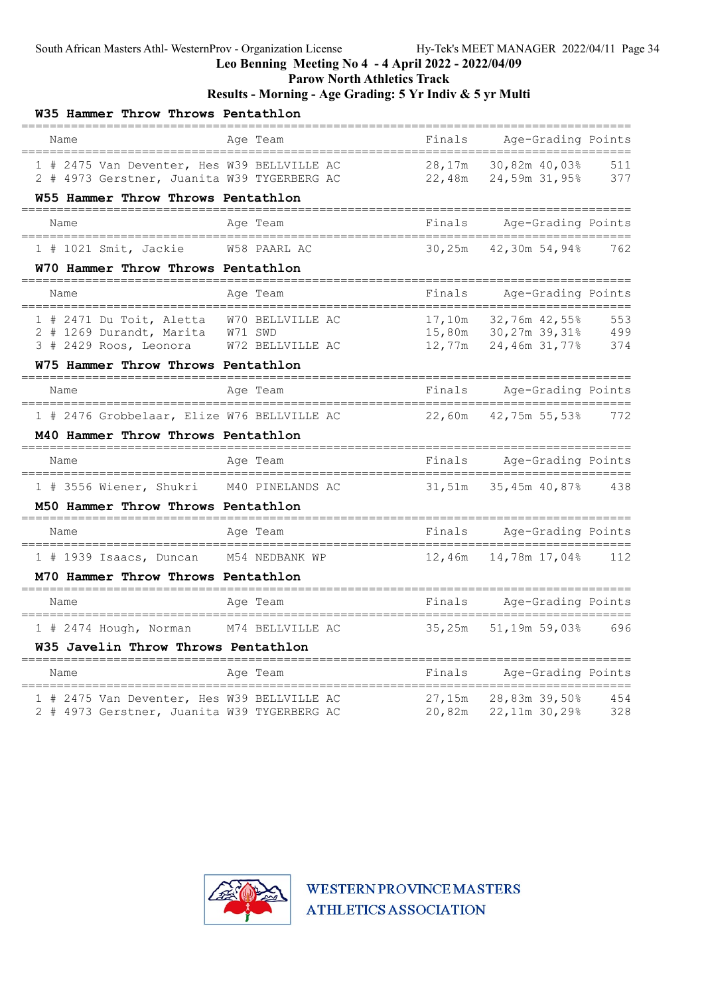# Leo Benning Meeting No 4 - 4 April 2022 - 2022/04/09

Parow North Athletics Track

Results - Morning - Age Grading: 5 Yr Indiv & 5 yr Multi

| W35 Hammer Throw Throws Pentathlon                                                                                    |                                                 |                            |                                                 |                   |
|-----------------------------------------------------------------------------------------------------------------------|-------------------------------------------------|----------------------------|-------------------------------------------------|-------------------|
| Name                                                                                                                  | Age Team                                        | Finals                     | Age-Grading Points                              |                   |
| 1 # 2475 Van Deventer, Hes W39 BELLVILLE AC<br>2 # 4973 Gerstner, Juanita W39 TYGERBERG AC                            |                                                 | 28,17m<br>22,48m           | 30,82m 40,03%<br>24,59m 31,95%                  | 511<br>377        |
| W55 Hammer Throw Throws Pentathlon<br>___________________                                                             |                                                 |                            |                                                 |                   |
| Name<br>==================================                                                                            | Age Team                                        | Finals                     | Age-Grading Points                              |                   |
| 1 # 1021 Smit, Jackie                                                                                                 | W58 PAARL AC                                    | 30,25m                     | 42,30m 54,94%                                   | 762               |
| W70 Hammer Throw Throws Pentathlon                                                                                    |                                                 |                            |                                                 |                   |
| Name                                                                                                                  | Age Team                                        | Finals                     | Age-Grading Points                              |                   |
| 1 # 2471 Du Toit, Aletta<br>2 # 1269 Durandt, Marita<br>3 # 2429 Roos, Leonora                                        | W70 BELLVILLE AC<br>W71 SWD<br>W72 BELLVILLE AC | 17,10m<br>15,80m<br>12,77m | 32,76m 42,55%<br>30,27m 39,31%<br>24,46m 31,77% | 553<br>499<br>374 |
| W75 Hammer Throw Throws Pentathlon<br>------------------------                                                        |                                                 |                            |                                                 |                   |
| Name                                                                                                                  | Age Team                                        | Finals                     | Age-Grading Points<br>======================    |                   |
| 1 # 2476 Grobbelaar, Elize W76 BELLVILLE AC<br>M40 Hammer Throw Throws Pentathlon                                     |                                                 | 22,60m                     | 42,75m 55,53%                                   | 772               |
| Name                                                                                                                  | Age Team                                        | Finals                     | Age-Grading Points                              |                   |
| ===============================<br>1 # 3556 Wiener, Shukri M40 PINELANDS AC                                           | =======================                         | 31,51m                     | =======<br>======<br>35,45m 40,87%              | 438               |
| M50 Hammer Throw Throws Pentathlon<br>------------------------                                                        |                                                 |                            |                                                 |                   |
| Name                                                                                                                  | Age Team                                        | Finals                     | Age-Grading Points                              |                   |
| 1 # 1939 Isaacs, Duncan                                                                                               | M54 NEDBANK WP                                  | 12,46m                     | 14,78m 17,04%                                   | 112               |
| M70 Hammer Throw Throws Pentathlon                                                                                    |                                                 |                            |                                                 |                   |
| Name                                                                                                                  | Age Team                                        | Finals                     | Age-Grading Points                              |                   |
| 1 # 2474 Hough, Norman M74 BELLVILLE AC<br>W35 Javelin Throw Throws Pentathlon                                        |                                                 | 35,25m                     | 51,19m 59,03%                                   | 696               |
| Name                                                                                                                  | Age Team                                        | Finals                     | Age-Grading Points                              |                   |
| =======================<br>1 # 2475 Van Deventer, Hes W39 BELLVILLE AC<br>2 # 4973 Gerstner, Juanita W39 TYGERBERG AC | =====================                           | 27,15m<br>20,82m           | ======<br>28,83m 39,50%<br>22,11m 30,29%        | 454<br>328        |

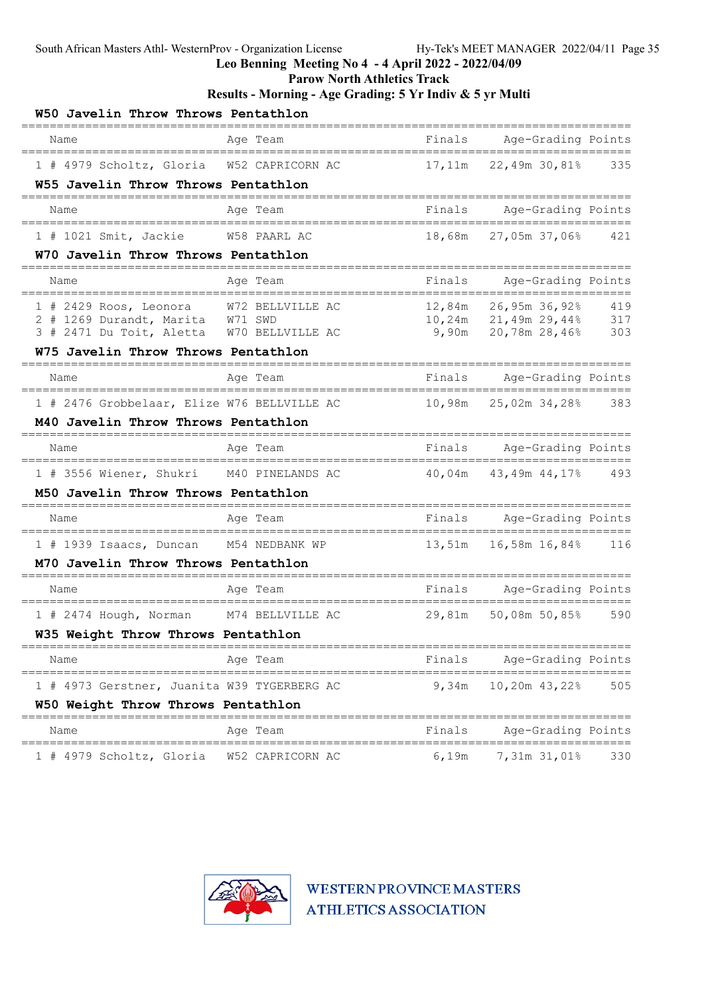#### Leo Benning Meeting No 4 - 4 April 2022 - 2022/04/09

Parow North Athletics Track

#### Results - Morning - Age Grading: 5 Yr Indiv & 5 yr Multi

| W50 Javelin Throw Throws Pentathlon                                           |                                  |                     |                                                                |            |
|-------------------------------------------------------------------------------|----------------------------------|---------------------|----------------------------------------------------------------|------------|
| Name                                                                          | Age Team                         | Finals              | Age-Grading Points<br>======                                   |            |
| 1 # 4979 Scholtz, Gloria                                                      | W52 CAPRICORN AC                 | 17,11m              | 22,49m 30,81%                                                  | 335        |
| W55 Javelin Throw Throws Pentathlon                                           |                                  |                     |                                                                |            |
| Name                                                                          | Age Team                         | Finals              | Age-Grading Points                                             |            |
| 1 # 1021 Smit, Jackie                                                         | W58 PAARL AC                     | 18,68m              | 27,05m 37,06%                                                  | 421        |
| W70 Javelin Throw Throws Pentathlon                                           |                                  |                     |                                                                |            |
| Name                                                                          | Age Team                         | Finals              | Age-Grading Points                                             |            |
| $1$ # 2429 Roos, Leonora                                                      | W72 BELLVILLE AC                 | 12,84m              | 26,95m 36,92%                                                  | 419        |
| 2 # 1269 Durandt, Marita W71 SWD<br>3 # 2471 Du Toit, Aletta W70 BELLVILLE AC |                                  | 9,90m               | $10, 24m$ 21, 49m 29, 44%<br>20,78m 28,46%                     | 317<br>303 |
| W75 Javelin Throw Throws Pentathlon                                           |                                  |                     |                                                                |            |
| Name                                                                          | Age Team                         | Finals              | ============================<br>Age-Grading Points<br>________ |            |
| 1 # 2476 Grobbelaar, Elize W76 BELLVILLE AC                                   | ==========================       | 10,98m              | ======<br>25,02m 34,28%                                        | 383        |
| M40 Javelin Throw Throws Pentathlon                                           |                                  |                     | ====================================                           |            |
| Name                                                                          | Age Team                         | Finals              | Age-Grading Points<br>============================             |            |
| 1 # 3556 Wiener, Shukri M40 PINELANDS AC                                      |                                  | 40,04m              | 43,49m 44,17%                                                  | 493        |
| M50 Javelin Throw Throws Pentathlon                                           |                                  |                     |                                                                |            |
| Name                                                                          | Age Team                         | Finals<br>========= | Age-Grading Points<br>==============                           |            |
| 1 # 1939 Isaacs, Duncan M54 NEDBANK WP                                        |                                  | 13,51m              | 16,58m 16,84%                                                  | 116        |
| M70 Javelin Throw Throws Pentathlon                                           |                                  |                     |                                                                |            |
| Name                                                                          | Age Team                         |                     | Finals Age-Grading Points                                      |            |
| 1 # 2474 Hough, Norman                                                        | M74 BELLVILLE AC                 | 29,81m              | 50,08m 50,85%                                                  | 590        |
| W35 Weight Throw Throws Pentathlon                                            |                                  |                     |                                                                |            |
| Name                                                                          | Age Team                         | Finals              | Age-Grading Points                                             |            |
| 1 # 4973 Gerstner, Juanita W39 TYGERBERG AC                                   |                                  | 9,34m               | 10,20m 43,22%                                                  | 505        |
| W50 Weight Throw Throws Pentathlon                                            | ========<br>==================== |                     | ===============================                                |            |
| Name                                                                          | Age Team                         | Finals              | Age-Grading Points                                             |            |
| =====================================<br>1 # 4979 Scholtz, Gloria             | W52 CAPRICORN AC                 | 6,19m               | ===============<br>7,31m 31,01%                                | 330        |

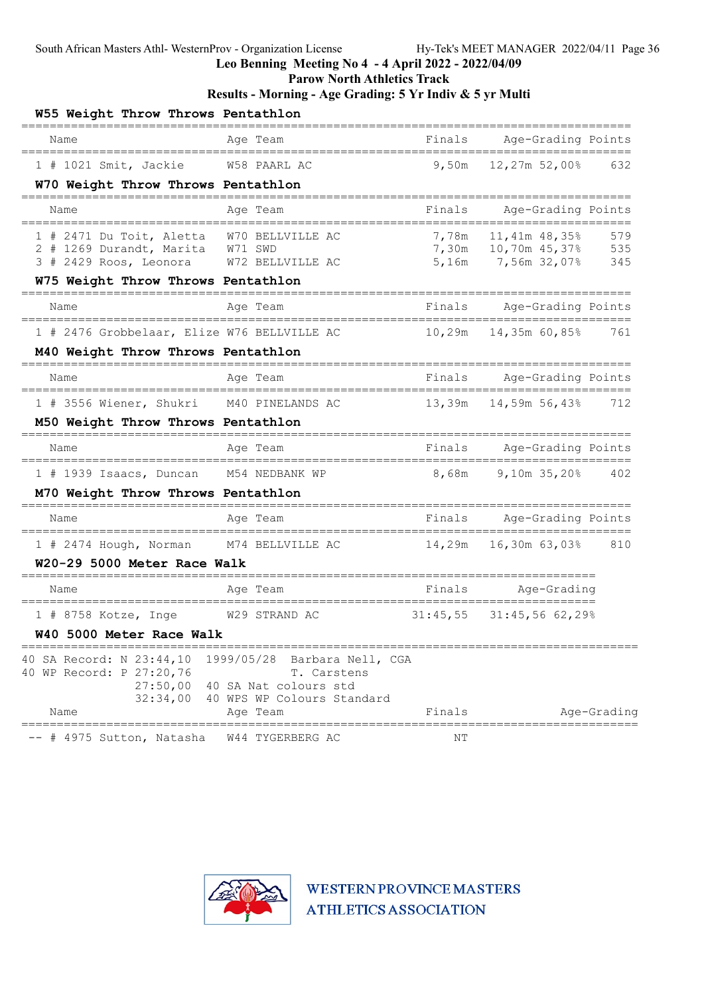Leo Benning Meeting No 4 - 4 April 2022 - 2022/04/09

Parow North Athletics Track

# Results - Morning - Age Grading: 5 Yr Indiv & 5 yr Multi

| W55 Weight Throw Throws Pentathlon                                          |                                                     |          |                                                        |             |
|-----------------------------------------------------------------------------|-----------------------------------------------------|----------|--------------------------------------------------------|-------------|
| Name                                                                        | Age Team                                            | Finals   | Age-Grading Points<br>=======================          |             |
| $1$ # 1021 Smit, Jackie                                                     | W58 PAARL AC                                        | 9,50m    | 12,27m 52,00%                                          | 632         |
| W70 Weight Throw Throws Pentathlon                                          |                                                     |          |                                                        |             |
| Name                                                                        | Aqe Team                                            | Finals   | Age-Grading Points                                     |             |
| 1 # 2471 Du Toit, Aletta                                                    | W70 BELLVILLE AC                                    | 7,78m    | $11,41m$ $48,35%$                                      | 579         |
| 2 # 1269 Durandt, Marita W71 SWD<br>3 # 2429 Roos, Leonora                  | W72 BELLVILLE AC                                    |          | 7,30m    10,70m    45,37%    535<br>5,16m 7,56m 32,07% | 345         |
| W75 Weight Throw Throws Pentathlon                                          |                                                     |          |                                                        |             |
| Name                                                                        | Age Team                                            | Finals   | Age-Grading Points                                     |             |
| 1 # 2476 Grobbelaar, Elize W76 BELLVILLE AC                                 |                                                     | 10,29m   | =======================<br>14,35m 60,85%               | 761         |
| M40 Weight Throw Throws Pentathlon                                          |                                                     |          |                                                        |             |
| __________________________<br>Name<br>===================================== | Age Team                                            | Finals   | Age-Grading Points<br>_________                        |             |
| 1 # 3556 Wiener, Shukri                                                     | ===========================<br>M40 PINELANDS AC     | 13,39m   | =============<br>14,59m 56,43%                         | 712         |
| M50 Weight Throw Throws Pentathlon<br>==========================            |                                                     |          |                                                        |             |
| Name                                                                        | Age Team                                            | Finals   | Age-Grading Points<br>================                 |             |
| 1 # 1939 Isaacs, Duncan                                                     | M54 NEDBANK WP                                      | 8,68m    | $9,10m$ $35,20%$                                       | 402         |
| M70 Weight Throw Throws Pentathlon                                          |                                                     |          |                                                        |             |
| Name                                                                        | Age Team                                            | Finals   | Age-Grading Points<br>===============                  |             |
| 1 # 2474 Hough, Norman                                                      | M74 BELLVILLE AC                                    | 14,29m   | 16,30m 63,03%                                          | 810         |
| W20-29 5000 Meter Race Walk                                                 |                                                     |          |                                                        |             |
| Name                                                                        | Age Team<br>_____________________                   | Finals   | Age-Grading<br>======================                  |             |
| $1$ # 8758 Kotze, Inge                                                      | W29 STRAND AC                                       | 31:45,55 | 31:45,56 62,29%                                        |             |
| W40 5000 Meter Race Walk<br>------------------------------------            |                                                     |          |                                                        |             |
| 40 SA Record: N 23:44,10<br>40 WP Record: P 27:20,76                        | 1999/05/28 Barbara Nell, CGA<br>T. Carstens         |          |                                                        |             |
| 27:50,00                                                                    | 40 SA Nat colours std<br>40 WPS WP Colours Standard |          |                                                        |             |
| 32:34,00<br>Name                                                            | Age Team                                            | Finals   |                                                        | Age-Grading |
| # 4975 Sutton, Natasha                                                      | W44 TYGERBERG AC                                    | ΝT       |                                                        |             |

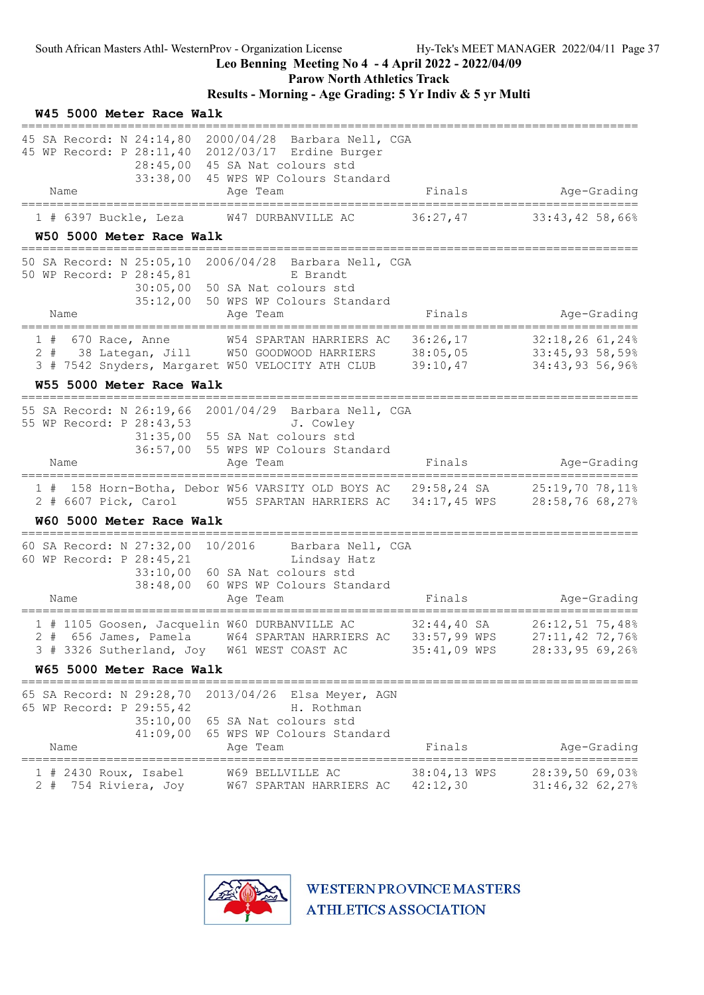W45 5000 Meter Race Walk

### Leo Benning Meeting No 4 - 4 April 2022 - 2022/04/09

Parow North Athletics Track

# Results - Morning - Age Grading: 5 Yr Indiv & 5 yr Multi

|                                | 28:45,00<br>33:38,00                                           | 45 SA Record: N 24:14,80 2000/04/28 Barbara Nell, CGA<br>45 WP Record: P 28:11,40 2012/03/17 Erdine Burger<br>45 SA Nat colours std<br>45 WPS WP Colours Standard |                                 |                                                       |
|--------------------------------|----------------------------------------------------------------|-------------------------------------------------------------------------------------------------------------------------------------------------------------------|---------------------------------|-------------------------------------------------------|
| Name<br>====================== |                                                                | Age Team                                                                                                                                                          | Finals                          | Age-Grading                                           |
|                                | 1 # 6397 Buckle, Leza                                          | W47 DURBANVILLE AC                                                                                                                                                | 36:27,47                        | 33:43,42 58,66%                                       |
|                                | W50 5000 Meter Race Walk<br>;================================= |                                                                                                                                                                   |                                 |                                                       |
|                                | 50 WP Record: P 28:45,81<br>35:12,00                           | 50 SA Record: N 25:05,10 2006/04/28 Barbara Nell, CGA<br>E Brandt<br>30:05,00 50 SA Nat colours std<br>50 WPS WP Colours Standard                                 |                                 |                                                       |
| Name                           | ================================                               | Age Team                                                                                                                                                          | Finals                          | Age-Grading<br>======================                 |
| $1$ # 670 Race, Anne           | W55 5000 Meter Race Walk                                       | W54 SPARTAN HARRIERS AC<br>2 # 38 Lategan, Jill W50 GOODWOOD HARRIERS 38:05,05 33:45,93 58,59%<br>3 # 7542 Snyders, Margaret W50 VELOCITY ATH CLUB 39:10,47       | 36:26,17                        | 32:18,26 61,24%<br>34:43,93 56,96%                    |
|                                | =================================                              |                                                                                                                                                                   |                                 | ===========================                           |
| Name                           | 55 WP Record: P 28:43,53                                       | 55 SA Record: N 26:19,66 2001/04/29 Barbara Nell, CGA<br>J. Cowley<br>31:35,00 55 SA Nat colours std<br>36:57,00 55 WPS WP Colours Standard<br>Age Team           | Finals                          | Age-Grading                                           |
|                                |                                                                | 1 # 158 Horn-Botha, Debor W56 VARSITY OLD BOYS AC 29:58,24 SA 25:19,70 78,11%                                                                                     |                                 |                                                       |
|                                |                                                                | 2 # 6607 Pick, Carol W55 SPARTAN HARRIERS AC 34:17,45 WPS 28:58,76 68,27%                                                                                         |                                 |                                                       |
|                                | W60 5000 Meter Race Walk                                       |                                                                                                                                                                   |                                 |                                                       |
|                                | 60 WP Record: P 28:45,21                                       | 60 SA Record: N 27:32,00 10/2016 Barbara Nell, CGA<br>Lindsay Hatz<br>33:10,00 60 SA Nat colours std<br>38:48,00 60 WPS WP Colours Standard                       |                                 |                                                       |
| Name                           |                                                                | Age Team                                                                                                                                                          | Finals                          | Age-Grading                                           |
|                                | W65 5000 Meter Race Walk                                       | 1 # 1105 Goosen, Jacquelin W60 DURBANVILLE AC<br>2 # 656 James, Pamela W64 SPARTAN HARRIERS AC 33:57,99 WPS<br>3 # 3326 Sutherland, Joy W61 WEST COAST AC         | $32:44,40$ SA<br>$35:41,09$ WPS | 26:12,51 75,48%<br>27:11,42 72,76%<br>28:33,95 69,26% |
|                                |                                                                |                                                                                                                                                                   |                                 |                                                       |
| Name                           | 65 WP Record: P 29:55,42<br>41:09,00                           | 65 SA Record: N 29:28,70 2013/04/26 Elsa Meyer, AGN<br>H. Rothman<br>35:10,00 65 SA Nat colours std<br>65 WPS WP Colours Standard<br>Age Team                     | Finals                          | Age-Grading                                           |
| 2#                             | $1$ # 2430 Roux, Isabel<br>754 Riviera, Joy                    | W69 BELLVILLE AC<br>W67 SPARTAN HARRIERS AC 42:12,30                                                                                                              | 38:04,13 WPS                    | 28:39,50 69,03%<br>31:46,32 62,27%                    |

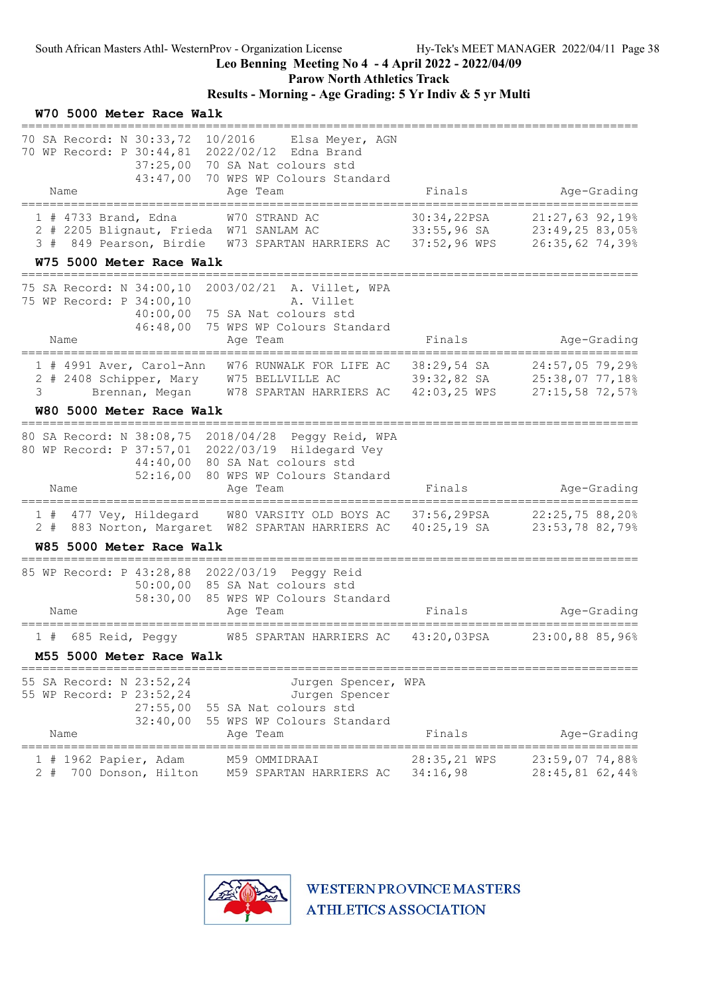Parow North Athletics Track

# Results - Morning - Age Grading: 5 Yr Indiv & 5 yr Multi

| W70 5000 Meter Race Walk                                                                                                           |                                                                                                                                                                                                                                 |                                              |                                            |
|------------------------------------------------------------------------------------------------------------------------------------|---------------------------------------------------------------------------------------------------------------------------------------------------------------------------------------------------------------------------------|----------------------------------------------|--------------------------------------------|
| 70 SA Record: N 30:33,72 10/2016 Elsa Meyer, AGN<br>70 WP Record: P 30:44,81 2022/02/12 Edna Brand<br>37:25,00<br>43:47,00<br>Name | 70 SA Nat colours std<br>70 WPS WP Colours Standard<br>Age Team                                                                                                                                                                 | Finals                                       | Age-Grading                                |
|                                                                                                                                    |                                                                                                                                                                                                                                 |                                              |                                            |
| $1$ # 4733 Brand, Edna                                                                                                             | W70 STRAND AC<br>2 # 2205 Blignaut, Frieda W71 SANLAM AC 33:55,96 SA 23:49,25 83,05%<br>3 # 849 Pearson, Birdie W73 SPARTAN HARRIERS AC 37:52,96 WPS                                                                            | 30:34,22PSA                                  | $21:27,63$ 92,19%<br>26:35,62 74,39%       |
| W75 5000 Meter Race Walk                                                                                                           |                                                                                                                                                                                                                                 |                                              |                                            |
| 75 SA Record: N 34:00,10 2003/02/21 A. Villet, WPA<br>75 WP Record: P 34:00,10<br>40:00,00<br>46:48,00<br>Name                     | A. Villet<br>75 SA Nat colours std<br>75 WPS WP Colours Standard<br>Age Team                                                                                                                                                    | Finals                                       | Age-Grading                                |
| 3<br>W80 5000 Meter Race Walk                                                                                                      | ================<br>1 # 4991 Aver, Carol-Ann W76 RUNWALK FOR LIFE AC 38:29,54 SA 24:57,05 79,29%<br>2 # 2408 Schipper, Mary W75 BELLVILLE AC 39:32,82 SA 25:38,07 77,18%<br>Brennan, Megan M78 SPARTAN HARRIERS AC 42:03,25 WPS |                                              | =======================<br>27:15,58 72,57% |
| 80 SA Record: N 38:08,75 2018/04/28 Peggy Reid, WPA<br>80 WP Record: P 37:57,01 2022/03/19 Hildegard Vey<br>44:40,00<br>Name       | 80 SA Nat colours std<br>52:16,00 80 WPS WP Colours Standard<br>Age Team                                                                                                                                                        | Finals                                       | Age-Grading                                |
| 1#<br>$2 +$                                                                                                                        | 477 Vey, Hildegard W80 VARSITY OLD BOYS AC 37:56,29PSA 22:25,75 88,20%<br>883 Norton, Margaret W82 SPARTAN HARRIERS AC 40:25,19 SA                                                                                              |                                              | 23:53,78 82,79%                            |
| W85 5000 Meter Race Walk<br>===============================                                                                        |                                                                                                                                                                                                                                 |                                              |                                            |
| 85 WP Record: P 43:28,88 2022/03/19 Peggy Reid<br>58:30,00<br>Name                                                                 | 50:00,00 85 SA Nat colours std<br>85 WPS WP Colours Standard<br>Age Team                                                                                                                                                        | Finals                                       | Age-Grading                                |
| 1 # 685 Reid, Peggy                                                                                                                | W85 SPARTAN HARRIERS AC 43:20,03PSA                                                                                                                                                                                             |                                              | 23:00,88 85,96%                            |
| M55 5000 Meter Race Walk                                                                                                           |                                                                                                                                                                                                                                 |                                              |                                            |
| 55 SA Record: N 23:52,24<br>55 WP Record: P 23:52,24<br>27:55,00<br>32:40,00<br>Name                                               | Jurgen Spencer, WPA<br>Jurgen Spencer<br>55 SA Nat colours std<br>55 WPS WP Colours Standard<br>Age Team                                                                                                                        | Finals                                       | Age-Grading                                |
| =================<br>1 # 1962 Papier, Adam<br>700 Donson, Hilton<br>2#                                                             | ================<br>M59 OMMIDRAAI<br>M59 SPARTAN HARRIERS AC                                                                                                                                                                    | ================<br>28:35,21 WPS<br>34:16,98 | $23:59,07$ 74,88%<br>28:45,81 62,44%       |